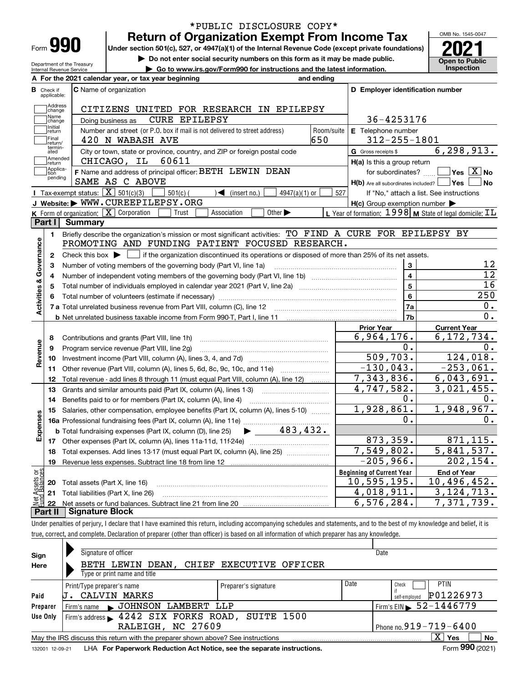| Form |  |
|------|--|

Department of the Treasury Internal Revenue Service

### **Return of Organization Exempt From Income Tax** \*PUBLIC DISCLOSURE COPY\*

Under section 501(c), 527, or 4947(a)(1) of the Internal Revenue Code (except private foundations) **2021** 

**| Do not enter social security numbers on this form as it may be made public.**

**| Go to www.irs.gov/Form990 for instructions and the latest information. Inspection**

OMB No. 1545-0047 **Open to Public** 

|                         |                              | A For the 2021 calendar year, or tax year beginning                                                                                                 | and ending |                                                                       |                                                           |
|-------------------------|------------------------------|-----------------------------------------------------------------------------------------------------------------------------------------------------|------------|-----------------------------------------------------------------------|-----------------------------------------------------------|
| В                       | Check if<br>applicable:      | C Name of organization                                                                                                                              |            | D Employer identification number                                      |                                                           |
|                         | Address<br>change            | CITIZENS UNITED FOR RESEARCH IN EPILEPSY                                                                                                            |            |                                                                       |                                                           |
|                         | Name<br>change               | <b>CURE EPILEPSY</b><br>Doing business as                                                                                                           | 36-4253176 |                                                                       |                                                           |
|                         | Initial<br>return            | Number and street (or P.O. box if mail is not delivered to street address)                                                                          | Room/suite | E Telephone number                                                    |                                                           |
|                         | Final<br>return/             | 420 N WABASH AVE                                                                                                                                    | 650        | $312 - 255 - 1801$                                                    |                                                           |
|                         | termin-<br>ated              | City or town, state or province, country, and ZIP or foreign postal code                                                                            |            | G Gross receipts \$                                                   | 6, 298, 913.                                              |
|                         | Amended<br>return            | CHICAGO, IL<br>60611                                                                                                                                |            | $H(a)$ is this a group return                                         |                                                           |
|                         | Applica-<br>ltion<br>pending | F Name and address of principal officer: BETH LEWIN DEAN<br>SAME AS C ABOVE                                                                         |            | for subordinates?<br>$H(b)$ Are all subordinates included? $\Box$ Yes | $\Box$ Yes $[\overline{\mathrm{X}}]$ No<br>  No           |
|                         |                              | Tax-exempt status: $\boxed{\mathbf{X}}$ 501(c)(3)<br>$\sqrt{\bullet}$ (insert no.)<br>$501(c)$ (<br>$4947(a)(1)$ or                                 | 527        |                                                                       | If "No," attach a list. See instructions                  |
|                         |                              | J Website: WWW.CUREEPILEPSY.ORG                                                                                                                     |            | $H(c)$ Group exemption number $\blacktriangleright$                   |                                                           |
|                         |                              | K Form of organization: X Corporation<br>Other $\blacktriangleright$<br>Association<br>Trust                                                        |            |                                                                       | L Year of formation: 1998   M State of legal domicile: IL |
|                         | Part I I                     | Summary                                                                                                                                             |            |                                                                       |                                                           |
|                         | 1.                           | Briefly describe the organization's mission or most significant activities: TO FIND A CURE FOR EPILEPSY BY                                          |            |                                                                       |                                                           |
|                         |                              | PROMOTING AND FUNDING PATIENT FOCUSED RESEARCH.                                                                                                     |            |                                                                       |                                                           |
| Activities & Governance | $\mathbf{2}$                 | Check this box $\blacktriangleright$ $\blacksquare$ if the organization discontinued its operations or disposed of more than 25% of its net assets. |            |                                                                       |                                                           |
|                         | З                            | Number of voting members of the governing body (Part VI, line 1a)                                                                                   |            | 3                                                                     | 12                                                        |
|                         | 4                            |                                                                                                                                                     |            | $\overline{4}$                                                        | $\overline{12}$                                           |
|                         | 5                            |                                                                                                                                                     |            | 5                                                                     | 16                                                        |
|                         | 6                            |                                                                                                                                                     |            | 6                                                                     | 250                                                       |
|                         |                              |                                                                                                                                                     |            | 7a                                                                    | 0.                                                        |
|                         |                              |                                                                                                                                                     |            | 7b                                                                    | О.                                                        |
|                         |                              |                                                                                                                                                     |            | <b>Prior Year</b>                                                     | <b>Current Year</b>                                       |
|                         | 8                            | Contributions and grants (Part VIII, line 1h)                                                                                                       |            | 6,964,176.                                                            | 6,172,734.                                                |
|                         | 9                            | Program service revenue (Part VIII, line 2g)                                                                                                        |            | 0.                                                                    | $0$ .                                                     |
| Revenue                 | 10                           |                                                                                                                                                     |            | 509,703.                                                              | 124,018.                                                  |
|                         | 11                           | Other revenue (Part VIII, column (A), lines 5, 6d, 8c, 9c, 10c, and 11e)                                                                            |            | $-130,043.$                                                           | $-253,061.$                                               |
|                         | 12                           | Total revenue - add lines 8 through 11 (must equal Part VIII, column (A), line 12)                                                                  |            | 7,343,836.                                                            | 6,043,691.                                                |
|                         | 13                           | Grants and similar amounts paid (Part IX, column (A), lines 1-3)                                                                                    |            | 4,747,582.                                                            | $\overline{3}$ , 021, 455.                                |
|                         | 14                           | Benefits paid to or for members (Part IX, column (A), line 4)                                                                                       |            | 0.                                                                    | 0.                                                        |
|                         | 15                           | Salaries, other compensation, employee benefits (Part IX, column (A), lines 5-10)                                                                   |            | 1,928,861.                                                            | 1,948,967.                                                |
| Expenses                |                              |                                                                                                                                                     |            | 0.                                                                    | О.                                                        |
|                         |                              | $\blacktriangleright$ 483,432.<br><b>b</b> Total fundraising expenses (Part IX, column (D), line 25)                                                |            |                                                                       |                                                           |
|                         |                              |                                                                                                                                                     |            | 873,359.                                                              | 871, 115.                                                 |
|                         | 18                           | Total expenses. Add lines 13-17 (must equal Part IX, column (A), line 25)                                                                           |            | 7,549,802.                                                            | $\overline{5,841},537.$                                   |
|                         | 19                           |                                                                                                                                                     |            | $-205,966.$                                                           | 202,154.                                                  |
| ಕ್ಷ                     |                              |                                                                                                                                                     |            | <b>Beginning of Current Year</b>                                      | <b>End of Year</b>                                        |
| Ċ.                      | 20                           | Total assets (Part X, line 16)                                                                                                                      |            | 10,595,195.                                                           | 10,496,452.                                               |
|                         | 21                           | Total liabilities (Part X, line 26)                                                                                                                 |            | 4,018,911.                                                            | 3, 124, 713.                                              |
|                         | 22                           |                                                                                                                                                     |            | 6,576,284.                                                            | 7,371,739.                                                |
|                         | Part II                      | <b>Signature Block</b>                                                                                                                              |            |                                                                       |                                                           |

Under penalties of perjury, I declare that I have examined this return, including accompanying schedules and statements, and to the best of my knowledge and belief, it is true, correct, and complete. Declaration of preparer (other than officer) is based on all information of which preparer has any knowledge.

| Sign            | Signature of officer                                                                                          |                               |      | Date                                   |  |  |  |  |
|-----------------|---------------------------------------------------------------------------------------------------------------|-------------------------------|------|----------------------------------------|--|--|--|--|
| Here            | BETH LEWIN                                                                                                    | DEAN, CHIEF EXECUTIVE OFFICER |      |                                        |  |  |  |  |
|                 | Type or print name and title                                                                                  |                               |      |                                        |  |  |  |  |
|                 | Print/Type preparer's name                                                                                    | Preparer's signature          | Date | <b>PTIN</b><br>Check                   |  |  |  |  |
| Paid            | CALVIN<br>MARKS                                                                                               |                               |      | P01226973<br>self-emploved             |  |  |  |  |
| Preparer        | Firm's name JOHNSON<br>LAMBERT LLP                                                                            |                               |      | Firm's EIN $\triangleright$ 52-1446779 |  |  |  |  |
| Use Only        | Firm's address > 4242 SIX FORKS ROAD, SUITE 1500                                                              |                               |      |                                        |  |  |  |  |
|                 | RALEIGH, NC 27609                                                                                             |                               |      | Phone no. $919 - 719 - 6400$           |  |  |  |  |
|                 | $X \mid Y$ es<br><b>No</b><br>May the IRS discuss this return with the preparer shown above? See instructions |                               |      |                                        |  |  |  |  |
| 132001 12-09-21 | LHA For Paperwork Reduction Act Notice, see the separate instructions.                                        |                               |      | Form 990 (2021)                        |  |  |  |  |
|                 |                                                                                                               |                               |      |                                        |  |  |  |  |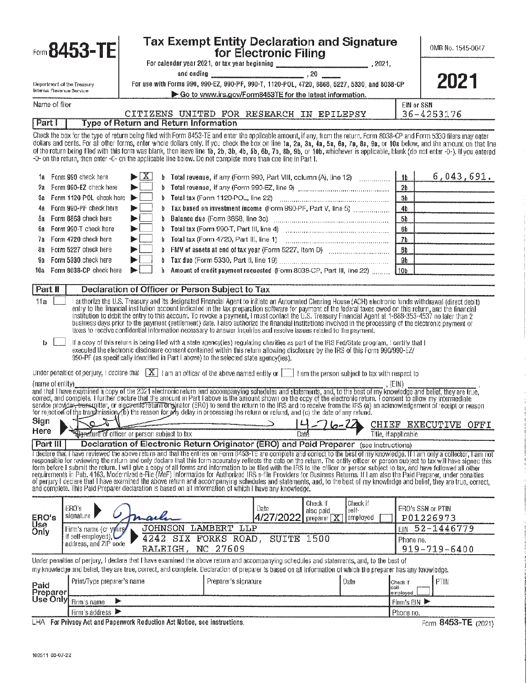|                                                     | Form 8453-TE                                                                                                                                                                                                                                                                                                                                                |                                                                                              |    | Tax Exempt Entity Declaration and Signature                                                                                                                                                                                                                                                                                                                                                                                                                                                                                                                                               | for Electronic Filing |                                  |          |                                 | OMB No. 1545-0047                                                                                                                                                                                                                                                                                                                                                                                                                                                                                                                                                                                                                                                                                                                                                                                           |
|-----------------------------------------------------|-------------------------------------------------------------------------------------------------------------------------------------------------------------------------------------------------------------------------------------------------------------------------------------------------------------------------------------------------------------|----------------------------------------------------------------------------------------------|----|-------------------------------------------------------------------------------------------------------------------------------------------------------------------------------------------------------------------------------------------------------------------------------------------------------------------------------------------------------------------------------------------------------------------------------------------------------------------------------------------------------------------------------------------------------------------------------------------|-----------------------|----------------------------------|----------|---------------------------------|-------------------------------------------------------------------------------------------------------------------------------------------------------------------------------------------------------------------------------------------------------------------------------------------------------------------------------------------------------------------------------------------------------------------------------------------------------------------------------------------------------------------------------------------------------------------------------------------------------------------------------------------------------------------------------------------------------------------------------------------------------------------------------------------------------------|
| Internal Revenue Service                            | Department of the Treasury                                                                                                                                                                                                                                                                                                                                  | For use with Forms 990, 990-EZ, 990-PF, 990-T, 1120-POL, 4720, 8868, 5227, 5330, and 8038-CP |    |                                                                                                                                                                                                                                                                                                                                                                                                                                                                                                                                                                                           |                       |                                  |          |                                 | 2021                                                                                                                                                                                                                                                                                                                                                                                                                                                                                                                                                                                                                                                                                                                                                                                                        |
| Name of filer                                       |                                                                                                                                                                                                                                                                                                                                                             |                                                                                              |    | Go to www.irs.gov/Form8453TE for the latest information.                                                                                                                                                                                                                                                                                                                                                                                                                                                                                                                                  |                       |                                  |          | EIN or SSN                      |                                                                                                                                                                                                                                                                                                                                                                                                                                                                                                                                                                                                                                                                                                                                                                                                             |
| PartT                                               |                                                                                                                                                                                                                                                                                                                                                             |                                                                                              |    | CITIZENS UNITED FOR RESEARCH IN EPILEPSY<br><b>Type of Return and Return Information</b>                                                                                                                                                                                                                                                                                                                                                                                                                                                                                                  |                       |                                  |          |                                 | 36-4253176                                                                                                                                                                                                                                                                                                                                                                                                                                                                                                                                                                                                                                                                                                                                                                                                  |
|                                                     | -0- on the return, then enter -0- on the applicable line below. Do not complete more than one line in Part I.                                                                                                                                                                                                                                               |                                                                                              |    |                                                                                                                                                                                                                                                                                                                                                                                                                                                                                                                                                                                           |                       |                                  |          |                                 | Check the box for the type of return being filed with Form 8453-TE and enter the applicable amount, if any, from the return. Form 8038-CP and Form 5330 filers may enter<br>dollars and cents. For all other forms, enter whole dollars only. If you check the box on line 1a, 2a, 3a, 4a, 5a, 6a, 7a, 8a, 9a, or 10a below, and the amount on that line<br>of the return being filed with this form was blank, then leave line 1b, 2b, 3b, 4b, 5b, 6b, 7b, 8b, 9b, or 10b, whichever is applicable, blank (do not enter -0-), if you entered                                                                                                                                                                                                                                                               |
| ťа.                                                 | Form 990 check here                                                                                                                                                                                                                                                                                                                                         | $\blacktriangleright$ $\mid$ X                                                               |    | b Total revenue, if any (Form 990, Part VIII, column (A), line 12)                                                                                                                                                                                                                                                                                                                                                                                                                                                                                                                        |                       |                                  |          | 1b                              | 6,043,691.                                                                                                                                                                                                                                                                                                                                                                                                                                                                                                                                                                                                                                                                                                                                                                                                  |
| 2a                                                  | Form 990-EZ check here                                                                                                                                                                                                                                                                                                                                      | ь                                                                                            |    |                                                                                                                                                                                                                                                                                                                                                                                                                                                                                                                                                                                           |                       |                                  |          | 2 <sub>b</sub>                  |                                                                                                                                                                                                                                                                                                                                                                                                                                                                                                                                                                                                                                                                                                                                                                                                             |
| Зa                                                  | Form 1120-POL check here                                                                                                                                                                                                                                                                                                                                    | ь                                                                                            |    |                                                                                                                                                                                                                                                                                                                                                                                                                                                                                                                                                                                           |                       |                                  |          | 3 <sub>b</sub>                  |                                                                                                                                                                                                                                                                                                                                                                                                                                                                                                                                                                                                                                                                                                                                                                                                             |
|                                                     | Form 990-PF check here                                                                                                                                                                                                                                                                                                                                      | ►                                                                                            |    | b Tax based on investment income (Form 990-PF, Part V, line 5)                                                                                                                                                                                                                                                                                                                                                                                                                                                                                                                            |                       |                                  |          | 4 <sub>b</sub>                  |                                                                                                                                                                                                                                                                                                                                                                                                                                                                                                                                                                                                                                                                                                                                                                                                             |
| őа                                                  | Form 8868 check here                                                                                                                                                                                                                                                                                                                                        | EL.                                                                                          |    |                                                                                                                                                                                                                                                                                                                                                                                                                                                                                                                                                                                           |                       |                                  |          | 5 <sub>b</sub>                  |                                                                                                                                                                                                                                                                                                                                                                                                                                                                                                                                                                                                                                                                                                                                                                                                             |
| 68                                                  | Form 990-T check here                                                                                                                                                                                                                                                                                                                                       | EL.                                                                                          |    |                                                                                                                                                                                                                                                                                                                                                                                                                                                                                                                                                                                           |                       |                                  |          | 6b                              |                                                                                                                                                                                                                                                                                                                                                                                                                                                                                                                                                                                                                                                                                                                                                                                                             |
| 7a                                                  | Form 4720 check here                                                                                                                                                                                                                                                                                                                                        | ►⊦                                                                                           |    |                                                                                                                                                                                                                                                                                                                                                                                                                                                                                                                                                                                           |                       |                                  |          | 7 <sub>b</sub>                  |                                                                                                                                                                                                                                                                                                                                                                                                                                                                                                                                                                                                                                                                                                                                                                                                             |
| 8a                                                  | Form 5227 check here                                                                                                                                                                                                                                                                                                                                        | ►                                                                                            |    |                                                                                                                                                                                                                                                                                                                                                                                                                                                                                                                                                                                           |                       |                                  |          | <b>Bb</b>                       |                                                                                                                                                                                                                                                                                                                                                                                                                                                                                                                                                                                                                                                                                                                                                                                                             |
| 9а                                                  | Form 5330 check here                                                                                                                                                                                                                                                                                                                                        |                                                                                              |    |                                                                                                                                                                                                                                                                                                                                                                                                                                                                                                                                                                                           |                       |                                  |          | 9 <sub>b</sub>                  |                                                                                                                                                                                                                                                                                                                                                                                                                                                                                                                                                                                                                                                                                                                                                                                                             |
| 10a                                                 | Form 8038-CP check here                                                                                                                                                                                                                                                                                                                                     | ь.                                                                                           | b. | Amount of credit payment requested (Form 8038-CP, Part III, line 22)                                                                                                                                                                                                                                                                                                                                                                                                                                                                                                                      |                       |                                  |          | 110 <sub>b</sub>                |                                                                                                                                                                                                                                                                                                                                                                                                                                                                                                                                                                                                                                                                                                                                                                                                             |
| <b>Part II</b>                                      |                                                                                                                                                                                                                                                                                                                                                             |                                                                                              |    | Declaration of Officer or Person Subject to Tax                                                                                                                                                                                                                                                                                                                                                                                                                                                                                                                                           |                       |                                  |          |                                 |                                                                                                                                                                                                                                                                                                                                                                                                                                                                                                                                                                                                                                                                                                                                                                                                             |
| b.<br>(name of entity).<br>Sign<br>Here<br>Part III | Under penalties of perjury, I declare that $[X]$ I am an officer of the above named entity or $\Box$ I am the person subject to tax with respect to<br>for rejection of the transmission, (b) the reason for any delay in processing the return or retund, and (c) the date of any refund.<br>$\tau$<br><b>Henature of officer or person subject to tax</b> |                                                                                              |    | taxes to receive confidential information necessary to answer inquiries and resolve issues related to the payment.<br>If a copy of this return is being filed with a state agency(ies) regulating charities as part of the IRS Fed/State program, I certify that I<br>executed the electronic disclosure consent contained within this return allowing disclosure by the IRS of this Form 990/990-EZ/<br>990-PF (as specifically identified in Part I above) to the selected state agency(ies).<br>Declaration of Electronic Return Originator (ERO) and Paid Preparer (see instructions) |                       | 22-10 ک                          |          | , (EIN)<br>Title, if applicable | and that I have examined a copy of the 2021 electronic return and accompanying schedules and statements, and, to the best of my knowledge and belief, they are true, and that I have examined a copy of the amount in Part I a<br>service provider, transmitter, or electronic return originator (ERO) to send the return to the IRS and to receive from the IRS (a) an acknowledgement of receipt or reason<br>CHIEF EXECUTIVE OFFI<br>I declare that I have reviewed the above return and that the entries on Form 8453-TE are complete and correct to the best of my knowledge. If I am only a collector, I am not<br>responsible for reviewing the return and only declare that this form accurately reflects the data on the return. The entity officer or person subject to tax will have signed this |
|                                                     | and complete. This Paid Preparer declaration is based on all information of which I have any knowledge.                                                                                                                                                                                                                                                     |                                                                                              |    |                                                                                                                                                                                                                                                                                                                                                                                                                                                                                                                                                                                           |                       |                                  | Check if |                                 | form before I submit the return. I will give a copy of all forms and information to be filed with the IRS to the officer or person subject to tax, and have followed all other<br>requirements in Pub, 4163, Modernized e-File (M<br>of perjury I declare that I have examined the above return and accompanying schedules and statements, and, to the best of my knowledge and belief, they are true, correct,                                                                                                                                                                                                                                                                                                                                                                                             |
|                                                     | ERO's<br>signature J                                                                                                                                                                                                                                                                                                                                        |                                                                                              |    |                                                                                                                                                                                                                                                                                                                                                                                                                                                                                                                                                                                           | Date                  | Check if<br>also paid            | 'self∗   |                                 | ERO's SSN or PTIN                                                                                                                                                                                                                                                                                                                                                                                                                                                                                                                                                                                                                                                                                                                                                                                           |
| ERO's<br>Ųsę                                        |                                                                                                                                                                                                                                                                                                                                                             | marle                                                                                        |    |                                                                                                                                                                                                                                                                                                                                                                                                                                                                                                                                                                                           | 4/27/2022             | preparer $\overline{\mathbf{X}}$ | employed |                                 | P01226973                                                                                                                                                                                                                                                                                                                                                                                                                                                                                                                                                                                                                                                                                                                                                                                                   |
| Only                                                | Firm's name (or yours)<br>if self-employed),<br>address, and ZIP code                                                                                                                                                                                                                                                                                       |                                                                                              |    | JOHNSON LAMBERT LLP<br>4242 SIX FORKS ROAD, SUITE 1500<br>RALEIGH, NC 27609                                                                                                                                                                                                                                                                                                                                                                                                                                                                                                               |                       |                                  |          | FIN<br>Phone no.                | 52-1446779<br>919-719-6400                                                                                                                                                                                                                                                                                                                                                                                                                                                                                                                                                                                                                                                                                                                                                                                  |
|                                                     | Under penalties of perjury, I declare that I have examined the above return and accompanying schedules and statements, and, to the best of                                                                                                                                                                                                                  |                                                                                              |    |                                                                                                                                                                                                                                                                                                                                                                                                                                                                                                                                                                                           |                       |                                  |          |                                 |                                                                                                                                                                                                                                                                                                                                                                                                                                                                                                                                                                                                                                                                                                                                                                                                             |
|                                                     | my knowledge and belief, they are true, correct, and complete. Declaration of preparer is based on all information of which the preparer has any knowledge.                                                                                                                                                                                                 |                                                                                              |    |                                                                                                                                                                                                                                                                                                                                                                                                                                                                                                                                                                                           |                       |                                  |          |                                 |                                                                                                                                                                                                                                                                                                                                                                                                                                                                                                                                                                                                                                                                                                                                                                                                             |
| Paid<br>Preparer                                    | Print/Type preparer's name                                                                                                                                                                                                                                                                                                                                  |                                                                                              |    | Preparer's signature                                                                                                                                                                                                                                                                                                                                                                                                                                                                                                                                                                      |                       |                                  | Date     | Check If<br>-llea<br>employed   | PTIN                                                                                                                                                                                                                                                                                                                                                                                                                                                                                                                                                                                                                                                                                                                                                                                                        |
|                                                     | Use Only Firm's name<br>▶                                                                                                                                                                                                                                                                                                                                   |                                                                                              |    |                                                                                                                                                                                                                                                                                                                                                                                                                                                                                                                                                                                           |                       |                                  |          | Firm's EIN                      |                                                                                                                                                                                                                                                                                                                                                                                                                                                                                                                                                                                                                                                                                                                                                                                                             |
|                                                     | Firm's address $\blacktriangleright$                                                                                                                                                                                                                                                                                                                        |                                                                                              |    |                                                                                                                                                                                                                                                                                                                                                                                                                                                                                                                                                                                           |                       |                                  |          | Phone no.                       |                                                                                                                                                                                                                                                                                                                                                                                                                                                                                                                                                                                                                                                                                                                                                                                                             |

LHA For Privacy Act and Paperwork Reduction Act Notice, see instructions.

Form 8453-TE (2021)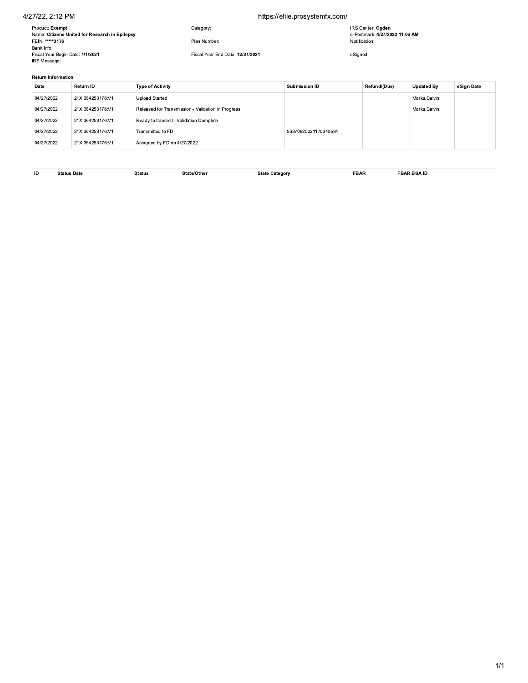### 4/27/22, 2.12 PM

### https://efile.prosystemfx.com/

| Product: Exempt<br>IRS Center: Ogden<br>Category:<br>Name: Citizens United for Research in Epilepsy<br>FEIN: *****3176<br>Plan Number:<br>Notification:<br>Bank Info:<br>Fiscal Year End Date: 12/31/2021 | e-Postmark: 4/27/2022 11:06 AM<br>Fiscal Year Begin Date: 1/1/2021<br>eSigned:<br>IRS Message:<br><b>Return Information</b> | 4/27/22, 2:12 PM |  |  | https://efile.prosystemfx.com/ |  |                    |
|-----------------------------------------------------------------------------------------------------------------------------------------------------------------------------------------------------------|-----------------------------------------------------------------------------------------------------------------------------|------------------|--|--|--------------------------------|--|--------------------|
|                                                                                                                                                                                                           |                                                                                                                             |                  |  |  |                                |  |                    |
|                                                                                                                                                                                                           |                                                                                                                             |                  |  |  |                                |  |                    |
|                                                                                                                                                                                                           |                                                                                                                             |                  |  |  |                                |  |                    |
|                                                                                                                                                                                                           |                                                                                                                             |                  |  |  |                                |  |                    |
|                                                                                                                                                                                                           |                                                                                                                             |                  |  |  |                                |  |                    |
| Return ID<br>Refund/(Due)<br><b>Type of Activity</b><br>Submission ID<br>Date                                                                                                                             |                                                                                                                             |                  |  |  |                                |  |                    |
|                                                                                                                                                                                                           |                                                                                                                             |                  |  |  |                                |  | Upo                |
| 04/27/2022<br>21X:364253176:V1<br><b>Upload Started</b>                                                                                                                                                   |                                                                                                                             |                  |  |  |                                |  | Mar<br>$0.4 - 0.0$ |

### Return Information

| Fiscal Year Begin Date: 1/1/2021<br>IRS Message: |                  | Fiscal Year End Date: 12/31/2021<br>eSigned:       |                      |              |                   |            |  |  |  |
|--------------------------------------------------|------------------|----------------------------------------------------|----------------------|--------------|-------------------|------------|--|--|--|
| <b>Return Information</b>                        |                  |                                                    |                      |              |                   |            |  |  |  |
| Date                                             | Return ID        | <b>Type of Activity</b>                            | Submission ID        | Refund/(Due) | <b>Updated By</b> | eSign Date |  |  |  |
| 04/27/2022                                       | 21X:364253176:V1 | <b>Upload Started</b>                              |                      |              | Marks, Calvin     |            |  |  |  |
| 04/27/2022                                       | 21X:364253176:V1 | Released for Transmission - Validation in Progress |                      |              | Marks.Calvin      |            |  |  |  |
| 04/27/2022                                       | 21X:364253176:V1 | Ready to transmit - Validation Complete            |                      |              |                   |            |  |  |  |
| 04/27/2022                                       | 21X:364253176:V1 | Transmitted to FD                                  | 56370820221170340e84 |              |                   |            |  |  |  |
| 04/27/2022                                       | 21X:364253176:V1 | Accepted by FD on 4/27/2022                        |                      |              |                   |            |  |  |  |

ID Status Date (Status Status State/Other State Category State Category State Category State Category State Category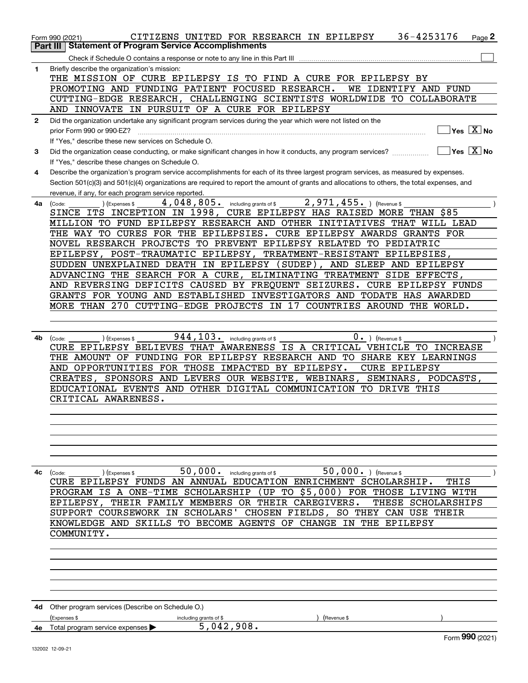|              | 36-4253176<br>CITIZENS UNITED FOR RESEARCH IN EPILEPSY<br>Page 2<br>Form 990 (2021)                                                          |
|--------------|----------------------------------------------------------------------------------------------------------------------------------------------|
|              | <b>Statement of Program Service Accomplishments</b><br>Part III I                                                                            |
|              |                                                                                                                                              |
| 1            | Briefly describe the organization's mission:                                                                                                 |
|              | THE MISSION OF CURE EPILEPSY IS TO FIND A CURE FOR EPILEPSY BY                                                                               |
|              | PROMOTING AND FUNDING PATIENT FOCUSED RESEARCH.<br>WE IDENTIFY AND FUND                                                                      |
|              | CUTTING-EDGE RESEARCH, CHALLENGING SCIENTISTS WORLDWIDE TO COLLABORATE                                                                       |
|              | AND INNOVATE IN PURSUIT OF A CURE FOR EPILEPSY                                                                                               |
| $\mathbf{2}$ | Did the organization undertake any significant program services during the year which were not listed on the                                 |
|              | $Yes \quad X$ No<br>prior Form 990 or 990-EZ?                                                                                                |
|              | If "Yes," describe these new services on Schedule O.                                                                                         |
|              | $Yes \ \boxed{X}$ No<br>Did the organization cease conducting, or make significant changes in how it conducts, any program services?         |
| 3            |                                                                                                                                              |
|              | If "Yes," describe these changes on Schedule O.                                                                                              |
| 4            | Describe the organization's program service accomplishments for each of its three largest program services, as measured by expenses.         |
|              | Section 501(c)(3) and 501(c)(4) organizations are required to report the amount of grants and allocations to others, the total expenses, and |
|              | revenue, if any, for each program service reported.                                                                                          |
| 4a           | 4,048,805. including grants of \$<br>$2,971,455.$ ) (Revenue \$<br>(Expenses \$<br>(Code:                                                    |
|              | SINCE ITS INCEPTION IN 1998, CURE EPILEPSY HAS RAISED MORE THAN \$85                                                                         |
|              | MILLION TO FUND EPILEPSY RESEARCH AND OTHER INITIATIVES THAT WILL LEAD                                                                       |
|              | THE WAY TO CURES FOR THE EPILEPSIES. CURE EPILEPSY AWARDS GRANTS FOR                                                                         |
|              | NOVEL RESEARCH PROJECTS TO PREVENT EPILEPSY RELATED TO PEDIATRIC                                                                             |
|              | EPILEPSY, POST-TRAUMATIC EPILEPSY,<br>TREATMENT-RESISTANT EPILEPSIES,                                                                        |
|              | SUDDEN UNEXPLAINED DEATH IN EPILEPSY (SUDEP),<br>AND SLEEP AND EPILEPSY                                                                      |
|              | ADVANCING THE SEARCH FOR A CURE, ELIMINATING TREATMENT SIDE EFFECTS,                                                                         |
|              | AND REVERSING DEFICITS CAUSED BY FREQUENT SEIZURES. CURE EPILEPSY FUNDS                                                                      |
|              | GRANTS FOR YOUNG AND ESTABLISHED INVESTIGATORS AND TODATE HAS AWARDED                                                                        |
|              | MORE THAN 270 CUTTING-EDGE PROJECTS IN 17 COUNTRIES AROUND THE WORLD.                                                                        |
|              |                                                                                                                                              |
|              |                                                                                                                                              |
| 4b           | $944, 103$ . including grants of \$<br>$0 \cdot$ ) (Revenue \$<br>(Code:<br>(Expenses \$                                                     |
|              | CURE EPILEPSY BELIEVES THAT AWARENESS IS A CRITICAL VEHICLE TO INCREASE                                                                      |
|              | THE AMOUNT OF FUNDING FOR EPILEPSY RESEARCH AND TO SHARE KEY LEARNINGS                                                                       |
|              | AND OPPORTUNITIES FOR THOSE IMPACTED BY EPILEPSY.<br><b>CURE EPILEPSY</b>                                                                    |
|              | CREATES, SPONSORS AND LEVERS OUR WEBSITE, WEBINARS,<br>SEMINARS, PODCASTS,                                                                   |
|              | EDUCATIONAL EVENTS AND OTHER DIGITAL COMMUNICATION TO DRIVE THIS                                                                             |
|              | CRITICAL AWARENESS.                                                                                                                          |
|              |                                                                                                                                              |
|              |                                                                                                                                              |
|              |                                                                                                                                              |
|              |                                                                                                                                              |
|              |                                                                                                                                              |
|              |                                                                                                                                              |
|              |                                                                                                                                              |
|              | 50,000. ) (Revenue \$<br>50,000. including grants of \$<br>4c (Code:<br>(Expenses \$                                                         |
|              | CURE EPILEPSY FUNDS AN ANNUAL EDUCATION ENRICHMENT SCHOLARSHIP.<br>THIS                                                                      |
|              | PROGRAM IS A ONE-TIME SCHOLARSHIP (UP TO \$5,000) FOR THOSE LIVING WITH                                                                      |
|              | EPILEPSY, THEIR FAMILY MEMBERS OR THEIR CAREGIVERS.<br>THESE SCHOLARSHIPS                                                                    |
|              | SUPPORT COURSEWORK IN SCHOLARS' CHOSEN FIELDS, SO THEY CAN USE THEIR                                                                         |
|              | KNOWLEDGE AND SKILLS TO BECOME AGENTS OF CHANGE IN THE EPILEPSY                                                                              |
|              | COMMUNITY.                                                                                                                                   |
|              |                                                                                                                                              |
|              |                                                                                                                                              |
|              |                                                                                                                                              |
|              |                                                                                                                                              |
|              |                                                                                                                                              |
|              |                                                                                                                                              |
|              |                                                                                                                                              |
|              | 4d Other program services (Describe on Schedule O.)                                                                                          |
|              | (Expenses \$<br>including grants of \$<br>(Revenue \$                                                                                        |
| 4e           | 5,042,908.<br>Total program service expenses                                                                                                 |
|              | Form 990 (2021)<br>132002 12-09-21                                                                                                           |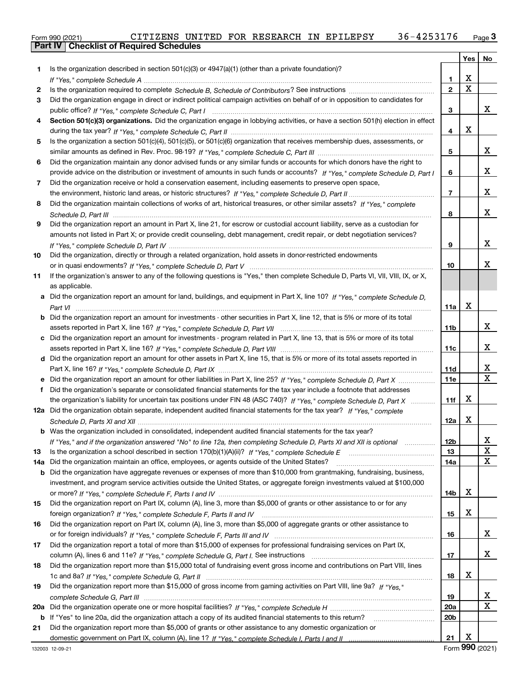|  | Form 990 (2021) |  |
|--|-----------------|--|
|  |                 |  |

|     |                                                                                                                                       |                 | Yes | No |
|-----|---------------------------------------------------------------------------------------------------------------------------------------|-----------------|-----|----|
| 1   | Is the organization described in section $501(c)(3)$ or $4947(a)(1)$ (other than a private foundation)?                               |                 |     |    |
|     |                                                                                                                                       | 1               | X   |    |
| 2   |                                                                                                                                       | $\mathbf{2}$    | X   |    |
| 3   | Did the organization engage in direct or indirect political campaign activities on behalf of or in opposition to candidates for       |                 |     |    |
|     |                                                                                                                                       | 3               |     | x  |
| 4   | Section 501(c)(3) organizations. Did the organization engage in lobbying activities, or have a section 501(h) election in effect      |                 |     |    |
|     |                                                                                                                                       | 4               | X   |    |
| 5   | Is the organization a section 501(c)(4), 501(c)(5), or 501(c)(6) organization that receives membership dues, assessments, or          |                 |     |    |
|     |                                                                                                                                       | 5               |     | x  |
| 6   | Did the organization maintain any donor advised funds or any similar funds or accounts for which donors have the right to             |                 |     |    |
|     | provide advice on the distribution or investment of amounts in such funds or accounts? If "Yes," complete Schedule D, Part I          | 6               |     | x  |
| 7   | Did the organization receive or hold a conservation easement, including easements to preserve open space,                             |                 |     |    |
|     |                                                                                                                                       | 7               |     | x  |
| 8   | Did the organization maintain collections of works of art, historical treasures, or other similar assets? If "Yes," complete          |                 |     |    |
|     |                                                                                                                                       | 8               |     | x  |
| 9   | Did the organization report an amount in Part X, line 21, for escrow or custodial account liability, serve as a custodian for         |                 |     |    |
|     | amounts not listed in Part X; or provide credit counseling, debt management, credit repair, or debt negotiation services?             |                 |     |    |
|     |                                                                                                                                       | 9               |     | x  |
| 10  | Did the organization, directly or through a related organization, hold assets in donor-restricted endowments                          |                 |     |    |
|     |                                                                                                                                       | 10              |     | x  |
| 11  | If the organization's answer to any of the following questions is "Yes," then complete Schedule D, Parts VI, VII, VIII, IX, or X,     |                 |     |    |
|     | as applicable.                                                                                                                        |                 |     |    |
|     | a Did the organization report an amount for land, buildings, and equipment in Part X, line 10? If "Yes," complete Schedule D,         |                 |     |    |
|     |                                                                                                                                       | 11a             | X   |    |
|     | <b>b</b> Did the organization report an amount for investments - other securities in Part X, line 12, that is 5% or more of its total |                 |     |    |
|     |                                                                                                                                       | 11b             |     | x  |
|     | c Did the organization report an amount for investments - program related in Part X, line 13, that is 5% or more of its total         |                 |     |    |
|     |                                                                                                                                       | 11c             |     | x  |
|     | d Did the organization report an amount for other assets in Part X, line 15, that is 5% or more of its total assets reported in       |                 |     |    |
|     |                                                                                                                                       | 11d             |     | х  |
|     | e Did the organization report an amount for other liabilities in Part X, line 25? If "Yes," complete Schedule D, Part X               | 11e             |     | X  |
|     | f Did the organization's separate or consolidated financial statements for the tax year include a footnote that addresses             |                 |     |    |
|     | the organization's liability for uncertain tax positions under FIN 48 (ASC 740)? If "Yes," complete Schedule D, Part X                | 11f             | X   |    |
|     | 12a Did the organization obtain separate, independent audited financial statements for the tax year? If "Yes," complete               |                 |     |    |
|     |                                                                                                                                       | 12a             | X   |    |
|     | <b>b</b> Was the organization included in consolidated, independent audited financial statements for the tax year?                    |                 |     |    |
|     | If "Yes," and if the organization answered "No" to line 12a, then completing Schedule D, Parts XI and XII is optional matures         | 12b             |     | X  |
| 13  |                                                                                                                                       | 13              |     | X  |
| 14a | Did the organization maintain an office, employees, or agents outside of the United States?                                           | 14a             |     | х  |
| b   | Did the organization have aggregate revenues or expenses of more than \$10,000 from grantmaking, fundraising, business,               |                 |     |    |
|     | investment, and program service activities outside the United States, or aggregate foreign investments valued at \$100,000            |                 |     |    |
|     |                                                                                                                                       | 14b             | X   |    |
| 15  | Did the organization report on Part IX, column (A), line 3, more than \$5,000 of grants or other assistance to or for any             |                 |     |    |
|     |                                                                                                                                       | 15              | X   |    |
| 16  | Did the organization report on Part IX, column (A), line 3, more than \$5,000 of aggregate grants or other assistance to              |                 |     |    |
|     |                                                                                                                                       | 16              |     | х  |
| 17  | Did the organization report a total of more than \$15,000 of expenses for professional fundraising services on Part IX,               |                 |     |    |
|     |                                                                                                                                       | 17              |     | x  |
| 18  | Did the organization report more than \$15,000 total of fundraising event gross income and contributions on Part VIII, lines          |                 |     |    |
|     |                                                                                                                                       | 18              | х   |    |
| 19  | Did the organization report more than \$15,000 of gross income from gaming activities on Part VIII, line 9a? If "Yes."                |                 |     |    |
|     |                                                                                                                                       | 19              |     | х  |
| 20a |                                                                                                                                       | <b>20a</b>      |     | х  |
| b   | If "Yes" to line 20a, did the organization attach a copy of its audited financial statements to this return?                          | 20 <sub>b</sub> |     |    |
| 21  | Did the organization report more than \$5,000 of grants or other assistance to any domestic organization or                           |                 |     |    |
|     |                                                                                                                                       | 21              | X   |    |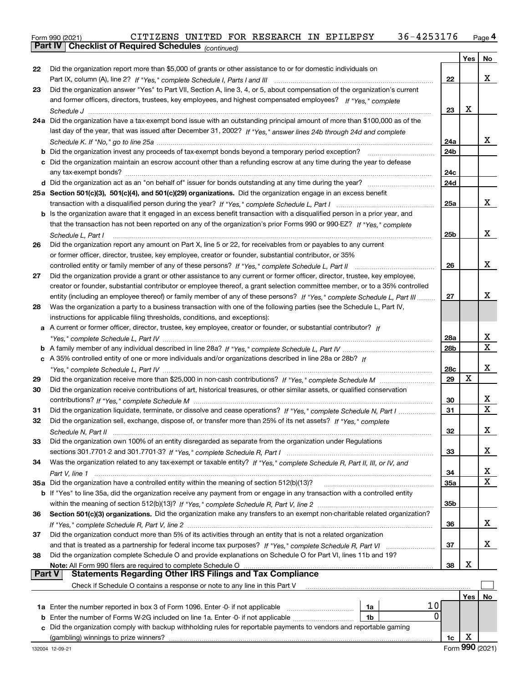Form 990 (2021) CITIZENS UNITED FOR RESEARCH IN EPILEPSY 36-4253176 <sub>Page</sub> 4<br>**Part IV | Checklist of Required Schedules** <sub>(continued)</sub>

|    | Part IV   Griecklist of Required Scriedules (continued)                                                                                     |     |     |    |
|----|---------------------------------------------------------------------------------------------------------------------------------------------|-----|-----|----|
|    |                                                                                                                                             |     | Yes | No |
| 22 | Did the organization report more than \$5,000 of grants or other assistance to or for domestic individuals on                               |     |     |    |
|    | Part IX, column (A), line 2? If "Yes," complete Schedule I, Parts I and III [[11]] [11] [11] [11] [11] [11] [1                              | 22  |     | x  |
| 23 | Did the organization answer "Yes" to Part VII, Section A, line 3, 4, or 5, about compensation of the organization's current                 |     |     |    |
|    | and former officers, directors, trustees, key employees, and highest compensated employees? If "Yes," complete                              |     |     |    |
|    |                                                                                                                                             | 23  | х   |    |
|    | 24a Did the organization have a tax-exempt bond issue with an outstanding principal amount of more than \$100,000 as of the                 |     |     |    |
|    | last day of the year, that was issued after December 31, 2002? If "Yes," answer lines 24b through 24d and complete                          |     |     | х  |
|    |                                                                                                                                             | 24a |     |    |
|    | <b>b</b> Did the organization invest any proceeds of tax-exempt bonds beyond a temporary period exception?                                  | 24b |     |    |
|    | c Did the organization maintain an escrow account other than a refunding escrow at any time during the year to defease                      | 24c |     |    |
|    |                                                                                                                                             | 24d |     |    |
|    | 25a Section 501(c)(3), 501(c)(4), and 501(c)(29) organizations. Did the organization engage in an excess benefit                            |     |     |    |
|    |                                                                                                                                             | 25a |     | x  |
|    | b Is the organization aware that it engaged in an excess benefit transaction with a disqualified person in a prior year, and                |     |     |    |
|    | that the transaction has not been reported on any of the organization's prior Forms 990 or 990-EZ? If "Yes," complete                       |     |     |    |
|    | Schedule L, Part I                                                                                                                          | 25b |     | x  |
| 26 | Did the organization report any amount on Part X, line 5 or 22, for receivables from or payables to any current                             |     |     |    |
|    | or former officer, director, trustee, key employee, creator or founder, substantial contributor, or 35%                                     |     |     |    |
|    |                                                                                                                                             | 26  |     | x  |
| 27 | Did the organization provide a grant or other assistance to any current or former officer, director, trustee, key employee,                 |     |     |    |
|    | creator or founder, substantial contributor or employee thereof, a grant selection committee member, or to a 35% controlled                 |     |     |    |
|    | entity (including an employee thereof) or family member of any of these persons? If "Yes," complete Schedule L, Part III                    | 27  |     | x  |
| 28 | Was the organization a party to a business transaction with one of the following parties (see the Schedule L, Part IV,                      |     |     |    |
|    | instructions for applicable filing thresholds, conditions, and exceptions):                                                                 |     |     |    |
|    | a A current or former officer, director, trustee, key employee, creator or founder, or substantial contributor? If                          |     |     |    |
|    |                                                                                                                                             | 28a |     | X  |
|    |                                                                                                                                             | 28b |     | х  |
|    | c A 35% controlled entity of one or more individuals and/or organizations described in line 28a or 28b? If                                  |     |     |    |
|    |                                                                                                                                             | 28c |     | х  |
| 29 |                                                                                                                                             | 29  | х   |    |
| 30 | Did the organization receive contributions of art, historical treasures, or other similar assets, or qualified conservation                 |     |     |    |
|    |                                                                                                                                             | 30  |     | х  |
| 31 | Did the organization liquidate, terminate, or dissolve and cease operations? If "Yes," complete Schedule N, Part I                          | 31  |     | X  |
| 32 | Did the organization sell, exchange, dispose of, or transfer more than 25% of its net assets? If "Yes," complete                            |     |     |    |
|    | Schedule N, Part II                                                                                                                         | 32  |     | х  |
| 33 | Did the organization own 100% of an entity disregarded as separate from the organization under Regulations                                  |     |     |    |
|    |                                                                                                                                             | 33  |     | x  |
| 34 | Was the organization related to any tax-exempt or taxable entity? If "Yes," complete Schedule R, Part II, III, or IV, and                   |     |     |    |
|    |                                                                                                                                             | 34  |     | х  |
|    | 35a Did the organization have a controlled entity within the meaning of section 512(b)(13)?                                                 | 35a |     | х  |
|    | b If "Yes" to line 35a, did the organization receive any payment from or engage in any transaction with a controlled entity                 |     |     |    |
|    |                                                                                                                                             | 35b |     |    |
| 36 | Section 501(c)(3) organizations. Did the organization make any transfers to an exempt non-charitable related organization?                  |     |     |    |
|    |                                                                                                                                             | 36  |     | X  |
| 37 | Did the organization conduct more than 5% of its activities through an entity that is not a related organization                            |     |     |    |
|    | and that is treated as a partnership for federal income tax purposes? If "Yes," complete Schedule R, Part VI                                | 37  |     | x  |
| 38 | Did the organization complete Schedule O and provide explanations on Schedule O for Part VI, lines 11b and 19?                              |     |     |    |
|    | Note: All Form 990 filers are required to complete Schedule O<br>Part V<br><b>Statements Regarding Other IRS Filings and Tax Compliance</b> | 38  | х   |    |
|    | Check if Schedule O contains a response or note to any line in this Part V                                                                  |     |     |    |
|    |                                                                                                                                             |     |     |    |
|    | 10<br>1a                                                                                                                                    |     | Yes | No |
|    | 0<br><b>b</b> Enter the number of Forms W-2G included on line 1a. Enter -0- if not applicable <i>manumumum</i><br>1b                        |     |     |    |
| c  | Did the organization comply with backup withholding rules for reportable payments to vendors and reportable gaming                          |     |     |    |
|    | (gambling) winnings to prize winners?                                                                                                       | 1c  | х   |    |
|    |                                                                                                                                             |     |     |    |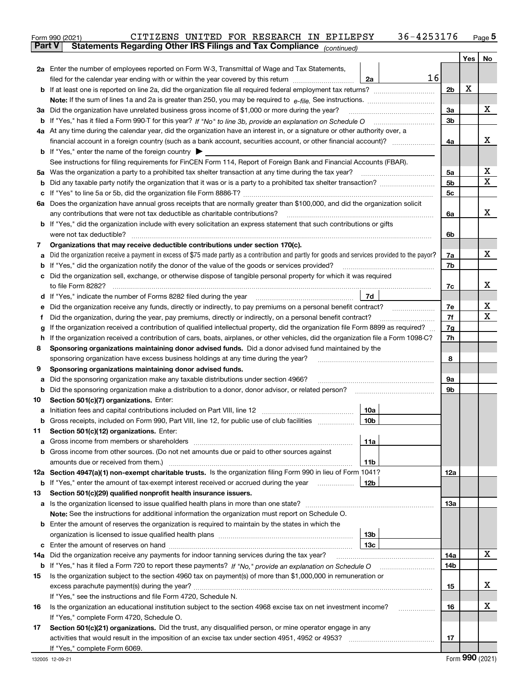|               | 36-4253176<br>CITIZENS UNITED FOR RESEARCH IN EPILEPSY<br>Form 990 (2021)                                                                       |                |     | Page $5$ |
|---------------|-------------------------------------------------------------------------------------------------------------------------------------------------|----------------|-----|----------|
| <b>Part V</b> | Statements Regarding Other IRS Filings and Tax Compliance (continued)                                                                           |                |     |          |
|               |                                                                                                                                                 |                | Yes | No       |
|               | 2a Enter the number of employees reported on Form W-3, Transmittal of Wage and Tax Statements,                                                  |                |     |          |
|               | 16<br>filed for the calendar year ending with or within the year covered by this return<br>2a                                                   |                |     |          |
|               |                                                                                                                                                 | 2 <sub>b</sub> | х   |          |
|               |                                                                                                                                                 |                |     |          |
|               | 3a Did the organization have unrelated business gross income of \$1,000 or more during the year?                                                | 3a             |     | х        |
|               |                                                                                                                                                 | 3b             |     |          |
|               | 4a At any time during the calendar year, did the organization have an interest in, or a signature or other authority over, a                    |                |     |          |
|               |                                                                                                                                                 | 4a             |     | х        |
|               | <b>b</b> If "Yes," enter the name of the foreign country $\blacktriangleright$                                                                  |                |     |          |
|               | See instructions for filing requirements for FinCEN Form 114, Report of Foreign Bank and Financial Accounts (FBAR).                             |                |     |          |
| 5а            |                                                                                                                                                 | 5a             |     | х        |
| b             |                                                                                                                                                 | 5 <sub>b</sub> |     | х        |
| с             |                                                                                                                                                 | 5c             |     |          |
|               | 6a Does the organization have annual gross receipts that are normally greater than \$100,000, and did the organization solicit                  |                |     |          |
|               | any contributions that were not tax deductible as charitable contributions?                                                                     | 6a             |     | x        |
|               | <b>b</b> If "Yes," did the organization include with every solicitation an express statement that such contributions or gifts                   |                |     |          |
|               | were not tax deductible?                                                                                                                        | 6b             |     |          |
| 7             | Organizations that may receive deductible contributions under section 170(c).                                                                   |                |     |          |
| а             | Did the organization receive a payment in excess of \$75 made partly as a contribution and partly for goods and services provided to the payor? | 7a             |     | х        |
| b             | "Yes," did the organization notify the donor of the value of the goods or services provided?                                                    | 7b             |     |          |
| с             | Did the organization sell, exchange, or otherwise dispose of tangible personal property for which it was required                               |                |     |          |
|               |                                                                                                                                                 | 7c             |     | х        |
|               | 7d                                                                                                                                              |                |     |          |
| d             |                                                                                                                                                 | 7e             |     | х        |
| е             |                                                                                                                                                 | 7f             |     | Χ        |
| f             | Did the organization, during the year, pay premiums, directly or indirectly, on a personal benefit contract?                                    |                |     |          |
| g             | If the organization received a contribution of qualified intellectual property, did the organization file Form 8899 as required?                | 7g             |     |          |
| h             | If the organization received a contribution of cars, boats, airplanes, or other vehicles, did the organization file a Form 1098-C?              | 7h             |     |          |
| 8             | Sponsoring organizations maintaining donor advised funds. Did a donor advised fund maintained by the                                            |                |     |          |
|               | sponsoring organization have excess business holdings at any time during the year?                                                              | 8              |     |          |
| 9             | Sponsoring organizations maintaining donor advised funds.                                                                                       |                |     |          |
| а             | Did the sponsoring organization make any taxable distributions under section 4966?                                                              | 9а             |     |          |
| b             | Did the sponsoring organization make a distribution to a donor, donor advisor, or related person? [[[[[[[[[[[                                   | 9b             |     |          |
| 10            | Section 501(c)(7) organizations. Enter:                                                                                                         |                |     |          |
| а             | 10a                                                                                                                                             |                |     |          |
|               | 10b <br>Gross receipts, included on Form 990, Part VIII, line 12, for public use of club facilities                                             |                |     |          |
| 11            | Section 501(c)(12) organizations. Enter:                                                                                                        |                |     |          |
| a             | Gross income from members or shareholders<br>11a                                                                                                |                |     |          |
| b             | Gross income from other sources. (Do not net amounts due or paid to other sources against                                                       |                |     |          |
|               | 11b                                                                                                                                             |                |     |          |
|               | 12a Section 4947(a)(1) non-exempt charitable trusts. Is the organization filing Form 990 in lieu of Form 1041?                                  | 12a            |     |          |
|               | <b>b</b> If "Yes," enter the amount of tax-exempt interest received or accrued during the year<br>12b                                           |                |     |          |
| 13            | Section 501(c)(29) qualified nonprofit health insurance issuers.                                                                                |                |     |          |
| а             | Is the organization licensed to issue qualified health plans in more than one state?                                                            | 13а            |     |          |
|               | Note: See the instructions for additional information the organization must report on Schedule O.                                               |                |     |          |
|               | <b>b</b> Enter the amount of reserves the organization is required to maintain by the states in which the                                       |                |     |          |
|               | 13b                                                                                                                                             |                |     |          |
| с             | 13 <sub>c</sub>                                                                                                                                 |                |     |          |
| 14a           | Did the organization receive any payments for indoor tanning services during the tax year?                                                      | 14a            |     | х        |
|               | <b>b</b> If "Yes," has it filed a Form 720 to report these payments? If "No," provide an explanation on Schedule O                              | 14b            |     |          |
| 15            | Is the organization subject to the section 4960 tax on payment(s) of more than \$1,000,000 in remuneration or                                   |                |     |          |
|               |                                                                                                                                                 | 15             |     | х        |
|               | If "Yes," see the instructions and file Form 4720, Schedule N.                                                                                  |                |     |          |
| 16            | Is the organization an educational institution subject to the section 4968 excise tax on net investment income?                                 | 16             |     | х        |
|               | If "Yes," complete Form 4720, Schedule O.                                                                                                       |                |     |          |
| 17            | Section 501(c)(21) organizations. Did the trust, any disqualified person, or mine operator engage in any                                        |                |     |          |

activities that would result in the imposition of an excise tax under section 4951, 4952 or 4953?

**17**

**~~~~~~~~~~~~~~**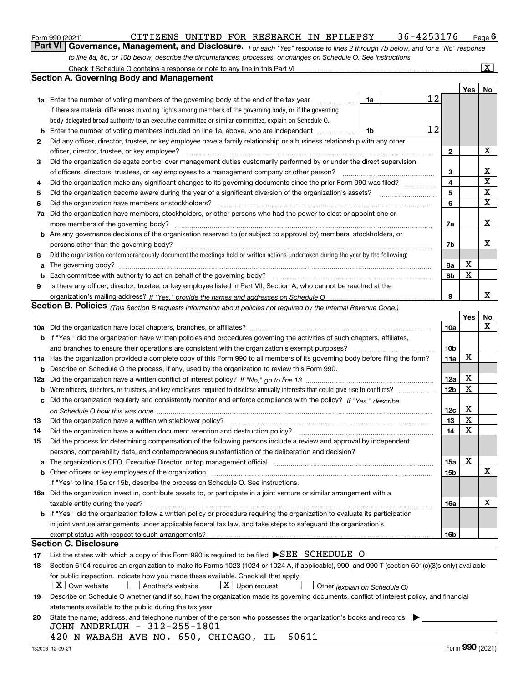|  | Form 990 (2021) |
|--|-----------------|
|  |                 |

### CITIZENS UNITED FOR RESEARCH IN EPILEPSY  $36-4253176$  Page 6

*For each "Yes" response to lines 2 through 7b below, and for a "No" response* **6Part VI Governance, Management, and Disclosure.**  CITIZENS UNITED FOR RESEARCH IN EPILEPSY 36-4253176 *to line 8a, 8b, or 10b below, describe the circumstances, processes, or changes on Schedule O. See instructions.*

|    | Check if Schedule O contains a response or note to any line in this Part VI                                                                                                                                                    |                 |         | $\vert$ X $\vert$ |
|----|--------------------------------------------------------------------------------------------------------------------------------------------------------------------------------------------------------------------------------|-----------------|---------|-------------------|
|    | Section A. Governing Body and Management                                                                                                                                                                                       |                 |         |                   |
|    |                                                                                                                                                                                                                                |                 | Yes $ $ | No                |
|    | 12<br>1a<br><b>1a</b> Enter the number of voting members of the governing body at the end of the tax year <i>manumum</i>                                                                                                       |                 |         |                   |
|    | If there are material differences in voting rights among members of the governing body, or if the governing                                                                                                                    |                 |         |                   |
|    | body delegated broad authority to an executive committee or similar committee, explain on Schedule O.                                                                                                                          |                 |         |                   |
| b  | 12<br>Enter the number of voting members included on line 1a, above, who are independent<br>1b                                                                                                                                 |                 |         |                   |
| 2  | Did any officer, director, trustee, or key employee have a family relationship or a business relationship with any other                                                                                                       |                 |         |                   |
|    | officer, director, trustee, or key employee?                                                                                                                                                                                   | 2               |         | x                 |
| 3  | Did the organization delegate control over management duties customarily performed by or under the direct supervision                                                                                                          |                 |         |                   |
|    | of officers, directors, trustees, or key employees to a management company or other person?                                                                                                                                    | 3               |         | х                 |
| 4  | Did the organization make any significant changes to its governing documents since the prior Form 990 was filed?                                                                                                               | 4               |         | $\mathbf X$       |
| 5  |                                                                                                                                                                                                                                | 5               |         | $\mathbf X$       |
| 6  | Did the organization have members or stockholders?                                                                                                                                                                             | 6               |         | $\mathbf X$       |
| 7a | Did the organization have members, stockholders, or other persons who had the power to elect or appoint one or                                                                                                                 |                 |         |                   |
|    | more members of the governing body?                                                                                                                                                                                            | 7a              |         | х                 |
|    | <b>b</b> Are any governance decisions of the organization reserved to (or subject to approval by) members, stockholders, or                                                                                                    |                 |         |                   |
|    | persons other than the governing body?                                                                                                                                                                                         | 7b              |         | х                 |
| 8  | Did the organization contemporaneously document the meetings held or written actions undertaken during the year by the following:                                                                                              |                 |         |                   |
| a  |                                                                                                                                                                                                                                | 8а              | х       |                   |
| b  | Each committee with authority to act on behalf of the governing body?                                                                                                                                                          | 8b              | X       |                   |
| 9  | Is there any officer, director, trustee, or key employee listed in Part VII, Section A, who cannot be reached at the                                                                                                           |                 |         |                   |
|    |                                                                                                                                                                                                                                | 9               |         | х                 |
|    | Section B. Policies <sub>(This Section B requests information about policies not required by the Internal Revenue Code.)</sub>                                                                                                 |                 |         |                   |
|    |                                                                                                                                                                                                                                |                 | Yes     | No                |
|    |                                                                                                                                                                                                                                | 10a             |         | Χ                 |
|    | <b>b</b> If "Yes," did the organization have written policies and procedures governing the activities of such chapters, affiliates,                                                                                            |                 |         |                   |
|    | and branches to ensure their operations are consistent with the organization's exempt purposes?                                                                                                                                | 10 <sub>b</sub> |         |                   |
|    | 11a Has the organization provided a complete copy of this Form 990 to all members of its governing body before filing the form?                                                                                                | 11a             | Х       |                   |
|    | <b>b</b> Describe on Schedule O the process, if any, used by the organization to review this Form 990.                                                                                                                         |                 |         |                   |
|    |                                                                                                                                                                                                                                | 12a             | х       |                   |
|    |                                                                                                                                                                                                                                | 12 <sub>b</sub> | X       |                   |
|    | c Did the organization regularly and consistently monitor and enforce compliance with the policy? If "Yes," describe                                                                                                           |                 |         |                   |
|    |                                                                                                                                                                                                                                | 12c             | х       |                   |
| 13 | Did the organization have a written whistleblower policy?                                                                                                                                                                      | 13              | X       |                   |
| 14 | Did the organization have a written document retention and destruction policy?                                                                                                                                                 | 14              | X       |                   |
| 15 | Did the process for determining compensation of the following persons include a review and approval by independent                                                                                                             |                 |         |                   |
|    | persons, comparability data, and contemporaneous substantiation of the deliberation and decision?                                                                                                                              |                 |         |                   |
|    | <b>a</b> The organization's CEO, Executive Director, or top management official                                                                                                                                                | 15a             | х       |                   |
|    | b Other officers or key employees of the organization manufactured content to the organization manufactured content of the organization manufactured content of the organization manufactured content of the organization manu | 15b             |         | х                 |
|    | If "Yes" to line 15a or 15b, describe the process on Schedule O. See instructions.                                                                                                                                             |                 |         |                   |
|    | 16a Did the organization invest in, contribute assets to, or participate in a joint venture or similar arrangement with a                                                                                                      |                 |         |                   |
|    | taxable entity during the year?                                                                                                                                                                                                | 16a             |         | х                 |
|    | b If "Yes," did the organization follow a written policy or procedure requiring the organization to evaluate its participation                                                                                                 |                 |         |                   |
|    | in joint venture arrangements under applicable federal tax law, and take steps to safeguard the organization's                                                                                                                 |                 |         |                   |
|    |                                                                                                                                                                                                                                | 16b             |         |                   |
|    | <b>Section C. Disclosure</b>                                                                                                                                                                                                   |                 |         |                   |
| 17 | List the states with which a copy of this Form 990 is required to be filed $\blacktriangleright$ SEE SCHEDULE O                                                                                                                |                 |         |                   |
| 18 | Section 6104 requires an organization to make its Forms 1023 (1024 or 1024-A, if applicable), 990, and 990-T (section 501(c)(3)s only) available                                                                               |                 |         |                   |
|    | for public inspection. Indicate how you made these available. Check all that apply.                                                                                                                                            |                 |         |                   |
|    | X   Own website<br>$ \mathbf{X} $ Upon request<br>Another's website<br>Other (explain on Schedule O)                                                                                                                           |                 |         |                   |
| 19 | Describe on Schedule O whether (and if so, how) the organization made its governing documents, conflict of interest policy, and financial                                                                                      |                 |         |                   |
|    | statements available to the public during the tax year.                                                                                                                                                                        |                 |         |                   |
| 20 | State the name, address, and telephone number of the person who possesses the organization's books and records                                                                                                                 |                 |         |                   |
|    | JOHN ANDERLUH - 312-255-1801                                                                                                                                                                                                   |                 |         |                   |
|    | 60611<br>420 N WABASH AVE NO. 650, CHICAGO,<br>IL                                                                                                                                                                              |                 | $\sim$  |                   |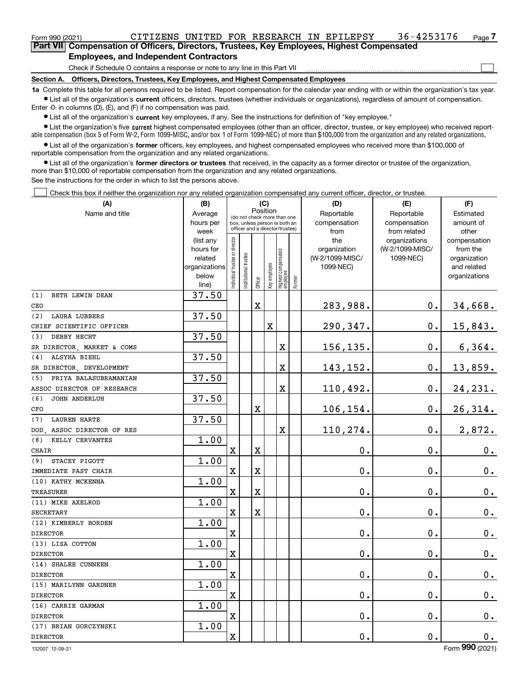### **Employees, and Independent Contractors**

Check if Schedule O contains a response or note to any line in this Part VII

**Section A. Officers, Directors, Trustees, Key Employees, and Highest Compensated Employees**

**1a**  Complete this table for all persons required to be listed. Report compensation for the calendar year ending with or within the organization's tax year. **•** List all of the organization's current officers, directors, trustees (whether individuals or organizations), regardless of amount of compensation.

Enter -0- in columns (D), (E), and (F) if no compensation was paid.

 $\bullet$  List all of the organization's  $\sf current$  key employees, if any. See the instructions for definition of "key employee."

• List the organization's five current highest compensated employees (other than an officer, director, trustee, or key employee) who received report-■ List the organization's five current highest compensated employees (other than an officer, director, trustee, or key employee) who received report-<br>able compensation (box 5 of Form W-2, Form 1099-MISC, and/or box 1 of F

**•** List all of the organization's former officers, key employees, and highest compensated employees who received more than \$100,000 of reportable compensation from the organization and any related organizations.

**former directors or trustees**  ¥ List all of the organization's that received, in the capacity as a former director or trustee of the organization, more than \$10,000 of reportable compensation from the organization and any related organizations.

See the instructions for the order in which to list the persons above.

Check this box if neither the organization nor any related organization compensated any current officer, director, or trustee.  $\mathcal{L}^{\text{max}}$ 

| (A)                           | (B)                    |                               | (C)                                     |                         | (D)          | (E)                                                              | (F)       |                     |                                  |                          |
|-------------------------------|------------------------|-------------------------------|-----------------------------------------|-------------------------|--------------|------------------------------------------------------------------|-----------|---------------------|----------------------------------|--------------------------|
| Name and title                | Average                |                               | Position<br>(do not check more than one |                         | Reportable   | Reportable                                                       | Estimated |                     |                                  |                          |
|                               | hours per              |                               |                                         |                         |              | box, unless person is both an<br>officer and a director/trustee) |           | compensation        | compensation                     | amount of                |
|                               | week                   |                               |                                         |                         |              |                                                                  |           | from                | from related                     | other                    |
|                               | (list any<br>hours for |                               |                                         |                         |              |                                                                  |           | the<br>organization | organizations<br>(W-2/1099-MISC/ | compensation<br>from the |
|                               | related                |                               |                                         |                         |              |                                                                  |           | (W-2/1099-MISC/     | 1099-NEC)                        | organization             |
|                               | organizations          |                               |                                         |                         |              |                                                                  |           | 1099-NEC)           |                                  | and related              |
|                               | below                  | ndividual trustee or director |                                         |                         |              |                                                                  |           |                     |                                  | organizations            |
|                               | line)                  |                               | Institutional trustee                   | Officer                 | Key employee | Highest compensated<br> employee                                 | Former    |                     |                                  |                          |
| (1)<br>BETH LEWIN DEAN        | 37.50                  |                               |                                         |                         |              |                                                                  |           |                     |                                  |                          |
| CEO                           |                        |                               |                                         | $\mathbf X$             |              |                                                                  |           | 283,988.            | $0$ .                            | 34,668.                  |
| (2)<br><b>LAURA LUBBERS</b>   | 37.50                  |                               |                                         |                         |              |                                                                  |           |                     |                                  |                          |
| CHIEF SCIENTIFIC OFFICER      |                        |                               |                                         |                         | X            |                                                                  |           | 290,347.            | $\mathbf 0$ .                    | 15,843.                  |
| DEBBY HECHT<br>(3)            | 37.50                  |                               |                                         |                         |              |                                                                  |           |                     |                                  |                          |
| SR DIRECTOR, MARKET & COMS    |                        |                               |                                         |                         |              | X                                                                |           | 156,135.            | 0.                               | 6, 364.                  |
| ALSYHA BIEHL<br>(4)           | 37.50                  |                               |                                         |                         |              |                                                                  |           |                     |                                  |                          |
| SR DIRECTOR, DEVELOPMENT      |                        |                               |                                         |                         |              | X                                                                |           | 143,152.            | $\mathbf 0$ .                    | 13,859.                  |
| (5)<br>PRIYA BALASUBRAMANIAN  | 37.50                  |                               |                                         |                         |              |                                                                  |           |                     |                                  |                          |
| ASSOC DIRECTOR OF RESEARCH    |                        |                               |                                         |                         |              | X                                                                |           | 110,492.            | $\mathbf 0$ .                    | 24, 231.                 |
| (6)<br><b>JOHN ANDERLUH</b>   | 37.50                  |                               |                                         |                         |              |                                                                  |           |                     |                                  |                          |
| CFO                           |                        |                               |                                         | $\mathbf X$             |              |                                                                  |           | 106,154.            | $\mathbf 0$ .                    | 26,314.                  |
| <b>LAUREN HARTE</b><br>(7)    | 37.50                  |                               |                                         |                         |              |                                                                  |           |                     |                                  |                          |
| ASSOC DIRECTOR OF RES<br>DOD. |                        |                               |                                         |                         |              | X                                                                |           | 110,274.            | 0.                               | 2,872.                   |
| (8)<br>KELLY CERVANTES        | 1.00                   |                               |                                         |                         |              |                                                                  |           |                     |                                  |                          |
| <b>CHAIR</b>                  |                        | $\overline{\mathbf{X}}$       |                                         | $\overline{\mathbf{X}}$ |              |                                                                  |           | 0.                  | $\mathbf{0}$ .                   | $\mathbf 0$ .            |
| STACEY PIGOTT<br>(9)          | 1.00                   |                               |                                         |                         |              |                                                                  |           |                     |                                  |                          |
| IMMEDIATE PAST CHAIR          |                        | $\mathbf X$                   |                                         | $\mathbf X$             |              |                                                                  |           | 0.                  | $\mathbf 0$ .                    | $\mathbf 0$ .            |
| (10) KATHY MCKENNA            | 1.00                   |                               |                                         |                         |              |                                                                  |           |                     |                                  |                          |
| TREASURER                     |                        | $\overline{\mathbf{X}}$       |                                         | $\overline{\mathbf{X}}$ |              |                                                                  |           | 0.                  | $\mathbf 0$ .                    | $0$ .                    |
| (11) MIKE AXELROD             | 1.00                   |                               |                                         |                         |              |                                                                  |           |                     |                                  |                          |
| <b>SECRETARY</b>              |                        | $\mathbf x$                   |                                         | $\mathbf X$             |              |                                                                  |           | 0.                  | $\mathbf 0$ .                    | $0_{.}$                  |
| (12) KIMBERLY BORDEN          | 1.00                   |                               |                                         |                         |              |                                                                  |           |                     |                                  |                          |
| <b>DIRECTOR</b>               |                        | $\overline{\mathbf{X}}$       |                                         |                         |              |                                                                  |           | 0.                  | $\mathbf 0$ .                    | $\mathbf 0$ .            |
| (13) LISA COTTON              | 1.00                   |                               |                                         |                         |              |                                                                  |           |                     |                                  |                          |
| <b>DIRECTOR</b>               |                        | $\mathbf X$                   |                                         |                         |              |                                                                  |           | 0.                  | 0.                               | $\mathbf 0$ .            |
| (14) SHALEE CUNNEEN           | 1.00                   |                               |                                         |                         |              |                                                                  |           |                     |                                  |                          |
| <b>DIRECTOR</b>               |                        | $\mathbf X$                   |                                         |                         |              |                                                                  |           | 0.                  | $\mathbf 0$ .                    | $0$ .                    |
| (15) MARILYNN GARDNER         | 1.00                   |                               |                                         |                         |              |                                                                  |           |                     |                                  |                          |
| <b>DIRECTOR</b>               |                        | $\mathbf X$                   |                                         |                         |              |                                                                  |           | 0.                  | $\mathbf 0$ .                    | 0.                       |
| (16) CARRIE GARMAN            | 1.00                   |                               |                                         |                         |              |                                                                  |           |                     |                                  |                          |
| <b>DIRECTOR</b>               |                        | $\overline{\mathbf{X}}$       |                                         |                         |              |                                                                  |           | 0.                  | $\mathbf 0$ .                    | $0_{.}$                  |
| (17) BRIAN GORCZYNSKI         | 1.00                   |                               |                                         |                         |              |                                                                  |           |                     |                                  |                          |
| <b>DIRECTOR</b>               |                        | $\mathbf X$                   |                                         |                         |              |                                                                  |           | 0.                  | $\mathbf{0}$ .                   | $\mathbf 0$ .            |

 $\mathcal{L}^{\text{max}}$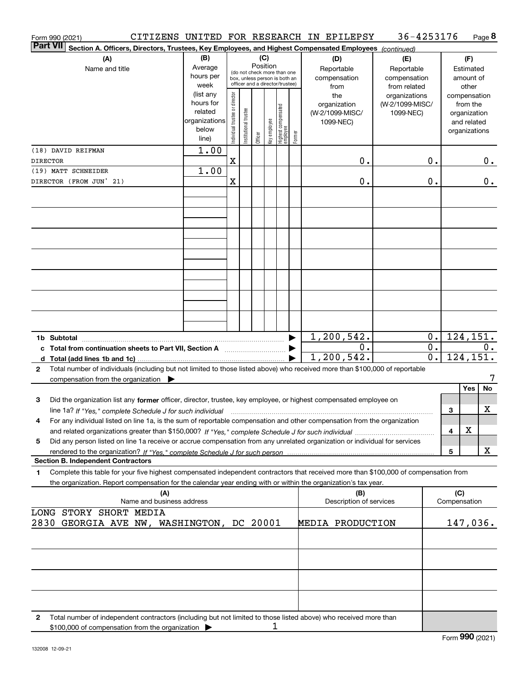|                 | Form 990 (2021)         |                                                                                                                                                      |                        |                                         |                       |         |   |                                                 |        | CITIZENS UNITED FOR RESEARCH IN EPILEPSY | 36-4253176                   |                  |                             |                          | Page 8 |
|-----------------|-------------------------|------------------------------------------------------------------------------------------------------------------------------------------------------|------------------------|-----------------------------------------|-----------------------|---------|---|-------------------------------------------------|--------|------------------------------------------|------------------------------|------------------|-----------------------------|--------------------------|--------|
| <b>Part VII</b> |                         | Section A. Officers, Directors, Trustees, Key Employees, and Highest Compensated Employees (continued)                                               |                        |                                         |                       |         |   |                                                 |        |                                          |                              |                  |                             |                          |        |
|                 |                         | (A)                                                                                                                                                  | (B)                    |                                         |                       | (C)     |   |                                                 |        | (D)                                      | (E)                          |                  |                             | (F)                      |        |
|                 |                         | Name and title                                                                                                                                       | Average                | Position<br>(do not check more than one |                       |         |   |                                                 |        | Reportable                               | Reportable                   |                  |                             | Estimated                |        |
|                 |                         |                                                                                                                                                      | hours per              |                                         |                       |         |   | box, unless person is both an                   |        | compensation                             | compensation                 |                  |                             | amount of                |        |
|                 |                         |                                                                                                                                                      | week                   |                                         |                       |         |   | officer and a director/trustee)                 |        | from                                     | from related                 |                  |                             | other                    |        |
|                 |                         |                                                                                                                                                      | (list any<br>hours for |                                         |                       |         |   |                                                 |        | the                                      | organizations                |                  |                             | compensation             |        |
|                 |                         |                                                                                                                                                      | related                |                                         |                       |         |   |                                                 |        | organization<br>(W-2/1099-MISC/          | (W-2/1099-MISC/<br>1099-NEC) |                  |                             | from the<br>organization |        |
|                 |                         |                                                                                                                                                      | organizations          |                                         |                       |         |   |                                                 |        | 1099-NEC)                                |                              |                  |                             | and related              |        |
|                 |                         |                                                                                                                                                      | below                  | ndividual trustee or director           | Institutional trustee |         |   |                                                 |        |                                          |                              |                  |                             | organizations            |        |
|                 |                         |                                                                                                                                                      | line)                  |                                         |                       | Officer |   | key employee<br>Highest compensated<br>employee | Former |                                          |                              |                  |                             |                          |        |
|                 | (18) DAVID REIFMAN      |                                                                                                                                                      | 1.00                   |                                         |                       |         |   |                                                 |        |                                          |                              |                  |                             |                          |        |
| <b>DIRECTOR</b> |                         |                                                                                                                                                      |                        | $\mathbf X$                             |                       |         |   |                                                 |        | 0.                                       |                              | 0.               |                             |                          | $0$ .  |
|                 | (19) MATT SCHNEIDER     |                                                                                                                                                      | 1.00                   |                                         |                       |         |   |                                                 |        |                                          |                              |                  |                             |                          |        |
|                 | DIRECTOR (FROM JUN' 21) |                                                                                                                                                      |                        | X                                       |                       |         |   |                                                 |        | 0.                                       |                              | 0.               |                             |                          | $0$ .  |
|                 |                         |                                                                                                                                                      |                        |                                         |                       |         |   |                                                 |        |                                          |                              |                  |                             |                          |        |
|                 |                         |                                                                                                                                                      |                        |                                         |                       |         |   |                                                 |        |                                          |                              |                  |                             |                          |        |
|                 |                         |                                                                                                                                                      |                        |                                         |                       |         |   |                                                 |        |                                          |                              |                  |                             |                          |        |
|                 |                         |                                                                                                                                                      |                        |                                         |                       |         |   |                                                 |        |                                          |                              |                  |                             |                          |        |
|                 |                         |                                                                                                                                                      |                        |                                         |                       |         |   |                                                 |        |                                          |                              |                  |                             |                          |        |
|                 |                         |                                                                                                                                                      |                        |                                         |                       |         |   |                                                 |        |                                          |                              |                  |                             |                          |        |
|                 |                         |                                                                                                                                                      |                        |                                         |                       |         |   |                                                 |        |                                          |                              |                  |                             |                          |        |
|                 |                         |                                                                                                                                                      |                        |                                         |                       |         |   |                                                 |        |                                          |                              |                  |                             |                          |        |
|                 |                         |                                                                                                                                                      |                        |                                         |                       |         |   |                                                 |        |                                          |                              |                  |                             |                          |        |
|                 |                         |                                                                                                                                                      |                        |                                         |                       |         |   |                                                 |        |                                          |                              |                  |                             |                          |        |
|                 |                         |                                                                                                                                                      |                        |                                         |                       |         |   |                                                 |        |                                          |                              |                  |                             |                          |        |
|                 |                         |                                                                                                                                                      |                        |                                         |                       |         |   |                                                 |        |                                          |                              |                  |                             |                          |        |
|                 |                         |                                                                                                                                                      |                        |                                         |                       |         |   |                                                 |        |                                          |                              |                  |                             |                          |        |
|                 |                         |                                                                                                                                                      |                        |                                         |                       |         |   |                                                 |        |                                          |                              |                  |                             |                          |        |
|                 |                         |                                                                                                                                                      |                        |                                         |                       |         |   |                                                 |        | 1, 200, 542.                             |                              | $\overline{0}$ . |                             | 124, 151.                |        |
|                 |                         |                                                                                                                                                      |                        |                                         |                       |         |   |                                                 |        | 0.                                       |                              | $\overline{0}$ . |                             |                          |        |
|                 |                         | c Total from continuation sheets to Part VII, Section A                                                                                              |                        |                                         |                       |         |   |                                                 |        | 1, 200, 542.                             |                              | $\overline{0}$ . |                             | 124, 151.                | $0$ .  |
|                 |                         |                                                                                                                                                      |                        |                                         |                       |         |   |                                                 |        |                                          |                              |                  |                             |                          |        |
| $\mathbf{2}$    |                         | Total number of individuals (including but not limited to those listed above) who received more than \$100,000 of reportable                         |                        |                                         |                       |         |   |                                                 |        |                                          |                              |                  |                             |                          | 7      |
|                 |                         | compensation from the organization $\blacktriangleright$                                                                                             |                        |                                         |                       |         |   |                                                 |        |                                          |                              |                  |                             | Yes                      | No     |
|                 |                         |                                                                                                                                                      |                        |                                         |                       |         |   |                                                 |        |                                          |                              |                  |                             |                          |        |
| 3               |                         | Did the organization list any former officer, director, trustee, key employee, or highest compensated employee on                                    |                        |                                         |                       |         |   |                                                 |        |                                          |                              |                  |                             |                          |        |
|                 |                         | line 1a? If "Yes," complete Schedule J for such individual manufactured contained and the line 1a? If "Yes," complete Schedule J for such individual |                        |                                         |                       |         |   |                                                 |        |                                          |                              |                  | 3                           |                          | x      |
|                 |                         | For any individual listed on line 1a, is the sum of reportable compensation and other compensation from the organization                             |                        |                                         |                       |         |   |                                                 |        |                                          |                              |                  |                             |                          |        |
|                 |                         |                                                                                                                                                      |                        |                                         |                       |         |   |                                                 |        |                                          |                              |                  | 4                           | X                        |        |
| 5               |                         | Did any person listed on line 1a receive or accrue compensation from any unrelated organization or individual for services                           |                        |                                         |                       |         |   |                                                 |        |                                          |                              |                  |                             |                          |        |
|                 |                         |                                                                                                                                                      |                        |                                         |                       |         |   |                                                 |        |                                          |                              |                  | 5                           |                          | х      |
|                 |                         | <b>Section B. Independent Contractors</b>                                                                                                            |                        |                                         |                       |         |   |                                                 |        |                                          |                              |                  |                             |                          |        |
| 1               |                         | Complete this table for your five highest compensated independent contractors that received more than \$100,000 of compensation from                 |                        |                                         |                       |         |   |                                                 |        |                                          |                              |                  |                             |                          |        |
|                 |                         | the organization. Report compensation for the calendar year ending with or within the organization's tax year.                                       |                        |                                         |                       |         |   |                                                 |        |                                          |                              |                  |                             |                          |        |
|                 |                         | (A)<br>Name and business address                                                                                                                     |                        |                                         |                       |         |   |                                                 |        | (B)<br>Description of services           |                              |                  | (C)<br>Compensation         |                          |        |
|                 |                         |                                                                                                                                                      |                        |                                         |                       |         |   |                                                 |        |                                          |                              |                  |                             |                          |        |
|                 |                         | LONG STORY SHORT MEDIA                                                                                                                               |                        |                                         |                       |         |   |                                                 |        |                                          |                              |                  |                             |                          |        |
|                 |                         | 2830 GEORGIA AVE NW, WASHINGTON, DC 20001                                                                                                            |                        |                                         |                       |         |   |                                                 |        | MEDIA PRODUCTION                         |                              |                  |                             | 147,036.                 |        |
|                 |                         |                                                                                                                                                      |                        |                                         |                       |         |   |                                                 |        |                                          |                              |                  |                             |                          |        |
|                 |                         |                                                                                                                                                      |                        |                                         |                       |         |   |                                                 |        |                                          |                              |                  |                             |                          |        |
|                 |                         |                                                                                                                                                      |                        |                                         |                       |         |   |                                                 |        |                                          |                              |                  |                             |                          |        |
|                 |                         |                                                                                                                                                      |                        |                                         |                       |         |   |                                                 |        |                                          |                              |                  |                             |                          |        |
|                 |                         |                                                                                                                                                      |                        |                                         |                       |         |   |                                                 |        |                                          |                              |                  |                             |                          |        |
|                 |                         |                                                                                                                                                      |                        |                                         |                       |         |   |                                                 |        |                                          |                              |                  |                             |                          |        |
|                 |                         |                                                                                                                                                      |                        |                                         |                       |         |   |                                                 |        |                                          |                              |                  |                             |                          |        |
|                 |                         |                                                                                                                                                      |                        |                                         |                       |         |   |                                                 |        |                                          |                              |                  |                             |                          |        |
| 2               |                         | Total number of independent contractors (including but not limited to those listed above) who received more than                                     |                        |                                         |                       |         |   |                                                 |        |                                          |                              |                  |                             |                          |        |
|                 |                         | \$100,000 of compensation from the organization                                                                                                      |                        |                                         |                       |         | 1 |                                                 |        |                                          |                              |                  |                             |                          |        |
|                 |                         |                                                                                                                                                      |                        |                                         |                       |         |   |                                                 |        |                                          |                              |                  | $F_{\text{arm}}$ 990 (2021) |                          |        |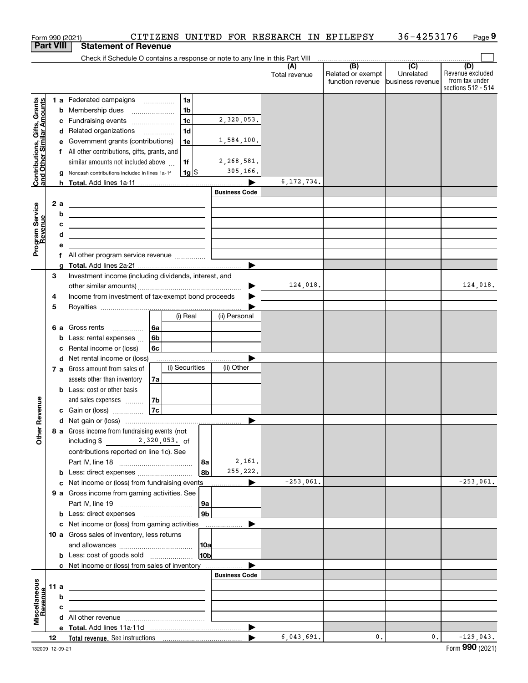|                                                           |      |    | Form 990 (2021)                                                                                                       |                        |                       | CITIZENS UNITED FOR RESEARCH IN EPILEPSY |                                              | 36-4253176                                         | Page 9                                                          |
|-----------------------------------------------------------|------|----|-----------------------------------------------------------------------------------------------------------------------|------------------------|-----------------------|------------------------------------------|----------------------------------------------|----------------------------------------------------|-----------------------------------------------------------------|
| <b>Part VIII</b>                                          |      |    | <b>Statement of Revenue</b>                                                                                           |                        |                       |                                          |                                              |                                                    |                                                                 |
|                                                           |      |    | Check if Schedule O contains a response or note to any line in this Part VIII                                         |                        |                       |                                          |                                              |                                                    |                                                                 |
|                                                           |      |    |                                                                                                                       |                        |                       | (A)<br>Total revenue                     | (B)<br>Related or exempt<br>function revenue | $\overline{(C)}$<br>Unrelated<br>lbusiness revenue | (D)<br>Revenue excluded<br>from tax under<br>sections 512 - 514 |
|                                                           |      |    | 1 a Federated campaigns                                                                                               | 1a                     |                       |                                          |                                              |                                                    |                                                                 |
|                                                           |      |    | <b>b</b> Membership dues                                                                                              | 1 <sub>b</sub>         |                       |                                          |                                              |                                                    |                                                                 |
|                                                           |      |    | c Fundraising events                                                                                                  | 1 <sub>c</sub>         | 2,320,053.            |                                          |                                              |                                                    |                                                                 |
|                                                           |      |    | d Related organizations                                                                                               | 1 <sub>d</sub>         |                       |                                          |                                              |                                                    |                                                                 |
|                                                           |      |    | e Government grants (contributions)                                                                                   | 1e                     | 1,584,100.            |                                          |                                              |                                                    |                                                                 |
|                                                           |      |    | f All other contributions, gifts, grants, and                                                                         |                        |                       |                                          |                                              |                                                    |                                                                 |
| Contributions, Gifts, Grants<br>and Other Similar Amounts |      |    | similar amounts not included above                                                                                    | 1f                     | 2,268,581.            |                                          |                                              |                                                    |                                                                 |
|                                                           |      |    | g Noncash contributions included in lines 1a-1f                                                                       | $1g$ \$                | 305,166.              |                                          |                                              |                                                    |                                                                 |
|                                                           |      |    |                                                                                                                       |                        |                       | 6, 172, 734.                             |                                              |                                                    |                                                                 |
|                                                           |      |    |                                                                                                                       |                        | <b>Business Code</b>  |                                          |                                              |                                                    |                                                                 |
|                                                           |      | 2a | <u> 1989 - Johann Barn, fransk politik amerikansk politik (</u>                                                       |                        |                       |                                          |                                              |                                                    |                                                                 |
|                                                           |      | b  | <u> 1989 - Johann Stoff, deutscher Stoff, der Stoff, der Stoff, der Stoff, der Stoff, der Stoff, der Stoff, der S</u> |                        |                       |                                          |                                              |                                                    |                                                                 |
| Program Service<br>Revenue                                |      | с  | <u> 1989 - Andrea Stadt Britain, amerikansk politik (</u>                                                             |                        |                       |                                          |                                              |                                                    |                                                                 |
|                                                           |      | d  | <u> 1989 - Johann Stein, mars an de Brazilian (b. 1989)</u>                                                           |                        |                       |                                          |                                              |                                                    |                                                                 |
|                                                           |      | е  |                                                                                                                       |                        |                       |                                          |                                              |                                                    |                                                                 |
|                                                           |      |    | f All other program service revenue                                                                                   |                        |                       |                                          |                                              |                                                    |                                                                 |
|                                                           |      |    |                                                                                                                       |                        |                       |                                          |                                              |                                                    |                                                                 |
|                                                           | 3    |    | Investment income (including dividends, interest, and                                                                 |                        |                       |                                          |                                              |                                                    |                                                                 |
|                                                           |      |    |                                                                                                                       |                        |                       | 124,018.                                 |                                              |                                                    | 124,018.                                                        |
|                                                           | 4    |    | Income from investment of tax-exempt bond proceeds                                                                    |                        |                       |                                          |                                              |                                                    |                                                                 |
|                                                           | 5    |    |                                                                                                                       |                        |                       |                                          |                                              |                                                    |                                                                 |
|                                                           |      |    |                                                                                                                       | (i) Real               | (ii) Personal         |                                          |                                              |                                                    |                                                                 |
|                                                           |      |    | 6 a Gross rents<br>6а                                                                                                 |                        |                       |                                          |                                              |                                                    |                                                                 |
|                                                           |      |    | <b>b</b> Less: rental expenses $\ldots$<br>6b                                                                         |                        |                       |                                          |                                              |                                                    |                                                                 |
|                                                           |      |    | c Rental income or (loss)<br>6с                                                                                       |                        |                       |                                          |                                              |                                                    |                                                                 |
|                                                           |      |    | d Net rental income or (loss)                                                                                         |                        |                       |                                          |                                              |                                                    |                                                                 |
|                                                           |      |    | 7 a Gross amount from sales of                                                                                        | (i) Securities         | (ii) Other            |                                          |                                              |                                                    |                                                                 |
|                                                           |      |    | assets other than inventory<br>7a                                                                                     |                        |                       |                                          |                                              |                                                    |                                                                 |
|                                                           |      |    | <b>b</b> Less: cost or other basis                                                                                    |                        |                       |                                          |                                              |                                                    |                                                                 |
|                                                           |      |    | 7b<br>and sales expenses                                                                                              |                        |                       |                                          |                                              |                                                    |                                                                 |
| evenue                                                    |      |    | 7c<br>c Gain or (loss)                                                                                                |                        |                       |                                          |                                              |                                                    |                                                                 |
|                                                           |      |    |                                                                                                                       |                        |                       |                                          |                                              |                                                    |                                                                 |
| Œ                                                         |      |    | 8 a Gross income from fundraising events (not                                                                         |                        |                       |                                          |                                              |                                                    |                                                                 |
| Other                                                     |      |    | including \$ _______ 2,320,053. of                                                                                    |                        |                       |                                          |                                              |                                                    |                                                                 |
|                                                           |      |    | contributions reported on line 1c). See                                                                               |                        |                       |                                          |                                              |                                                    |                                                                 |
|                                                           |      |    |                                                                                                                       | 8a                     | 2,161.                |                                          |                                              |                                                    |                                                                 |
|                                                           |      |    | <b>b</b> Less: direct expenses <i></i>                                                                                | 8b                     | 255,222.              |                                          |                                              |                                                    |                                                                 |
|                                                           |      |    | c Net income or (loss) from fundraising events                                                                        |                        | $\blacktriangleright$ | $-253,061.$                              |                                              |                                                    | $-253,061.$                                                     |
|                                                           |      |    | 9 a Gross income from gaming activities. See                                                                          |                        |                       |                                          |                                              |                                                    |                                                                 |
|                                                           |      |    |                                                                                                                       | 9a                     |                       |                                          |                                              |                                                    |                                                                 |
|                                                           |      |    | <b>b</b> Less: direct expenses <b>manually</b>                                                                        | 9 <sub>b</sub>         |                       |                                          |                                              |                                                    |                                                                 |
|                                                           |      |    | c Net income or (loss) from gaming activities                                                                         |                        | .                     |                                          |                                              |                                                    |                                                                 |
|                                                           |      |    | 10 a Gross sales of inventory, less returns                                                                           |                        |                       |                                          |                                              |                                                    |                                                                 |
|                                                           |      |    |                                                                                                                       |                        |                       |                                          |                                              |                                                    |                                                                 |
|                                                           |      |    |                                                                                                                       | 10a<br>10 <sub>b</sub> |                       |                                          |                                              |                                                    |                                                                 |
|                                                           |      |    | <b>b</b> Less: cost of goods sold                                                                                     |                        |                       |                                          |                                              |                                                    |                                                                 |
|                                                           |      |    | c Net income or (loss) from sales of inventory                                                                        |                        | <b>Business Code</b>  |                                          |                                              |                                                    |                                                                 |
|                                                           |      |    |                                                                                                                       |                        |                       |                                          |                                              |                                                    |                                                                 |
| Miscellaneous<br>Revenue                                  | 11 a |    | <u> 1989 - Johann Stein, mars an deus an deus an deus an deus an deus an deus an deus an deus an deus an deus an</u>  |                        |                       |                                          |                                              |                                                    |                                                                 |
|                                                           |      | b  |                                                                                                                       |                        |                       |                                          |                                              |                                                    |                                                                 |
|                                                           |      | c  | the control of the control of the control of the control of the control of                                            |                        |                       |                                          |                                              |                                                    |                                                                 |
|                                                           |      |    |                                                                                                                       |                        |                       |                                          |                                              |                                                    |                                                                 |
|                                                           |      |    |                                                                                                                       |                        | ▶                     |                                          |                                              |                                                    |                                                                 |
|                                                           | 12   |    |                                                                                                                       |                        |                       | 6,043,691.                               | 0.                                           | 0.                                                 | $-129,043.$                                                     |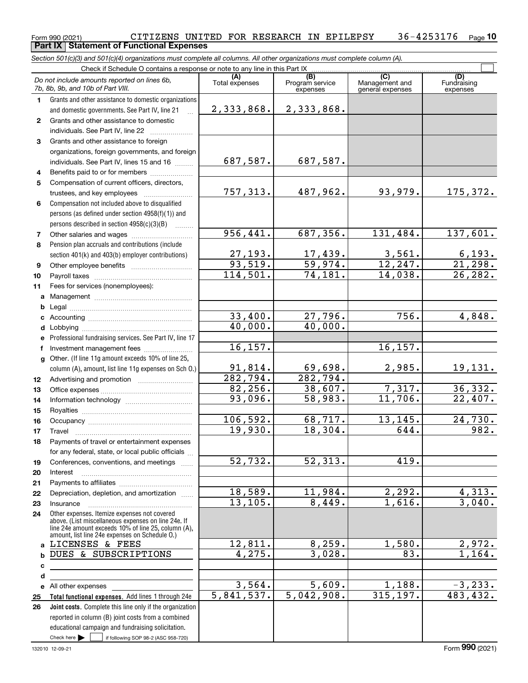### Form 990 (2021) CITIZENS UNITED FOR RESEARCH IN EPILEPSY 36-4253176 <sub>Page</sub><br>**Part IX | Statement of Functional Expenses 10**

*Section 501(c)(3) and 501(c)(4) organizations must complete all columns. All other organizations must complete column (A).*

|              | Check if Schedule O contains a response or note to any line in this Part IX.                                                                               |                           |                                    |                                           |                                |  |  |  |  |  |  |  |
|--------------|------------------------------------------------------------------------------------------------------------------------------------------------------------|---------------------------|------------------------------------|-------------------------------------------|--------------------------------|--|--|--|--|--|--|--|
|              | Do not include amounts reported on lines 6b,<br>7b, 8b, 9b, and 10b of Part VIII.                                                                          | (A)<br>Total expenses     | (B)<br>Program service<br>expenses | (C)<br>Management and<br>general expenses | (D)<br>Fundraising<br>expenses |  |  |  |  |  |  |  |
| $\mathbf{1}$ | Grants and other assistance to domestic organizations                                                                                                      |                           |                                    |                                           |                                |  |  |  |  |  |  |  |
|              | and domestic governments. See Part IV, line 21                                                                                                             | 2,333,868.                | 2,333,868.                         |                                           |                                |  |  |  |  |  |  |  |
| $\mathbf{2}$ | Grants and other assistance to domestic                                                                                                                    |                           |                                    |                                           |                                |  |  |  |  |  |  |  |
|              | individuals. See Part IV, line 22                                                                                                                          |                           |                                    |                                           |                                |  |  |  |  |  |  |  |
| 3            | Grants and other assistance to foreign                                                                                                                     |                           |                                    |                                           |                                |  |  |  |  |  |  |  |
|              | organizations, foreign governments, and foreign                                                                                                            |                           |                                    |                                           |                                |  |  |  |  |  |  |  |
|              | individuals. See Part IV, lines 15 and 16                                                                                                                  | 687,587.                  | 687,587.                           |                                           |                                |  |  |  |  |  |  |  |
| 4            | Benefits paid to or for members                                                                                                                            |                           |                                    |                                           |                                |  |  |  |  |  |  |  |
| 5            | Compensation of current officers, directors,                                                                                                               |                           |                                    |                                           |                                |  |  |  |  |  |  |  |
|              |                                                                                                                                                            | 757,313.                  | 487,962.                           | 93,979.                                   | 175,372.                       |  |  |  |  |  |  |  |
| 6            | Compensation not included above to disqualified                                                                                                            |                           |                                    |                                           |                                |  |  |  |  |  |  |  |
|              | persons (as defined under section 4958(f)(1)) and                                                                                                          |                           |                                    |                                           |                                |  |  |  |  |  |  |  |
|              | persons described in section 4958(c)(3)(B)                                                                                                                 |                           |                                    |                                           |                                |  |  |  |  |  |  |  |
| 7            |                                                                                                                                                            | 956,441.                  | 687, 356.                          | 131,484.                                  | 137,601.                       |  |  |  |  |  |  |  |
| 8            | Pension plan accruals and contributions (include                                                                                                           |                           |                                    |                                           |                                |  |  |  |  |  |  |  |
|              | section 401(k) and 403(b) employer contributions)                                                                                                          | $\frac{27,193.}{93,519.}$ | $\frac{17,439.}{59,974.}$          | 3,561.                                    | $\frac{6,193.}{21,298.}$       |  |  |  |  |  |  |  |
| 9            |                                                                                                                                                            |                           |                                    | 12, 247.                                  |                                |  |  |  |  |  |  |  |
| 10           |                                                                                                                                                            | 114,501.                  | 74,181.                            | 14,038.                                   | 26, 282.                       |  |  |  |  |  |  |  |
| 11           | Fees for services (nonemployees):                                                                                                                          |                           |                                    |                                           |                                |  |  |  |  |  |  |  |
| a            |                                                                                                                                                            |                           |                                    |                                           |                                |  |  |  |  |  |  |  |
| b            |                                                                                                                                                            | 33,400.                   | 27,796.                            | 756.                                      |                                |  |  |  |  |  |  |  |
| c            |                                                                                                                                                            | 40,000.                   | 40,000.                            |                                           | 4,848.                         |  |  |  |  |  |  |  |
| d            |                                                                                                                                                            |                           |                                    |                                           |                                |  |  |  |  |  |  |  |
|              | Professional fundraising services. See Part IV, line 17                                                                                                    | 16, 157.                  |                                    | 16, 157.                                  |                                |  |  |  |  |  |  |  |
| f            | Other. (If line 11g amount exceeds 10% of line 25,                                                                                                         |                           |                                    |                                           |                                |  |  |  |  |  |  |  |
| $\mathbf{q}$ | column (A), amount, list line 11g expenses on Sch O.)                                                                                                      | 91,814.                   | 69,698.                            | 2,985.                                    | 19,131.                        |  |  |  |  |  |  |  |
| 12           |                                                                                                                                                            | $\overline{282,794}$ .    | 282,794.                           |                                           |                                |  |  |  |  |  |  |  |
| 13           |                                                                                                                                                            | 82, 256.                  | 38,607.                            | 7,317.                                    | 36,332.                        |  |  |  |  |  |  |  |
| 14           |                                                                                                                                                            | 93,096.                   | 58,983.                            | 11,706.                                   | 22,407.                        |  |  |  |  |  |  |  |
| 15           |                                                                                                                                                            |                           |                                    |                                           |                                |  |  |  |  |  |  |  |
| 16           |                                                                                                                                                            | 106,592.                  | 68,717.                            | 13,145.                                   | 24,730.                        |  |  |  |  |  |  |  |
| 17           | Travel                                                                                                                                                     | 19,930.                   | 18,304.                            | 644.                                      | 982.                           |  |  |  |  |  |  |  |
| 18           | Payments of travel or entertainment expenses                                                                                                               |                           |                                    |                                           |                                |  |  |  |  |  |  |  |
|              | for any federal, state, or local public officials                                                                                                          |                           |                                    |                                           |                                |  |  |  |  |  |  |  |
| 19           | Conferences, conventions, and meetings                                                                                                                     | 52,732.                   | 52, 313.                           | 419.                                      |                                |  |  |  |  |  |  |  |
| 20           | Interest                                                                                                                                                   |                           |                                    |                                           |                                |  |  |  |  |  |  |  |
| 21           |                                                                                                                                                            |                           |                                    |                                           |                                |  |  |  |  |  |  |  |
| 22           | Depreciation, depletion, and amortization                                                                                                                  | 18,589.                   | 11,984.                            | 2,292.                                    | 4,313.                         |  |  |  |  |  |  |  |
| 23           | Insurance                                                                                                                                                  | 13, 105.                  | 8,449.                             | 1,616.                                    | 3,040.                         |  |  |  |  |  |  |  |
| 24           | Other expenses. Itemize expenses not covered<br>above. (List miscellaneous expenses on line 24e. If<br>line 24e amount exceeds 10% of line 25, column (A), |                           |                                    |                                           |                                |  |  |  |  |  |  |  |
|              | amount, list line 24e expenses on Schedule O.)                                                                                                             |                           |                                    |                                           |                                |  |  |  |  |  |  |  |
| a            | LICENSES & FEES                                                                                                                                            | 12,811.                   | 8, 259.                            | 1,580.                                    | 2,972.                         |  |  |  |  |  |  |  |
| b            | DUES & SUBSCRIPTIONS                                                                                                                                       | 4,275.                    | 3,028.                             | 83.                                       | 1,164.                         |  |  |  |  |  |  |  |
| c            |                                                                                                                                                            |                           |                                    |                                           |                                |  |  |  |  |  |  |  |
| d            |                                                                                                                                                            | 3,564.                    | 5,609.                             | 1,188.                                    | $-3, 233.$                     |  |  |  |  |  |  |  |
| е            | All other expenses<br>Total functional expenses. Add lines 1 through 24e                                                                                   | 5,841,537.                | 5,042,908.                         | 315, 197.                                 | 483,432.                       |  |  |  |  |  |  |  |
| 25<br>26     | Joint costs. Complete this line only if the organization                                                                                                   |                           |                                    |                                           |                                |  |  |  |  |  |  |  |
|              | reported in column (B) joint costs from a combined                                                                                                         |                           |                                    |                                           |                                |  |  |  |  |  |  |  |
|              | educational campaign and fundraising solicitation.                                                                                                         |                           |                                    |                                           |                                |  |  |  |  |  |  |  |
|              | Check here $\blacktriangleright$<br>if following SOP 98-2 (ASC 958-720)                                                                                    |                           |                                    |                                           |                                |  |  |  |  |  |  |  |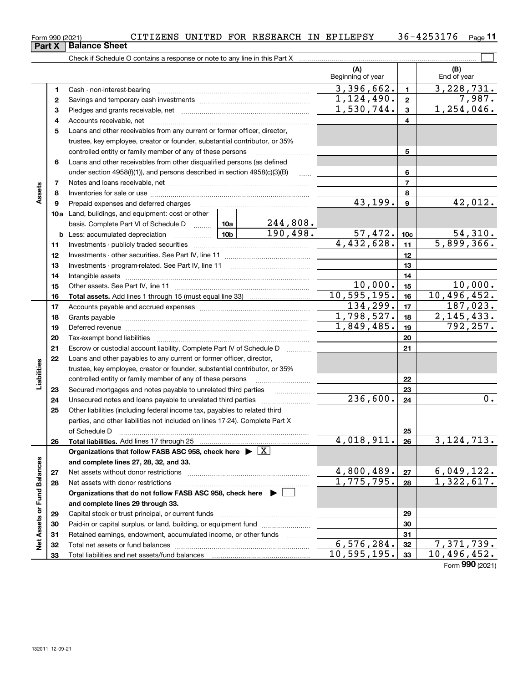**2728**

**Net Assets or Fund Balances**

Net Assets or Fund Balances

|             | Form 990 (2021) | CITIZENS UNITED FOR RESEARCH IN EPILEPSY 36-4253176<br><b>Balance Sheet</b>                                                                                                                                                    |                 |          |                           |                 |                    | Page 1   |
|-------------|-----------------|--------------------------------------------------------------------------------------------------------------------------------------------------------------------------------------------------------------------------------|-----------------|----------|---------------------------|-----------------|--------------------|----------|
|             | Part X          |                                                                                                                                                                                                                                |                 |          |                           |                 |                    |          |
|             |                 | Check if Schedule O contains a response or note to any line in this Part X                                                                                                                                                     |                 |          | (A)                       |                 |                    |          |
|             |                 |                                                                                                                                                                                                                                |                 |          | Beginning of year         |                 | (B)<br>End of year |          |
|             | 1.              |                                                                                                                                                                                                                                |                 |          | 3,396,662.                | $\mathbf{1}$    | 3,228,731.         |          |
|             | $\mathbf{2}$    |                                                                                                                                                                                                                                |                 |          | 1,124,490.                | $\overline{2}$  |                    | 7,987.   |
|             | 3               |                                                                                                                                                                                                                                |                 |          | 1,530,744.                | 3               | 1,254,046.         |          |
|             | 4               |                                                                                                                                                                                                                                |                 |          |                           | 4               |                    |          |
|             | 5               | Loans and other receivables from any current or former officer, director,                                                                                                                                                      |                 |          |                           |                 |                    |          |
|             |                 | trustee, key employee, creator or founder, substantial contributor, or 35%                                                                                                                                                     |                 |          |                           |                 |                    |          |
|             |                 | controlled entity or family member of any of these persons                                                                                                                                                                     |                 | 5        |                           |                 |                    |          |
|             | 6               | Loans and other receivables from other disqualified persons (as defined                                                                                                                                                        |                 |          |                           |                 |                    |          |
| Assets      |                 | under section 4958(f)(1)), and persons described in section 4958(c)(3)(B)                                                                                                                                                      |                 | $\sim$   |                           | 6               |                    |          |
|             | 7               |                                                                                                                                                                                                                                |                 |          |                           | $\overline{7}$  |                    |          |
|             | 8               |                                                                                                                                                                                                                                |                 | 8        |                           |                 |                    |          |
|             | 9               | Prepaid expenses and deferred charges [11] [11] Prepaid expenses and deferred charges [11] [11] Martin Martin Martin Martin Martin Martin Martin Martin Martin Martin Martin Martin Martin Martin Martin Martin Martin Martin  |                 |          | 43,199.                   | 9               |                    | 42,012.  |
|             |                 | 10a Land, buildings, and equipment: cost or other                                                                                                                                                                              |                 |          |                           |                 |                    |          |
|             |                 | basis. Complete Part VI of Schedule D  10a                                                                                                                                                                                     |                 | 244,808. |                           |                 |                    |          |
|             |                 | <b>b</b> Less: accumulated depreciation <i>mimimimimi</i>                                                                                                                                                                      | 10 <sub>b</sub> | 190,498. | 57,472.                   | 10 <sub>c</sub> |                    | 54,310.  |
|             | 11              |                                                                                                                                                                                                                                |                 |          | $\overline{4,432},628.$   | 11              | 5,899,366.         |          |
|             | 12              |                                                                                                                                                                                                                                |                 |          |                           | 12              |                    |          |
|             | 13              |                                                                                                                                                                                                                                |                 |          |                           | 13              |                    |          |
|             | 14              |                                                                                                                                                                                                                                |                 |          |                           | 14              |                    |          |
|             | 15              |                                                                                                                                                                                                                                |                 |          | 10,000.<br>10, 595, 195.  | 15              | 10,496,452.        | 10,000.  |
|             | 16              |                                                                                                                                                                                                                                |                 |          | 134,299.                  | 16<br>17        |                    | 187,023. |
|             | 17<br>18        |                                                                                                                                                                                                                                |                 |          | 1,798,527.                | 18              | 2, 145, 433.       |          |
|             | 19              |                                                                                                                                                                                                                                |                 |          | $\overline{1,849}$ , 485. | 19              |                    | 792,257. |
|             | 20              | Deferred revenue material contracts and a contract of the contract of the contract of the contract of the contract of the contract of the contract of the contract of the contract of the contract of the contract of the cont |                 |          |                           | 20              |                    |          |
|             | 21              | Escrow or custodial account liability. Complete Part IV of Schedule D                                                                                                                                                          |                 |          |                           | 21              |                    |          |
|             | 22              | Loans and other payables to any current or former officer, director,                                                                                                                                                           |                 |          |                           |                 |                    |          |
| Liabilities |                 | trustee, key employee, creator or founder, substantial contributor, or 35%                                                                                                                                                     |                 |          |                           |                 |                    |          |
|             |                 | controlled entity or family member of any of these persons                                                                                                                                                                     |                 |          |                           | 22              |                    |          |
|             | 23              | Secured mortgages and notes payable to unrelated third parties                                                                                                                                                                 |                 | .        |                           | 23              |                    |          |
|             | 24              | Unsecured notes and loans payable to unrelated third parties                                                                                                                                                                   |                 |          | 236,600.                  | 24              |                    | 0.       |
|             | 25              | Other liabilities (including federal income tax, payables to related third                                                                                                                                                     |                 |          |                           |                 |                    |          |
|             |                 | parties, and other liabilities not included on lines 17-24). Complete Part X                                                                                                                                                   |                 |          |                           |                 |                    |          |
|             |                 | of Schedule D                                                                                                                                                                                                                  |                 |          |                           | 25              |                    |          |
|             | 26              | Total liabilities. Add lines 17 through 25                                                                                                                                                                                     |                 |          | 4,018,911.                | 26              | 3, 124, 713.       |          |
|             |                 | Organizations that follow FASB ASC 958, check here $\triangleright \lfloor X \rfloor$                                                                                                                                          |                 |          |                           |                 |                    |          |
| 8ĝ          |                 | and complete lines 27, 28, 32, and 33.                                                                                                                                                                                         |                 |          |                           |                 |                    |          |

. . . . . <u>.</u> . . . . . . .

**Organizations that do not follow FASB ASC 958, check here** |

Net assets without donor restrictions ~~~~~~~~~~~~~~~~~~~~ Net assets with donor restrictions ~~~~~~~~~~~~~~~~~~~~~~

Capital stock or trust principal, or current funds ~~~~~~~~~~~~~~~ Paid-in or capital surplus, or land, building, or equipment fund www.commun.com Retained earnings, endowment, accumulated income, or other funds we have all the Total net assets or fund balances ~~~~~~~~~~~~~~~~~~~~~~

**and complete lines 29 through 33.**

Total liabilities and net assets/fund balances

Form (2021) **990**

10,496,452.

124,713.

3,396,662. 3,228,731.

1,124,490. 7,987.

1,046.

43,199. 42,012.

899,366.

54,310.

10,000. 10,000. 496,452.

134,299. 187,023. 145,433. 792,257.

**2728**

1,775,795.

 $\frac{4,800,489.|z7|}{1,775,795.|z8|}$   $\frac{6,049,122.|z7|}{1,322,617.|z7|}$ 

 $\begin{array}{|c|c|c|c|c|c|}\n6,576,284. & \text{32} & 7,371,739. \\
10,595,195. & \text{33} & 10,496,452. \\
\end{array}$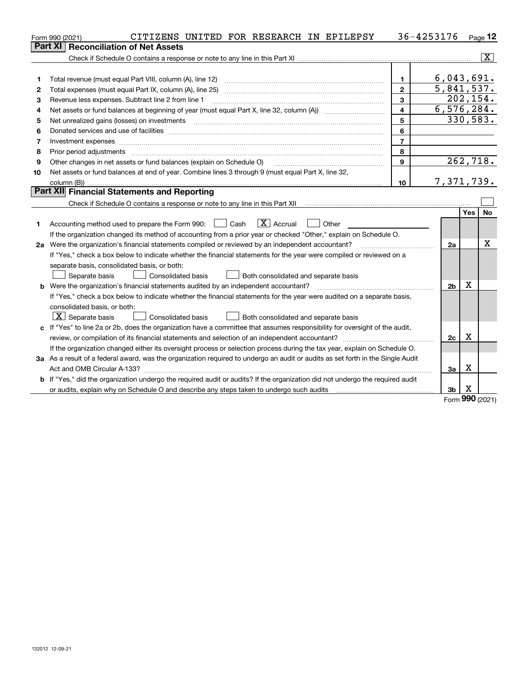|    | CITIZENS UNITED FOR RESEARCH IN EPILEPSY<br>Form 990 (2021)                                                                     |                         | 36-4253176     |            | Page 12        |
|----|---------------------------------------------------------------------------------------------------------------------------------|-------------------------|----------------|------------|----------------|
|    | Part XI<br><b>Reconciliation of Net Assets</b>                                                                                  |                         |                |            |                |
|    |                                                                                                                                 |                         |                |            | $ \mathbf{X} $ |
|    |                                                                                                                                 |                         |                |            |                |
| 1  | Total revenue (must equal Part VIII, column (A), line 12)                                                                       | $\mathbf{1}$            | 6,043,691.     |            |                |
| 2  |                                                                                                                                 | $\overline{2}$          | 5,841,537.     |            |                |
| з  | Revenue less expenses. Subtract line 2 from line 1                                                                              | $\mathbf{3}$            |                | 202, 154.  |                |
| 4  |                                                                                                                                 | $\overline{\mathbf{4}}$ | 6,576,284.     |            |                |
| 5  | Net unrealized gains (losses) on investments                                                                                    | 5                       |                | 330,583.   |                |
| 6  |                                                                                                                                 | 6                       |                |            |                |
| 7  |                                                                                                                                 | $\overline{7}$          |                |            |                |
| 8  | Prior period adjustments                                                                                                        | 8                       |                |            |                |
| 9  | Other changes in net assets or fund balances (explain on Schedule O)                                                            | 9                       |                |            | 262,718.       |
| 10 | Net assets or fund balances at end of year. Combine lines 3 through 9 (must equal Part X, line 32,                              |                         |                |            |                |
|    |                                                                                                                                 | 10                      | 7,371,739.     |            |                |
|    | <b>Part XII Financial Statements and Reporting</b>                                                                              |                         |                |            |                |
|    |                                                                                                                                 |                         |                |            |                |
|    |                                                                                                                                 |                         |                | <b>Yes</b> | <b>No</b>      |
| 1. | $\boxed{\mathbf{X}}$ Accrual<br>Accounting method used to prepare the Form 990: <u>June</u> Cash<br>Other                       |                         |                |            |                |
|    | If the organization changed its method of accounting from a prior year or checked "Other," explain on Schedule O.               |                         |                |            |                |
|    | 2a Were the organization's financial statements compiled or reviewed by an independent accountant?                              |                         | 2a             |            | х              |
|    | If "Yes," check a box below to indicate whether the financial statements for the year were compiled or reviewed on a            |                         |                |            |                |
|    | separate basis, consolidated basis, or both:                                                                                    |                         |                |            |                |
|    | Separate basis<br>Both consolidated and separate basis<br><b>Consolidated basis</b>                                             |                         |                |            |                |
| b  | Were the organization's financial statements audited by an independent accountant?                                              |                         | 2b             | Χ          |                |
|    | If "Yes," check a box below to indicate whether the financial statements for the year were audited on a separate basis,         |                         |                |            |                |
|    | consolidated basis, or both:                                                                                                    |                         |                |            |                |
|    | $\lfloor x \rfloor$ Separate basis<br><b>Consolidated basis</b><br>Both consolidated and separate basis                         |                         |                |            |                |
|    | c If "Yes" to line 2a or 2b, does the organization have a committee that assumes responsibility for oversight of the audit,     |                         |                |            |                |
|    |                                                                                                                                 |                         | 2c             | X          |                |
|    | If the organization changed either its oversight process or selection process during the tax year, explain on Schedule O.       |                         |                |            |                |
|    | 3a As a result of a federal award, was the organization required to undergo an audit or audits as set forth in the Single Audit |                         |                |            |                |
|    | Act and OMB Circular A-133?                                                                                                     |                         | За             | X          |                |
|    | b If "Yes," did the organization undergo the required audit or audits? If the organization did not undergo the required audit   |                         |                |            |                |
|    |                                                                                                                                 |                         | 3 <sub>b</sub> | x          |                |

Form (2021) **990**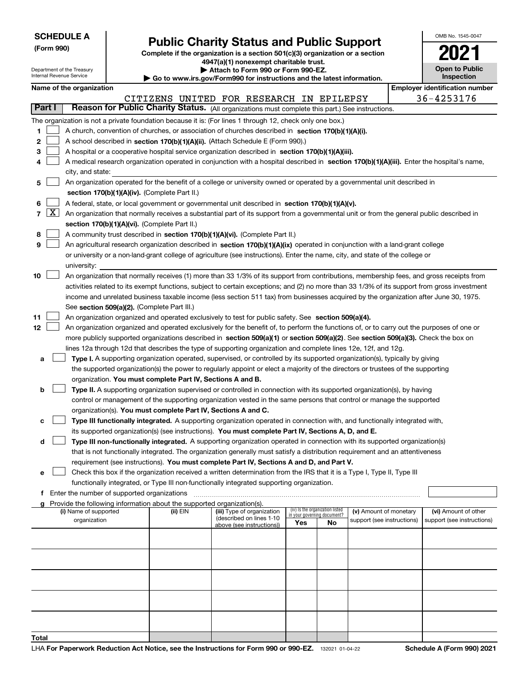Department of the Treasury

**(Form 990)**

## **Public Charity Status and Public Support**

**Complete if the organization is a section 501(c)(3) organization or a section 4947(a)(1) nonexempt charitable trust.**

**| Attach to Form 990 or Form 990-EZ.** 

| OMB No. 1545-0047                   |
|-------------------------------------|
|                                     |
| <b>Open to Public</b><br>Inspection |

|                          | Internal Revenue Service                      |                                               | Go to www.irs.gov/Form990 for instructions and the latest information. | Inspection                                                                                                                                                                                                                                                      |     |                                 |                            |  |                                       |
|--------------------------|-----------------------------------------------|-----------------------------------------------|------------------------------------------------------------------------|-----------------------------------------------------------------------------------------------------------------------------------------------------------------------------------------------------------------------------------------------------------------|-----|---------------------------------|----------------------------|--|---------------------------------------|
|                          | Name of the organization                      |                                               |                                                                        |                                                                                                                                                                                                                                                                 |     |                                 |                            |  | <b>Employer identification number</b> |
|                          |                                               |                                               |                                                                        | CITIZENS UNITED FOR RESEARCH IN EPILEPSY                                                                                                                                                                                                                        |     |                                 |                            |  | 36-4253176                            |
| Part I                   |                                               |                                               |                                                                        | Reason for Public Charity Status. (All organizations must complete this part.) See instructions.                                                                                                                                                                |     |                                 |                            |  |                                       |
|                          |                                               |                                               |                                                                        | The organization is not a private foundation because it is: (For lines 1 through 12, check only one box.)                                                                                                                                                       |     |                                 |                            |  |                                       |
| 1                        |                                               |                                               |                                                                        | A church, convention of churches, or association of churches described in section 170(b)(1)(A)(i).                                                                                                                                                              |     |                                 |                            |  |                                       |
| 2                        |                                               |                                               |                                                                        | A school described in section 170(b)(1)(A)(ii). (Attach Schedule E (Form 990).)                                                                                                                                                                                 |     |                                 |                            |  |                                       |
| 3                        |                                               |                                               |                                                                        | A hospital or a cooperative hospital service organization described in section 170(b)(1)(A)(iii).                                                                                                                                                               |     |                                 |                            |  |                                       |
| 4                        |                                               |                                               |                                                                        | A medical research organization operated in conjunction with a hospital described in section 170(b)(1)(A)(iii). Enter the hospital's name,                                                                                                                      |     |                                 |                            |  |                                       |
|                          | city, and state:                              |                                               |                                                                        |                                                                                                                                                                                                                                                                 |     |                                 |                            |  |                                       |
| 5                        |                                               |                                               |                                                                        | An organization operated for the benefit of a college or university owned or operated by a governmental unit described in                                                                                                                                       |     |                                 |                            |  |                                       |
|                          |                                               | section 170(b)(1)(A)(iv). (Complete Part II.) |                                                                        |                                                                                                                                                                                                                                                                 |     |                                 |                            |  |                                       |
| 6                        |                                               |                                               |                                                                        | A federal, state, or local government or governmental unit described in section 170(b)(1)(A)(v).                                                                                                                                                                |     |                                 |                            |  |                                       |
| $\lfloor x \rfloor$<br>7 |                                               |                                               |                                                                        | An organization that normally receives a substantial part of its support from a governmental unit or from the general public described in                                                                                                                       |     |                                 |                            |  |                                       |
|                          |                                               | section 170(b)(1)(A)(vi). (Complete Part II.) |                                                                        |                                                                                                                                                                                                                                                                 |     |                                 |                            |  |                                       |
| 8                        |                                               |                                               |                                                                        | A community trust described in section 170(b)(1)(A)(vi). (Complete Part II.)                                                                                                                                                                                    |     |                                 |                            |  |                                       |
| 9                        |                                               |                                               |                                                                        | An agricultural research organization described in section 170(b)(1)(A)(ix) operated in conjunction with a land-grant college<br>or university or a non-land-grant college of agriculture (see instructions). Enter the name, city, and state of the college or |     |                                 |                            |  |                                       |
|                          | university:                                   |                                               |                                                                        |                                                                                                                                                                                                                                                                 |     |                                 |                            |  |                                       |
| 10                       |                                               |                                               |                                                                        | An organization that normally receives (1) more than 33 1/3% of its support from contributions, membership fees, and gross receipts from                                                                                                                        |     |                                 |                            |  |                                       |
|                          |                                               |                                               |                                                                        | activities related to its exempt functions, subject to certain exceptions; and (2) no more than 33 1/3% of its support from gross investment                                                                                                                    |     |                                 |                            |  |                                       |
|                          |                                               |                                               |                                                                        | income and unrelated business taxable income (less section 511 tax) from businesses acquired by the organization after June 30, 1975.                                                                                                                           |     |                                 |                            |  |                                       |
|                          |                                               | See section 509(a)(2). (Complete Part III.)   |                                                                        |                                                                                                                                                                                                                                                                 |     |                                 |                            |  |                                       |
| 11                       |                                               |                                               |                                                                        | An organization organized and operated exclusively to test for public safety. See section 509(a)(4).                                                                                                                                                            |     |                                 |                            |  |                                       |
| 12                       |                                               |                                               |                                                                        | An organization organized and operated exclusively for the benefit of, to perform the functions of, or to carry out the purposes of one or                                                                                                                      |     |                                 |                            |  |                                       |
|                          |                                               |                                               |                                                                        | more publicly supported organizations described in section 509(a)(1) or section 509(a)(2). See section 509(a)(3). Check the box on                                                                                                                              |     |                                 |                            |  |                                       |
|                          |                                               |                                               |                                                                        | lines 12a through 12d that describes the type of supporting organization and complete lines 12e, 12f, and 12g.                                                                                                                                                  |     |                                 |                            |  |                                       |
| а                        |                                               |                                               |                                                                        | Type I. A supporting organization operated, supervised, or controlled by its supported organization(s), typically by giving                                                                                                                                     |     |                                 |                            |  |                                       |
|                          |                                               |                                               |                                                                        | the supported organization(s) the power to regularly appoint or elect a majority of the directors or trustees of the supporting                                                                                                                                 |     |                                 |                            |  |                                       |
|                          |                                               |                                               |                                                                        | organization. You must complete Part IV, Sections A and B.                                                                                                                                                                                                      |     |                                 |                            |  |                                       |
| b                        |                                               |                                               |                                                                        | Type II. A supporting organization supervised or controlled in connection with its supported organization(s), by having                                                                                                                                         |     |                                 |                            |  |                                       |
|                          |                                               |                                               |                                                                        | control or management of the supporting organization vested in the same persons that control or manage the supported                                                                                                                                            |     |                                 |                            |  |                                       |
|                          |                                               |                                               |                                                                        | organization(s). You must complete Part IV, Sections A and C.                                                                                                                                                                                                   |     |                                 |                            |  |                                       |
| c                        |                                               |                                               |                                                                        | Type III functionally integrated. A supporting organization operated in connection with, and functionally integrated with,                                                                                                                                      |     |                                 |                            |  |                                       |
|                          |                                               |                                               |                                                                        | its supported organization(s) (see instructions). You must complete Part IV, Sections A, D, and E.                                                                                                                                                              |     |                                 |                            |  |                                       |
| d                        |                                               |                                               |                                                                        | Type III non-functionally integrated. A supporting organization operated in connection with its supported organization(s)                                                                                                                                       |     |                                 |                            |  |                                       |
|                          |                                               |                                               |                                                                        | that is not functionally integrated. The organization generally must satisfy a distribution requirement and an attentiveness                                                                                                                                    |     |                                 |                            |  |                                       |
|                          |                                               |                                               |                                                                        | requirement (see instructions). You must complete Part IV, Sections A and D, and Part V.                                                                                                                                                                        |     |                                 |                            |  |                                       |
| е                        |                                               |                                               |                                                                        | Check this box if the organization received a written determination from the IRS that it is a Type I, Type II, Type III                                                                                                                                         |     |                                 |                            |  |                                       |
|                          |                                               |                                               |                                                                        | functionally integrated, or Type III non-functionally integrated supporting organization.                                                                                                                                                                       |     |                                 |                            |  |                                       |
|                          | f Enter the number of supported organizations |                                               |                                                                        |                                                                                                                                                                                                                                                                 |     |                                 |                            |  |                                       |
|                          | (i) Name of supported                         |                                               | (ii) EIN                                                               | g Provide the following information about the supported organization(s).<br>(iii) Type of organization                                                                                                                                                          |     | (iv) Is the organization listed | (v) Amount of monetary     |  | (vi) Amount of other                  |
|                          | organization                                  |                                               |                                                                        | (described on lines 1-10                                                                                                                                                                                                                                        |     | in your governing document?     | support (see instructions) |  | support (see instructions)            |
|                          |                                               |                                               |                                                                        | above (see instructions))                                                                                                                                                                                                                                       | Yes | No                              |                            |  |                                       |
|                          |                                               |                                               |                                                                        |                                                                                                                                                                                                                                                                 |     |                                 |                            |  |                                       |
|                          |                                               |                                               |                                                                        |                                                                                                                                                                                                                                                                 |     |                                 |                            |  |                                       |
|                          |                                               |                                               |                                                                        |                                                                                                                                                                                                                                                                 |     |                                 |                            |  |                                       |
|                          |                                               |                                               |                                                                        |                                                                                                                                                                                                                                                                 |     |                                 |                            |  |                                       |
|                          |                                               |                                               |                                                                        |                                                                                                                                                                                                                                                                 |     |                                 |                            |  |                                       |
|                          |                                               |                                               |                                                                        |                                                                                                                                                                                                                                                                 |     |                                 |                            |  |                                       |
|                          |                                               |                                               |                                                                        |                                                                                                                                                                                                                                                                 |     |                                 |                            |  |                                       |
|                          |                                               |                                               |                                                                        |                                                                                                                                                                                                                                                                 |     |                                 |                            |  |                                       |
|                          |                                               |                                               |                                                                        |                                                                                                                                                                                                                                                                 |     |                                 |                            |  |                                       |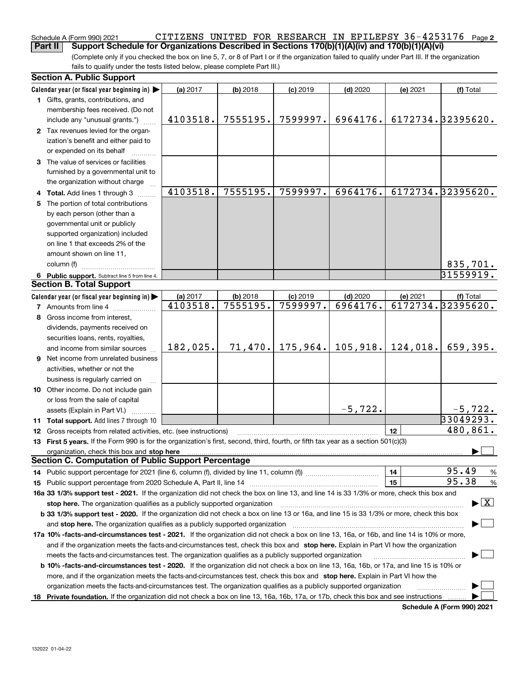### **2** Schedule A (Form 990) 2021 Page CITIZENS UNITED FOR RESEARCH IN EPILEPSY 36-4253176**Part II Support Schedule for Organizations Described in Sections 170(b)(1)(A)(iv) and 170(b)(1)(A)(vi)**

(Complete only if you checked the box on line 5, 7, or 8 of Part I or if the organization failed to qualify under Part III. If the organization fails to qualify under the tests listed below, please complete Part III.)

| <b>Section A. Public Support</b>                                                                                                               |          |            |            |            |          |                                          |  |  |  |
|------------------------------------------------------------------------------------------------------------------------------------------------|----------|------------|------------|------------|----------|------------------------------------------|--|--|--|
| Calendar year (or fiscal year beginning in)                                                                                                    | (a) 2017 | $(b)$ 2018 | $(c)$ 2019 | $(d)$ 2020 | (e) 2021 | (f) Total                                |  |  |  |
| 1 Gifts, grants, contributions, and                                                                                                            |          |            |            |            |          |                                          |  |  |  |
| membership fees received. (Do not                                                                                                              |          |            |            |            |          |                                          |  |  |  |
| include any "unusual grants.")                                                                                                                 | 4103518. | 7555195.   | 7599997.   | 6964176.   |          | 6172734.32395620.                        |  |  |  |
| 2 Tax revenues levied for the organ-                                                                                                           |          |            |            |            |          |                                          |  |  |  |
| ization's benefit and either paid to                                                                                                           |          |            |            |            |          |                                          |  |  |  |
| or expended on its behalf                                                                                                                      |          |            |            |            |          |                                          |  |  |  |
| 3 The value of services or facilities                                                                                                          |          |            |            |            |          |                                          |  |  |  |
| furnished by a governmental unit to                                                                                                            |          |            |            |            |          |                                          |  |  |  |
| the organization without charge                                                                                                                |          |            |            |            |          |                                          |  |  |  |
| 4 Total. Add lines 1 through 3                                                                                                                 | 4103518. | 7555195.   | 7599997.   | 6964176.   |          | 6172734.32395620.                        |  |  |  |
| 5 The portion of total contributions                                                                                                           |          |            |            |            |          |                                          |  |  |  |
| by each person (other than a                                                                                                                   |          |            |            |            |          |                                          |  |  |  |
| governmental unit or publicly                                                                                                                  |          |            |            |            |          |                                          |  |  |  |
| supported organization) included                                                                                                               |          |            |            |            |          |                                          |  |  |  |
| on line 1 that exceeds 2% of the                                                                                                               |          |            |            |            |          |                                          |  |  |  |
| amount shown on line 11,                                                                                                                       |          |            |            |            |          |                                          |  |  |  |
| column (f)                                                                                                                                     |          |            |            |            |          | 835,701.                                 |  |  |  |
| 6 Public support. Subtract line 5 from line 4.                                                                                                 |          |            |            |            |          | 31559919.                                |  |  |  |
| <b>Section B. Total Support</b>                                                                                                                |          |            |            |            |          |                                          |  |  |  |
| Calendar year (or fiscal year beginning in)                                                                                                    | (a) 2017 | $(b)$ 2018 | $(c)$ 2019 | $(d)$ 2020 | (e) 2021 | (f) Total                                |  |  |  |
| <b>7</b> Amounts from line 4                                                                                                                   | 4103518. | 7555195.   | 7599997.   | 6964176.   |          | 6172734.32395620.                        |  |  |  |
| 8 Gross income from interest,                                                                                                                  |          |            |            |            |          |                                          |  |  |  |
| dividends, payments received on                                                                                                                |          |            |            |            |          |                                          |  |  |  |
| securities loans, rents, royalties,                                                                                                            |          |            |            |            |          |                                          |  |  |  |
| and income from similar sources                                                                                                                | 182,025. | 71,470.    | 175, 964.  | 105,918.   | 124,018. | 659,395.                                 |  |  |  |
| 9 Net income from unrelated business                                                                                                           |          |            |            |            |          |                                          |  |  |  |
| activities, whether or not the                                                                                                                 |          |            |            |            |          |                                          |  |  |  |
| business is regularly carried on                                                                                                               |          |            |            |            |          |                                          |  |  |  |
| 10 Other income. Do not include gain                                                                                                           |          |            |            |            |          |                                          |  |  |  |
| or loss from the sale of capital                                                                                                               |          |            |            |            |          |                                          |  |  |  |
| assets (Explain in Part VI.)                                                                                                                   |          |            |            | $-5,722.$  |          | $-5,722.$                                |  |  |  |
| 11 Total support. Add lines 7 through 10                                                                                                       |          |            |            |            |          | 33049293.                                |  |  |  |
| <b>12</b> Gross receipts from related activities, etc. (see instructions)                                                                      |          |            |            |            | 12       | 480,861.                                 |  |  |  |
| 13 First 5 years. If the Form 990 is for the organization's first, second, third, fourth, or fifth tax year as a section 501(c)(3)             |          |            |            |            |          |                                          |  |  |  |
|                                                                                                                                                |          |            |            |            |          |                                          |  |  |  |
| <b>Section C. Computation of Public Support Percentage</b>                                                                                     |          |            |            |            |          |                                          |  |  |  |
|                                                                                                                                                |          |            |            |            | 14       | 95.49<br>%                               |  |  |  |
|                                                                                                                                                |          |            |            |            | 15       | 95.38<br>%                               |  |  |  |
| 16a 33 1/3% support test - 2021. If the organization did not check the box on line 13, and line 14 is 33 1/3% or more, check this box and      |          |            |            |            |          |                                          |  |  |  |
| stop here. The organization qualifies as a publicly supported organization                                                                     |          |            |            |            |          | $\blacktriangleright$ $\boxed{\text{X}}$ |  |  |  |
| b 33 1/3% support test - 2020. If the organization did not check a box on line 13 or 16a, and line 15 is 33 1/3% or more, check this box       |          |            |            |            |          |                                          |  |  |  |
| and stop here. The organization qualifies as a publicly supported organization                                                                 |          |            |            |            |          |                                          |  |  |  |
| 17a 10% -facts-and-circumstances test - 2021. If the organization did not check a box on line 13, 16a, or 16b, and line 14 is 10% or more,     |          |            |            |            |          |                                          |  |  |  |
| and if the organization meets the facts and circumstances test, check this box and stop here. Explain in Part VI how the organization          |          |            |            |            |          |                                          |  |  |  |
| meets the facts-and-circumstances test. The organization qualifies as a publicly supported organization                                        |          |            |            |            |          |                                          |  |  |  |
| <b>b 10% -facts-and-circumstances test - 2020.</b> If the organization did not check a box on line 13, 16a, 16b, or 17a, and line 15 is 10% or |          |            |            |            |          |                                          |  |  |  |
| more, and if the organization meets the facts-and-circumstances test, check this box and stop here. Explain in Part VI how the                 |          |            |            |            |          |                                          |  |  |  |
| organization meets the facts-and-circumstances test. The organization qualifies as a publicly supported organization                           |          |            |            |            |          |                                          |  |  |  |
| 18 Private foundation. If the organization did not check a box on line 13, 16a, 16b, 17a, or 17b, check this box and see instructions          |          |            |            |            |          |                                          |  |  |  |
|                                                                                                                                                |          |            |            |            |          | Pohodulo A (Form 000) 2024               |  |  |  |

**Schedule A (Form 990) 2021**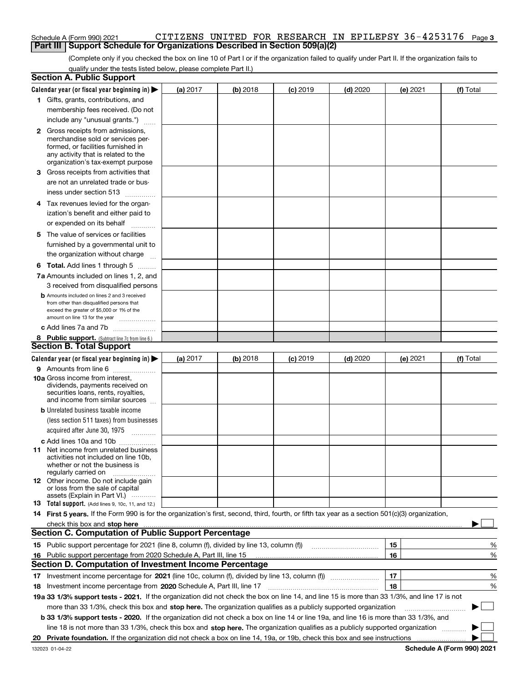### **3** Schedule A (Form 990) 2021 Page CITIZENS UNITED FOR RESEARCH IN EPILEPSY 36-4253176**Part III** | Support Schedule for Organizations Described in Section 509(a)(2)

(Complete only if you checked the box on line 10 of Part I or if the organization failed to qualify under Part II. If the organization fails to qualify under the tests listed below, please complete Part II.)

| <b>Section A. Public Support</b>                                                                                                                                                                                                                                                                                                                                                   |          |          |                 |                                       |          |                            |
|------------------------------------------------------------------------------------------------------------------------------------------------------------------------------------------------------------------------------------------------------------------------------------------------------------------------------------------------------------------------------------|----------|----------|-----------------|---------------------------------------|----------|----------------------------|
| Calendar year (or fiscal year beginning in) $\blacktriangleright$                                                                                                                                                                                                                                                                                                                  | (a) 2017 | (b) 2018 | $(c)$ 2019      | $(d)$ 2020                            | (e) 2021 | (f) Total                  |
| 1 Gifts, grants, contributions, and                                                                                                                                                                                                                                                                                                                                                |          |          |                 |                                       |          |                            |
| membership fees received. (Do not                                                                                                                                                                                                                                                                                                                                                  |          |          |                 |                                       |          |                            |
| include any "unusual grants.")                                                                                                                                                                                                                                                                                                                                                     |          |          |                 |                                       |          |                            |
| <b>2</b> Gross receipts from admissions,<br>merchandise sold or services per-<br>formed, or facilities furnished in<br>any activity that is related to the<br>organization's tax-exempt purpose                                                                                                                                                                                    |          |          |                 |                                       |          |                            |
| 3 Gross receipts from activities that<br>are not an unrelated trade or bus-                                                                                                                                                                                                                                                                                                        |          |          |                 |                                       |          |                            |
| iness under section 513                                                                                                                                                                                                                                                                                                                                                            |          |          |                 |                                       |          |                            |
| 4 Tax revenues levied for the organ-<br>ization's benefit and either paid to                                                                                                                                                                                                                                                                                                       |          |          |                 |                                       |          |                            |
| or expended on its behalf<br>.                                                                                                                                                                                                                                                                                                                                                     |          |          |                 |                                       |          |                            |
| 5 The value of services or facilities                                                                                                                                                                                                                                                                                                                                              |          |          |                 |                                       |          |                            |
| furnished by a governmental unit to<br>the organization without charge                                                                                                                                                                                                                                                                                                             |          |          |                 |                                       |          |                            |
| <b>6 Total.</b> Add lines 1 through 5                                                                                                                                                                                                                                                                                                                                              |          |          |                 |                                       |          |                            |
| 7a Amounts included on lines 1, 2, and                                                                                                                                                                                                                                                                                                                                             |          |          |                 |                                       |          |                            |
| 3 received from disqualified persons                                                                                                                                                                                                                                                                                                                                               |          |          |                 |                                       |          |                            |
| <b>b</b> Amounts included on lines 2 and 3 received<br>from other than disqualified persons that<br>exceed the greater of \$5,000 or 1% of the<br>amount on line 13 for the year                                                                                                                                                                                                   |          |          |                 |                                       |          |                            |
| c Add lines 7a and 7b                                                                                                                                                                                                                                                                                                                                                              |          |          |                 |                                       |          |                            |
| 8 Public support. (Subtract line 7c from line 6.)                                                                                                                                                                                                                                                                                                                                  |          |          |                 |                                       |          |                            |
| <b>Section B. Total Support</b>                                                                                                                                                                                                                                                                                                                                                    |          |          |                 |                                       |          |                            |
| Calendar year (or fiscal year beginning in) $\blacktriangleright$                                                                                                                                                                                                                                                                                                                  | (a) 2017 | (b) 2018 | <b>(c)</b> 2019 | $(d)$ 2020                            | (e) 2021 | (f) Total                  |
| 9 Amounts from line 6<br>10a Gross income from interest,<br>dividends, payments received on<br>securities loans, rents, royalties,<br>and income from similar sources                                                                                                                                                                                                              |          |          |                 |                                       |          |                            |
| <b>b</b> Unrelated business taxable income<br>(less section 511 taxes) from businesses                                                                                                                                                                                                                                                                                             |          |          |                 |                                       |          |                            |
| acquired after June 30, 1975                                                                                                                                                                                                                                                                                                                                                       |          |          |                 |                                       |          |                            |
| c Add lines 10a and 10b<br>11 Net income from unrelated business<br>activities not included on line 10b,<br>whether or not the business is<br>regularly carried on                                                                                                                                                                                                                 |          |          |                 |                                       |          |                            |
| 12 Other income. Do not include gain<br>or loss from the sale of capital<br>assets (Explain in Part VI.)                                                                                                                                                                                                                                                                           |          |          |                 |                                       |          |                            |
| <b>13</b> Total support. (Add lines 9, 10c, 11, and 12.)                                                                                                                                                                                                                                                                                                                           |          |          |                 |                                       |          |                            |
| 14 First 5 years. If the Form 990 is for the organization's first, second, third, fourth, or fifth tax year as a section 501(c)(3) organization,<br>check this box and stop here measured and contained a state of the state of the state of the state of the state of the state of the state of the state of the state of the state of the state of the state of the state of the |          |          |                 |                                       |          |                            |
| <b>Section C. Computation of Public Support Percentage</b>                                                                                                                                                                                                                                                                                                                         |          |          |                 |                                       |          |                            |
| 15 Public support percentage for 2021 (line 8, column (f), divided by line 13, column (f))                                                                                                                                                                                                                                                                                         |          |          |                 | <u> 1986 - Januar Start, martin a</u> | 15       | %                          |
| 16 Public support percentage from 2020 Schedule A, Part III, line 15                                                                                                                                                                                                                                                                                                               |          |          |                 |                                       | 16       | %                          |
| Section D. Computation of Investment Income Percentage                                                                                                                                                                                                                                                                                                                             |          |          |                 |                                       |          |                            |
|                                                                                                                                                                                                                                                                                                                                                                                    |          |          |                 |                                       | 17       | %                          |
| 18 Investment income percentage from 2020 Schedule A, Part III, line 17                                                                                                                                                                                                                                                                                                            |          |          |                 |                                       | 18       | %                          |
| 19a 33 1/3% support tests - 2021. If the organization did not check the box on line 14, and line 15 is more than 33 1/3%, and line 17 is not                                                                                                                                                                                                                                       |          |          |                 |                                       |          |                            |
| more than 33 1/3%, check this box and stop here. The organization qualifies as a publicly supported organization                                                                                                                                                                                                                                                                   |          |          |                 |                                       |          | ▶                          |
| b 33 1/3% support tests - 2020. If the organization did not check a box on line 14 or line 19a, and line 16 is more than 33 1/3%, and<br>line 18 is not more than 33 1/3%, check this box and stop here. The organization qualifies as a publicly supported organization                                                                                                           |          |          |                 |                                       |          |                            |
| 20 Private foundation. If the organization did not check a box on line 14, 19a, or 19b, check this box and see instructions                                                                                                                                                                                                                                                        |          |          |                 |                                       |          |                            |
|                                                                                                                                                                                                                                                                                                                                                                                    |          |          |                 |                                       |          | Pohodulo A (Form 000) 2024 |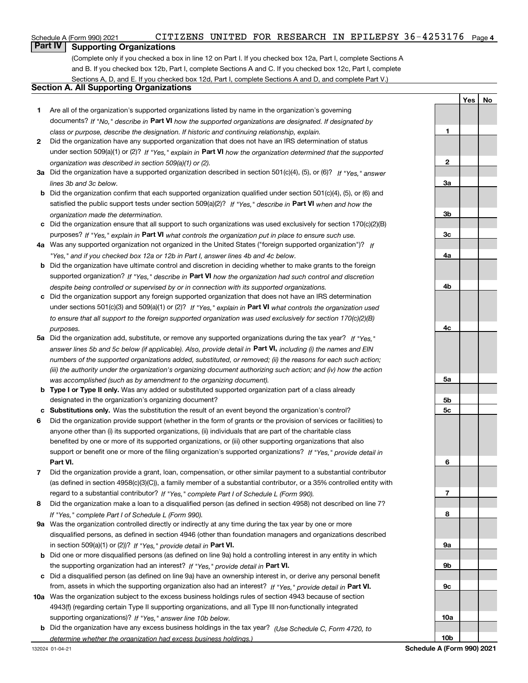### **Part IV Supporting Organizations**

(Complete only if you checked a box in line 12 on Part I. If you checked box 12a, Part I, complete Sections A and B. If you checked box 12b, Part I, complete Sections A and C. If you checked box 12c, Part I, complete Sections A, D, and E. If you checked box 12d, Part I, complete Sections A and D, and complete Part V.)

### **Section A. All Supporting Organizations**

- **1** Are all of the organization's supported organizations listed by name in the organization's governing documents? If "No," describe in **Part VI** how the supported organizations are designated. If designated by *class or purpose, describe the designation. If historic and continuing relationship, explain.*
- **2** Did the organization have any supported organization that does not have an IRS determination of status under section 509(a)(1) or (2)? If "Yes," explain in Part VI how the organization determined that the supported *organization was described in section 509(a)(1) or (2).*
- **3a** Did the organization have a supported organization described in section 501(c)(4), (5), or (6)? If "Yes," answer *lines 3b and 3c below.*
- **b** Did the organization confirm that each supported organization qualified under section 501(c)(4), (5), or (6) and satisfied the public support tests under section 509(a)(2)? If "Yes," describe in **Part VI** when and how the *organization made the determination.*
- **c**Did the organization ensure that all support to such organizations was used exclusively for section 170(c)(2)(B) purposes? If "Yes," explain in **Part VI** what controls the organization put in place to ensure such use.
- **4a***If* Was any supported organization not organized in the United States ("foreign supported organization")? *"Yes," and if you checked box 12a or 12b in Part I, answer lines 4b and 4c below.*
- **b** Did the organization have ultimate control and discretion in deciding whether to make grants to the foreign supported organization? If "Yes," describe in **Part VI** how the organization had such control and discretion *despite being controlled or supervised by or in connection with its supported organizations.*
- **c** Did the organization support any foreign supported organization that does not have an IRS determination under sections 501(c)(3) and 509(a)(1) or (2)? If "Yes," explain in **Part VI** what controls the organization used *to ensure that all support to the foreign supported organization was used exclusively for section 170(c)(2)(B) purposes.*
- **5a***If "Yes,"* Did the organization add, substitute, or remove any supported organizations during the tax year? answer lines 5b and 5c below (if applicable). Also, provide detail in **Part VI,** including (i) the names and EIN *numbers of the supported organizations added, substituted, or removed; (ii) the reasons for each such action; (iii) the authority under the organization's organizing document authorizing such action; and (iv) how the action was accomplished (such as by amendment to the organizing document).*
- **b** Type I or Type II only. Was any added or substituted supported organization part of a class already designated in the organization's organizing document?
- **cSubstitutions only.**  Was the substitution the result of an event beyond the organization's control?
- **6** Did the organization provide support (whether in the form of grants or the provision of services or facilities) to **Part VI.** *If "Yes," provide detail in* support or benefit one or more of the filing organization's supported organizations? anyone other than (i) its supported organizations, (ii) individuals that are part of the charitable class benefited by one or more of its supported organizations, or (iii) other supporting organizations that also
- **7**Did the organization provide a grant, loan, compensation, or other similar payment to a substantial contributor regard to a substantial contributor? If "Yes," complete Part I of Schedule L (Form 990). (as defined in section 4958(c)(3)(C)), a family member of a substantial contributor, or a 35% controlled entity with
- **8** Did the organization make a loan to a disqualified person (as defined in section 4958) not described on line 7? *If "Yes," complete Part I of Schedule L (Form 990).*
- **9a** Was the organization controlled directly or indirectly at any time during the tax year by one or more in section 509(a)(1) or (2))? If "Yes," *provide detail in* <code>Part VI.</code> disqualified persons, as defined in section 4946 (other than foundation managers and organizations described
- **b** Did one or more disqualified persons (as defined on line 9a) hold a controlling interest in any entity in which the supporting organization had an interest? If "Yes," provide detail in P**art VI**.
- **c**Did a disqualified person (as defined on line 9a) have an ownership interest in, or derive any personal benefit from, assets in which the supporting organization also had an interest? If "Yes," provide detail in P**art VI.**
- **10a** Was the organization subject to the excess business holdings rules of section 4943 because of section supporting organizations)? If "Yes," answer line 10b below. 4943(f) (regarding certain Type II supporting organizations, and all Type III non-functionally integrated
	- **b** Did the organization have any excess business holdings in the tax year? (Use Schedule C, Form 4720, to *determine whether the organization had excess business holdings.)*

**Yes No**

**1**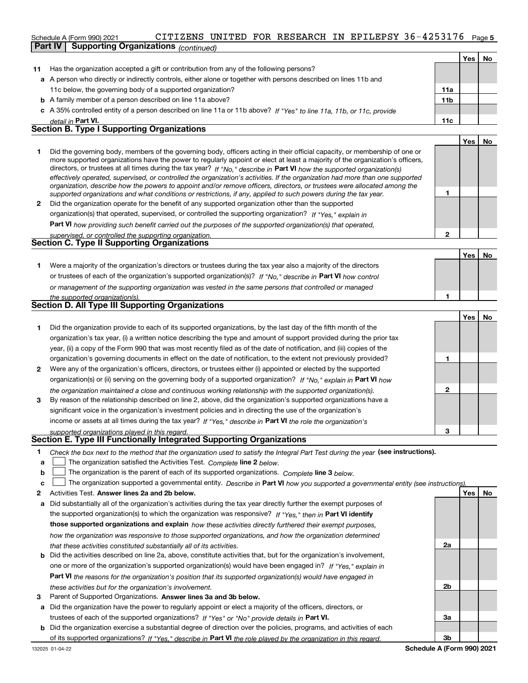### **5**Schedule A (Form 990) 2021 Page CITIZENS UNITED FOR RESEARCH IN EPILEPSY 36-4253176**Part IV Supporting Organizations** *(continued)*

|    |                                                                                                                                                                                                                                                                                                                                                                                        |                 | Yes  | No. |
|----|----------------------------------------------------------------------------------------------------------------------------------------------------------------------------------------------------------------------------------------------------------------------------------------------------------------------------------------------------------------------------------------|-----------------|------|-----|
| 11 | Has the organization accepted a gift or contribution from any of the following persons?                                                                                                                                                                                                                                                                                                |                 |      |     |
|    | a A person who directly or indirectly controls, either alone or together with persons described on lines 11b and                                                                                                                                                                                                                                                                       |                 |      |     |
|    | 11c below, the governing body of a supported organization?                                                                                                                                                                                                                                                                                                                             | 11a             |      |     |
|    | <b>b</b> A family member of a person described on line 11a above?                                                                                                                                                                                                                                                                                                                      | 11 <sub>b</sub> |      |     |
|    | c A 35% controlled entity of a person described on line 11a or 11b above? If "Yes" to line 11a, 11b, or 11c, provide                                                                                                                                                                                                                                                                   |                 |      |     |
|    | detail in Part VI.                                                                                                                                                                                                                                                                                                                                                                     | 11c             |      |     |
|    | <b>Section B. Type I Supporting Organizations</b>                                                                                                                                                                                                                                                                                                                                      |                 |      |     |
|    |                                                                                                                                                                                                                                                                                                                                                                                        |                 | Yes. | No  |
|    | Did the governing body, members of the governing body, officers acting in their official capacity, or membership of one or<br>more supported organizations have the power to regularly appoint or elect at least a majority of the organization's officers,<br>directors, or trustees at all times during the tax year? If "No," describe in Part VI how the supported organization(s) |                 |      |     |

|              | effectively operated, supervised, or controlled the organization's activities. If the organization had more than one supported |
|--------------|--------------------------------------------------------------------------------------------------------------------------------|
|              | organization, describe how the powers to appoint and/or remove officers, directors, or trustees were allocated among the       |
|              | supported organizations and what conditions or restrictions, if any, applied to such powers during the tax year.               |
| $\mathbf{2}$ | Did the organization operate for the benefit of any supported organization other than the supported                            |
|              | organization(s) that operated, supervised, or controlled the supporting organization? If "Yes," explain in                     |

**Part VI**  *how providing such benefit carried out the purposes of the supported organization(s) that operated,*

| supervised, or controlled the supporting organization. |  |
|--------------------------------------------------------|--|
| <b>Section C. Type II Supporting Organizations</b>     |  |
|                                                        |  |

**1**or trustees of each of the organization's supported organization(s)? If "No," describe in **Part VI** how control **1***or management of the supporting organization was vested in the same persons that controlled or managed the supported organization(s).* Were a majority of the organization's directors or trustees during the tax year also a majority of the directors

|  | <b>Section D. All Type III Supporting Organizations</b> |  |
|--|---------------------------------------------------------|--|
|  |                                                         |  |

|                |                                                                                                                        |   | Yes l | No |
|----------------|------------------------------------------------------------------------------------------------------------------------|---|-------|----|
|                | Did the organization provide to each of its supported organizations, by the last day of the fifth month of the         |   |       |    |
|                | organization's tax year, (i) a written notice describing the type and amount of support provided during the prior tax  |   |       |    |
|                | year, (ii) a copy of the Form 990 that was most recently filed as of the date of notification, and (iii) copies of the |   |       |    |
|                | organization's governing documents in effect on the date of notification, to the extent not previously provided?       |   |       |    |
| $\overline{2}$ | Were any of the organization's officers, directors, or trustees either (i) appointed or elected by the supported       |   |       |    |
|                | organization(s) or (ii) serving on the governing body of a supported organization? If "No," explain in Part VI how     |   |       |    |
|                | the organization maintained a close and continuous working relationship with the supported organization(s).            |   |       |    |
| 3              | By reason of the relationship described on line 2, above, did the organization's supported organizations have a        |   |       |    |
|                | significant voice in the organization's investment policies and in directing the use of the organization's             |   |       |    |
|                | income or assets at all times during the tax year? If "Yes," describe in Part VI the role the organization's           |   |       |    |
|                | supported organizations played in this regard.                                                                         | з |       |    |

# *supported organizations played in this regard.* **Section E. Type III Functionally Integrated Supporting Organizations**

- **1**Check the box next to the method that the organization used to satisfy the Integral Part Test during the year (see instructions).
- **alinupy** The organization satisfied the Activities Test. Complete line 2 below.
- **b**The organization is the parent of each of its supported organizations. *Complete* line 3 below.<br>The actual conduct of the parent of each of its supported organizations. Complete line 3 below.  $\mathcal{L}^{\text{max}}$

|  |  | c $\Box$ The organization supported a governmental entity. Describe in Part VI how you supported a governmental entity (see instructions). |  |  |  |  |  |  |
|--|--|--------------------------------------------------------------------------------------------------------------------------------------------|--|--|--|--|--|--|
|--|--|--------------------------------------------------------------------------------------------------------------------------------------------|--|--|--|--|--|--|

- **2**Activities Test.
- **Activities Test. Answer lines 2a and 2b below.**<br>**a** Did substantially all of the organization's activities during the tax year directly further the exempt purposes of the supported organization(s) to which the organization was responsive? If "Yes," then in **Part VI identify those supported organizations and explain**  *how these activities directly furthered their exempt purposes, how the organization was responsive to those supported organizations, and how the organization determined that these activities constituted substantially all of its activities.*
- **b** Did the activities described on line 2a, above, constitute activities that, but for the organization's involvement, **Part VI**  *the reasons for the organization's position that its supported organization(s) would have engaged in* one or more of the organization's supported organization(s) would have been engaged in? If "Yes," e*xplain in these activities but for the organization's involvement.*
- **3** Parent of Supported Organizations. Answer lines 3a and 3b below.
- **a** Did the organization have the power to regularly appoint or elect a majority of the officers, directors, or trustees of each of the supported organizations? If "Yes" or "No" provide details in P**art VI.**
- **b** Did the organization exercise a substantial degree of direction over the policies, programs, and activities of each of its supported organizations? If "Yes," describe in **Part VI** the role played by the organization in this regard.<br>.

**2a**

**1**

**2**

**Yes No**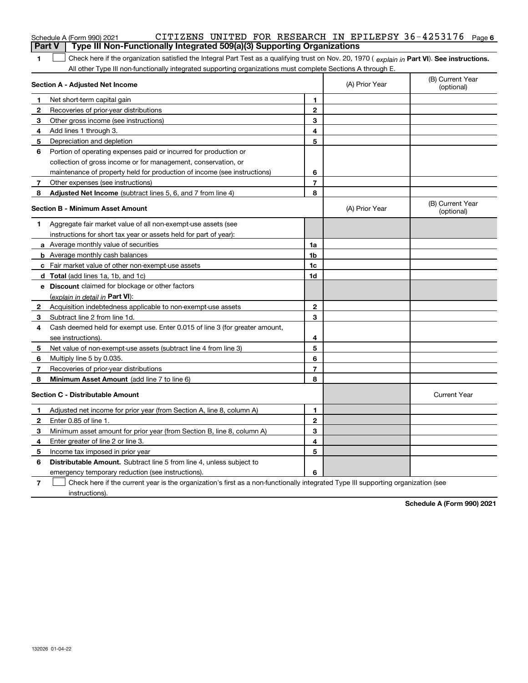|               | CITIZENS UNITED FOR RESEARCH IN EPILEPSY 36-4253176 Page 6<br>Schedule A (Form 990) 2021                                                                         |                |                |                                |
|---------------|------------------------------------------------------------------------------------------------------------------------------------------------------------------|----------------|----------------|--------------------------------|
| <b>Part V</b> | Type III Non-Functionally Integrated 509(a)(3) Supporting Organizations                                                                                          |                |                |                                |
| 1             | Check here if the organization satisfied the Integral Part Test as a qualifying trust on Nov. 20, 1970 ( $\epsilon$ <i>xplain in</i> Part VI). See instructions. |                |                |                                |
|               | All other Type III non-functionally integrated supporting organizations must complete Sections A through E.                                                      |                |                |                                |
|               | Section A - Adjusted Net Income                                                                                                                                  |                | (A) Prior Year | (B) Current Year<br>(optional) |
| 1             | Net short-term capital gain                                                                                                                                      | 1              |                |                                |
| 2             | Recoveries of prior-year distributions                                                                                                                           | $\overline{2}$ |                |                                |
| 3             | Other gross income (see instructions)                                                                                                                            | 3              |                |                                |
| 4             | Add lines 1 through 3.                                                                                                                                           | 4              |                |                                |
| 5             | Depreciation and depletion                                                                                                                                       | 5              |                |                                |
| 6             | Portion of operating expenses paid or incurred for production or                                                                                                 |                |                |                                |
|               | collection of gross income or for management, conservation, or                                                                                                   |                |                |                                |
|               | maintenance of property held for production of income (see instructions)                                                                                         | 6              |                |                                |
| 7             | Other expenses (see instructions)                                                                                                                                | $\overline{7}$ |                |                                |
| 8             | Adjusted Net Income (subtract lines 5, 6, and 7 from line 4)                                                                                                     | 8              |                |                                |
|               | <b>Section B - Minimum Asset Amount</b>                                                                                                                          |                | (A) Prior Year | (B) Current Year<br>(optional) |
| 1             | Aggregate fair market value of all non-exempt-use assets (see                                                                                                    |                |                |                                |
|               | instructions for short tax year or assets held for part of year):                                                                                                |                |                |                                |
|               | a Average monthly value of securities                                                                                                                            | 1a             |                |                                |
|               | <b>b</b> Average monthly cash balances                                                                                                                           | 1b             |                |                                |
|               | c Fair market value of other non-exempt-use assets                                                                                                               | 1c             |                |                                |
|               | d Total (add lines 1a, 1b, and 1c)                                                                                                                               | 1d             |                |                                |
|               | e Discount claimed for blockage or other factors                                                                                                                 |                |                |                                |
|               | (explain in detail in Part VI):                                                                                                                                  |                |                |                                |
| 2             | Acquisition indebtedness applicable to non-exempt-use assets                                                                                                     | 2              |                |                                |
| 3             | Subtract line 2 from line 1d.                                                                                                                                    | 3              |                |                                |
| 4             | Cash deemed held for exempt use. Enter 0.015 of line 3 (for greater amount,                                                                                      |                |                |                                |
|               | see instructions).                                                                                                                                               | 4              |                |                                |
| 5             | Net value of non-exempt-use assets (subtract line 4 from line 3)                                                                                                 | 5              |                |                                |
| 6             | Multiply line 5 by 0.035.                                                                                                                                        | 6              |                |                                |
| 7             | Recoveries of prior-year distributions                                                                                                                           | 7              |                |                                |
| 8             | Minimum Asset Amount (add line 7 to line 6)                                                                                                                      | 8              |                |                                |
|               | <b>Section C - Distributable Amount</b>                                                                                                                          |                |                | <b>Current Year</b>            |
| 1             | Adjusted net income for prior year (from Section A, line 8, column A)                                                                                            | 1              |                |                                |
| 2             | Enter 0.85 of line 1.                                                                                                                                            | $\overline{2}$ |                |                                |
| 3             | Minimum asset amount for prior year (from Section B, line 8, column A)                                                                                           | 3              |                |                                |
| 4             | Enter greater of line 2 or line 3.                                                                                                                               | 4              |                |                                |
| 5             | Income tax imposed in prior year                                                                                                                                 | 5              |                |                                |
| 6             | <b>Distributable Amount.</b> Subtract line 5 from line 4, unless subject to                                                                                      |                |                |                                |
|               | emergency temporary reduction (see instructions).                                                                                                                | 6              |                |                                |
|               |                                                                                                                                                                  |                |                |                                |

**7** Check here if the current year is the organization's first as a non-functionally integrated Type III supporting organization (see instructions).

**Schedule A (Form 990) 2021**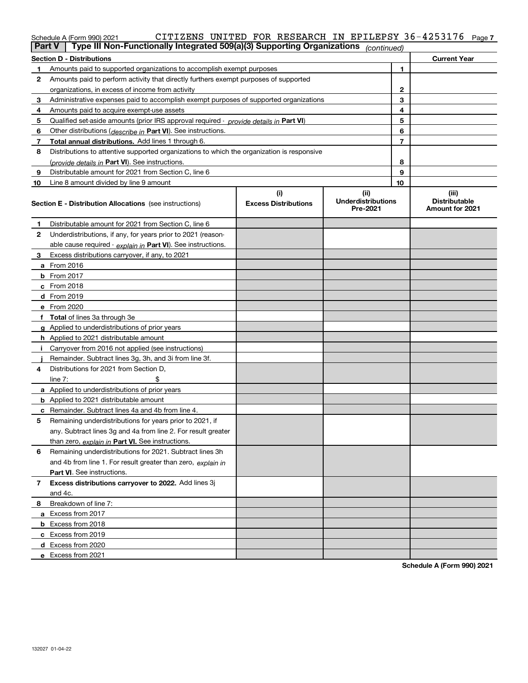# **7** Schedule A (Form 990) 2021 Page CITIZENS UNITED FOR RESEARCH IN EPILEPSY 36-4253176

|    | Type III Non-Functionally Integrated 509(a)(3) Supporting Organizations<br><b>Part V</b><br>(continued) |                                    |                                               |    |                                                  |  |  |
|----|---------------------------------------------------------------------------------------------------------|------------------------------------|-----------------------------------------------|----|--------------------------------------------------|--|--|
|    | <b>Section D - Distributions</b>                                                                        |                                    |                                               |    | <b>Current Year</b>                              |  |  |
| 1  | Amounts paid to supported organizations to accomplish exempt purposes                                   |                                    | 1                                             |    |                                                  |  |  |
| 2  | Amounts paid to perform activity that directly furthers exempt purposes of supported                    |                                    |                                               |    |                                                  |  |  |
|    | organizations, in excess of income from activity                                                        |                                    |                                               | 2  |                                                  |  |  |
| 3  | Administrative expenses paid to accomplish exempt purposes of supported organizations                   |                                    |                                               | 3  |                                                  |  |  |
| 4  | Amounts paid to acquire exempt-use assets                                                               |                                    |                                               | 4  |                                                  |  |  |
| 5  | Qualified set-aside amounts (prior IRS approval required - provide details in Part VI)                  |                                    |                                               | 5  |                                                  |  |  |
| 6  | Other distributions ( <i>describe in</i> Part VI). See instructions.                                    |                                    |                                               | 6  |                                                  |  |  |
| 7  | Total annual distributions. Add lines 1 through 6.                                                      |                                    |                                               | 7  |                                                  |  |  |
| 8  | Distributions to attentive supported organizations to which the organization is responsive              |                                    |                                               |    |                                                  |  |  |
|    | (provide details in Part VI). See instructions.                                                         |                                    |                                               | 8  |                                                  |  |  |
| 9  | Distributable amount for 2021 from Section C, line 6                                                    |                                    |                                               | 9  |                                                  |  |  |
| 10 | Line 8 amount divided by line 9 amount                                                                  |                                    |                                               | 10 |                                                  |  |  |
|    | <b>Section E - Distribution Allocations</b> (see instructions)                                          | (i)<br><b>Excess Distributions</b> | (ii)<br><b>Underdistributions</b><br>Pre-2021 |    | (iii)<br><b>Distributable</b><br>Amount for 2021 |  |  |
| 1  | Distributable amount for 2021 from Section C, line 6                                                    |                                    |                                               |    |                                                  |  |  |
| 2  | Underdistributions, if any, for years prior to 2021 (reason-                                            |                                    |                                               |    |                                                  |  |  |
|    | able cause required - explain in Part VI). See instructions.                                            |                                    |                                               |    |                                                  |  |  |
| 3  | Excess distributions carryover, if any, to 2021                                                         |                                    |                                               |    |                                                  |  |  |
|    | <b>a</b> From 2016                                                                                      |                                    |                                               |    |                                                  |  |  |
|    | <b>b</b> From 2017                                                                                      |                                    |                                               |    |                                                  |  |  |
|    | $c$ From 2018                                                                                           |                                    |                                               |    |                                                  |  |  |
|    | <b>d</b> From 2019                                                                                      |                                    |                                               |    |                                                  |  |  |
|    | e From 2020                                                                                             |                                    |                                               |    |                                                  |  |  |
|    | f Total of lines 3a through 3e                                                                          |                                    |                                               |    |                                                  |  |  |
|    | g Applied to underdistributions of prior years                                                          |                                    |                                               |    |                                                  |  |  |
|    | <b>h</b> Applied to 2021 distributable amount                                                           |                                    |                                               |    |                                                  |  |  |
|    | Carryover from 2016 not applied (see instructions)                                                      |                                    |                                               |    |                                                  |  |  |
|    | Remainder. Subtract lines 3g, 3h, and 3i from line 3f.                                                  |                                    |                                               |    |                                                  |  |  |
| 4  | Distributions for 2021 from Section D,                                                                  |                                    |                                               |    |                                                  |  |  |
|    | line $7:$                                                                                               |                                    |                                               |    |                                                  |  |  |
|    | a Applied to underdistributions of prior years                                                          |                                    |                                               |    |                                                  |  |  |
|    | <b>b</b> Applied to 2021 distributable amount                                                           |                                    |                                               |    |                                                  |  |  |
|    | c Remainder. Subtract lines 4a and 4b from line 4.                                                      |                                    |                                               |    |                                                  |  |  |
| 5  | Remaining underdistributions for years prior to 2021, if                                                |                                    |                                               |    |                                                  |  |  |
|    | any. Subtract lines 3g and 4a from line 2. For result greater                                           |                                    |                                               |    |                                                  |  |  |
|    | than zero, explain in Part VI. See instructions.                                                        |                                    |                                               |    |                                                  |  |  |
| 6  | Remaining underdistributions for 2021. Subtract lines 3h                                                |                                    |                                               |    |                                                  |  |  |
|    | and 4b from line 1. For result greater than zero, explain in                                            |                                    |                                               |    |                                                  |  |  |
|    | Part VI. See instructions.                                                                              |                                    |                                               |    |                                                  |  |  |
| 7  | Excess distributions carryover to 2022. Add lines 3j                                                    |                                    |                                               |    |                                                  |  |  |
|    | and 4c.                                                                                                 |                                    |                                               |    |                                                  |  |  |
| 8  | Breakdown of line 7:                                                                                    |                                    |                                               |    |                                                  |  |  |
|    | a Excess from 2017                                                                                      |                                    |                                               |    |                                                  |  |  |
|    | <b>b</b> Excess from 2018                                                                               |                                    |                                               |    |                                                  |  |  |
|    | c Excess from 2019                                                                                      |                                    |                                               |    |                                                  |  |  |
|    | d Excess from 2020                                                                                      |                                    |                                               |    |                                                  |  |  |
|    | e Excess from 2021                                                                                      |                                    |                                               |    |                                                  |  |  |

**Schedule A (Form 990) 2021**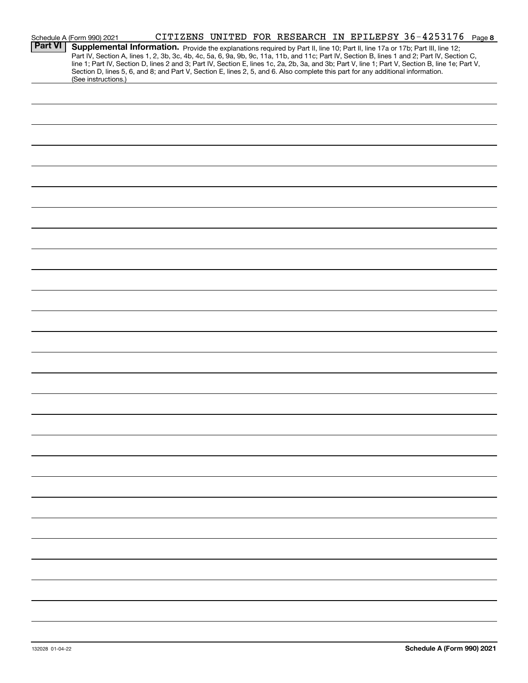|                | CITIZENS UNITED FOR RESEARCH IN EPILEPSY 36-4253176 Page 8<br>Schedule A (Form 990) 2021                                                                                                                                                                                                                                                                                                                                                                                                                                                                                                    |
|----------------|---------------------------------------------------------------------------------------------------------------------------------------------------------------------------------------------------------------------------------------------------------------------------------------------------------------------------------------------------------------------------------------------------------------------------------------------------------------------------------------------------------------------------------------------------------------------------------------------|
| <b>Part VI</b> | Supplemental Information. Provide the explanations required by Part II, line 10; Part II, line 17a or 17b; Part III, line 12;<br>Part IV, Section A, lines 1, 2, 3b, 3c, 4b, 4c, 5a, 6, 9a, 9b, 9c, 11a, 11b, and 11c; Part IV, Section B, lines 1 and 2; Part IV, Section C,<br>line 1; Part IV, Section D, lines 2 and 3; Part IV, Section E, lines 1c, 2a, 2b, 3a, and 3b; Part V, line 1; Part V, Section B, line 1e; Part V,<br>Section D, lines 5, 6, and 8; and Part V, Section E, lines 2, 5, and 6. Also complete this part for any additional information.<br>(See instructions.) |
|                |                                                                                                                                                                                                                                                                                                                                                                                                                                                                                                                                                                                             |
|                |                                                                                                                                                                                                                                                                                                                                                                                                                                                                                                                                                                                             |
|                |                                                                                                                                                                                                                                                                                                                                                                                                                                                                                                                                                                                             |
|                |                                                                                                                                                                                                                                                                                                                                                                                                                                                                                                                                                                                             |
|                |                                                                                                                                                                                                                                                                                                                                                                                                                                                                                                                                                                                             |
|                |                                                                                                                                                                                                                                                                                                                                                                                                                                                                                                                                                                                             |
|                |                                                                                                                                                                                                                                                                                                                                                                                                                                                                                                                                                                                             |
|                |                                                                                                                                                                                                                                                                                                                                                                                                                                                                                                                                                                                             |
|                |                                                                                                                                                                                                                                                                                                                                                                                                                                                                                                                                                                                             |
|                |                                                                                                                                                                                                                                                                                                                                                                                                                                                                                                                                                                                             |
|                |                                                                                                                                                                                                                                                                                                                                                                                                                                                                                                                                                                                             |
|                |                                                                                                                                                                                                                                                                                                                                                                                                                                                                                                                                                                                             |
|                |                                                                                                                                                                                                                                                                                                                                                                                                                                                                                                                                                                                             |
|                |                                                                                                                                                                                                                                                                                                                                                                                                                                                                                                                                                                                             |
|                |                                                                                                                                                                                                                                                                                                                                                                                                                                                                                                                                                                                             |
|                |                                                                                                                                                                                                                                                                                                                                                                                                                                                                                                                                                                                             |
|                |                                                                                                                                                                                                                                                                                                                                                                                                                                                                                                                                                                                             |
|                |                                                                                                                                                                                                                                                                                                                                                                                                                                                                                                                                                                                             |
|                |                                                                                                                                                                                                                                                                                                                                                                                                                                                                                                                                                                                             |
|                |                                                                                                                                                                                                                                                                                                                                                                                                                                                                                                                                                                                             |
|                |                                                                                                                                                                                                                                                                                                                                                                                                                                                                                                                                                                                             |
|                |                                                                                                                                                                                                                                                                                                                                                                                                                                                                                                                                                                                             |
|                |                                                                                                                                                                                                                                                                                                                                                                                                                                                                                                                                                                                             |
|                |                                                                                                                                                                                                                                                                                                                                                                                                                                                                                                                                                                                             |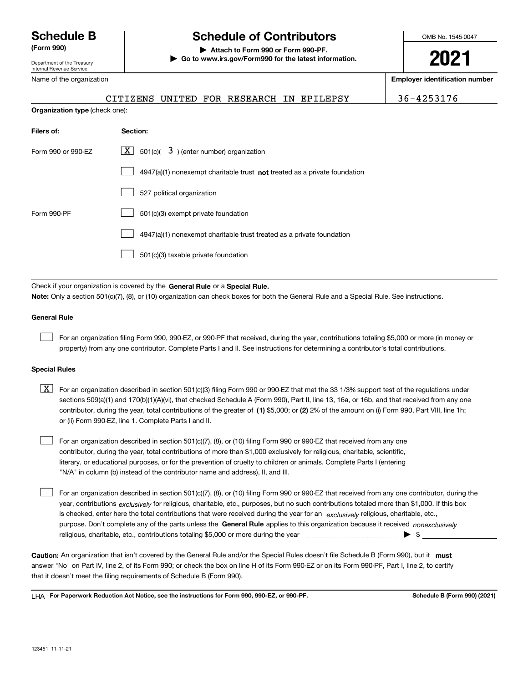Department of the Treasury Internal Revenue Service

Name of the organization

# **Schedule B Schedule of Contributors**

**(Form 990) | Attach to Form 990 or Form 990-PF. | Go to www.irs.gov/Form990 for the latest information.** OMB No. 1545-0047

# **2021**

**Employer identification number**

CITIZENS UNITED FOR RESEARCH IN EPILEPSY 36-4253176

| <b>Organization type (check one):</b> |                                                                             |  |  |  |  |  |
|---------------------------------------|-----------------------------------------------------------------------------|--|--|--|--|--|
| Filers of:                            | Section:                                                                    |  |  |  |  |  |
| Form 990 or 990-EZ                    | $ \mathbf{X} $ 501(c)( 3) (enter number) organization                       |  |  |  |  |  |
|                                       | $4947(a)(1)$ nonexempt charitable trust not treated as a private foundation |  |  |  |  |  |
|                                       | 527 political organization                                                  |  |  |  |  |  |
| Form 990-PF                           | 501(c)(3) exempt private foundation                                         |  |  |  |  |  |
|                                       | 4947(a)(1) nonexempt charitable trust treated as a private foundation       |  |  |  |  |  |
|                                       | 501(c)(3) taxable private foundation                                        |  |  |  |  |  |

Check if your organization is covered by the **General Rule** or a **Special Rule.**<br>Nota: Only a section 501(c)(7), (8), or (10) erganization can chock boxes for be **Note:**  Only a section 501(c)(7), (8), or (10) organization can check boxes for both the General Rule and a Special Rule. See instructions.

### **General Rule**

 $\mathcal{L}^{\text{max}}$ 

For an organization filing Form 990, 990-EZ, or 990-PF that received, during the year, contributions totaling \$5,000 or more (in money or property) from any one contributor. Complete Parts I and II. See instructions for determining a contributor's total contributions.

### **Special Rules**

contributor, during the year, total contributions of the greater of (1**)** \$5,000; or (2) 2% of the amount on (i) Form 990, Part VIII, line 1h;  $\boxed{\textbf{X}}$  For an organization described in section 501(c)(3) filing Form 990 or 990-EZ that met the 33 1/3% support test of the regulations under sections 509(a)(1) and 170(b)(1)(A)(vi), that checked Schedule A (Form 990), Part II, line 13, 16a, or 16b, and that received from any one or (ii) Form 990-EZ, line 1. Complete Parts I and II.

For an organization described in section 501(c)(7), (8), or (10) filing Form 990 or 990-EZ that received from any one contributor, during the year, total contributions of more than \$1,000 exclusively for religious, charitable, scientific, literary, or educational purposes, or for the prevention of cruelty to children or animals. Complete Parts I (entering "N/A" in column (b) instead of the contributor name and address), II, and III.  $\mathcal{L}^{\text{max}}$ 

purpose. Don't complete any of the parts unless the **General Rule** applies to this organization because it received *nonexclusively* year, contributions <sub>exclusively</sub> for religious, charitable, etc., purposes, but no such contributions totaled more than \$1,000. If this box is checked, enter here the total contributions that were received during the year for an  $\;$ exclusively religious, charitable, etc., For an organization described in section 501(c)(7), (8), or (10) filing Form 990 or 990-EZ that received from any one contributor, during the religious, charitable, etc., contributions totaling \$5,000 or more during the year ~~~~~~~~~~~~~~~ <sup>|</sup> \$  $\mathcal{L}^{\text{max}}$ 

Caution: An organization that isn't covered by the General Rule and/or the Special Rules doesn't file Schedule B (Form 990), but it **must** answer "No" on Part IV, line 2, of its Form 990; or check the box on line H of its Form 990-EZ or on its Form 990-PF, Part I, line 2, to certify that it doesn't meet the filing requirements of Schedule B (Form 990).

LHA For Paperwork Reduction Act Notice, see the instructions for Form 990, 990-EZ, or 990-PF. **In the act and Schedule B** (Form 990) (2021)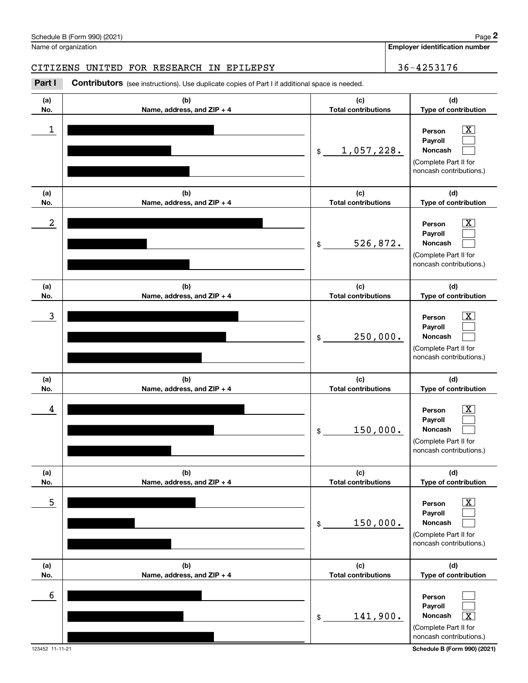| 5               |                                   | 150,000.<br>\$                    | $\overline{\text{X}}$<br>Person<br>Payroll<br>Noncash<br>(Complete Part II for<br>noncash contributions.) |
|-----------------|-----------------------------------|-----------------------------------|-----------------------------------------------------------------------------------------------------------|
| (a)<br>No.      | (b)<br>Name, address, and ZIP + 4 | (c)<br><b>Total contributions</b> | (d)<br>Type of contribution                                                                               |
| $6\phantom{1}6$ |                                   | 141,900.<br>\$                    | Person<br>Payroll<br>$\overline{\text{X}}$<br>Noncash<br>(Complete Part II for<br>noncash contributions.) |
| 123452 11-11-21 |                                   |                                   | Schedule B (Form 990) (2021)                                                                              |



# **2Page 2**<br>
Iame of organization<br> **2Part I 2Part II Contributors** (see instructions). Use duplicate copies of Part I if additional space is needed. CITIZENS UNITED FOR RESEARCH IN EPILEPSY **1988 120 120 136-4253176**

Contributors (see instructions). Use duplicate copies of Part I if additional space is needed.

**Employer identification number**

Name of organization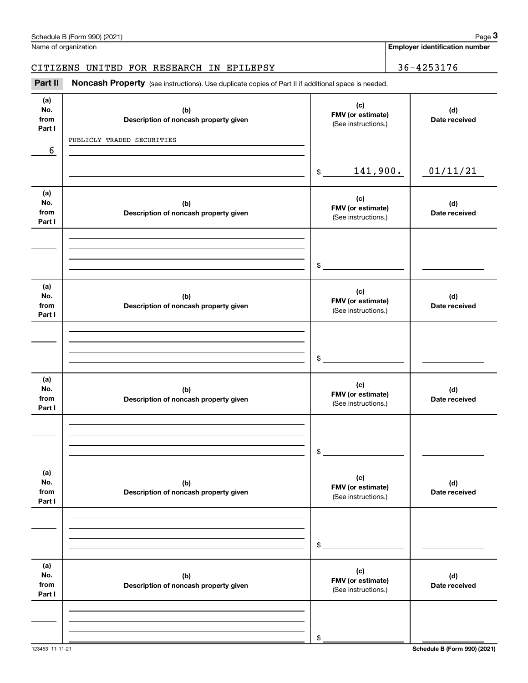|                              | Schedule B (Form 990) (2021)                                                                        |                                                 |  | Page 3                                |  |  |                      |
|------------------------------|-----------------------------------------------------------------------------------------------------|-------------------------------------------------|--|---------------------------------------|--|--|----------------------|
|                              | Name of organization                                                                                |                                                 |  | <b>Employer identification number</b> |  |  |                      |
|                              | CITIZENS UNITED FOR RESEARCH IN EPILEPSY                                                            |                                                 |  | 36-4253176                            |  |  |                      |
| Part II                      | Noncash Property (see instructions). Use duplicate copies of Part II if additional space is needed. |                                                 |  |                                       |  |  |                      |
| (a)<br>No.<br>from<br>Part I | (c)<br>(b)<br>FMV (or estimate)<br>Description of noncash property given<br>(See instructions.)     |                                                 |  |                                       |  |  | (d)<br>Date received |
|                              | PUBLICLY TRADED SECURITIES                                                                          |                                                 |  |                                       |  |  |                      |
| 6                            |                                                                                                     | 141,900.<br>\$                                  |  | 01/11/21                              |  |  |                      |
| (a)<br>No.<br>from<br>Part I | (b)<br>Description of noncash property given                                                        | (c)<br>FMV (or estimate)<br>(See instructions.) |  | (d)<br>Date received                  |  |  |                      |
|                              |                                                                                                     | \$                                              |  |                                       |  |  |                      |
| (a)<br>No.<br>from<br>Part I | (b)<br>Description of noncash property given                                                        | (c)<br>FMV (or estimate)<br>(See instructions.) |  | (d)<br>Date received                  |  |  |                      |
|                              |                                                                                                     | \$                                              |  |                                       |  |  |                      |
| (a)<br>No.<br>from<br>Part I | (b)<br>Description of noncash property given                                                        | (c)<br>FMV (or estimate)<br>(See instructions.) |  | (d)<br>Date received                  |  |  |                      |
|                              |                                                                                                     | \$                                              |  |                                       |  |  |                      |
| (a)<br>No.<br>from<br>Part I | (b)<br>Description of noncash property given                                                        | (c)<br>FMV (or estimate)<br>(See instructions.) |  | (d)<br>Date received                  |  |  |                      |
|                              |                                                                                                     | \$                                              |  |                                       |  |  |                      |
| (a)<br>No.<br>from<br>Part I | (b)<br>Description of noncash property given                                                        | (c)<br>FMV (or estimate)<br>(See instructions.) |  | (d)<br>Date received                  |  |  |                      |
|                              |                                                                                                     | \$                                              |  |                                       |  |  |                      |
|                              |                                                                                                     |                                                 |  |                                       |  |  |                      |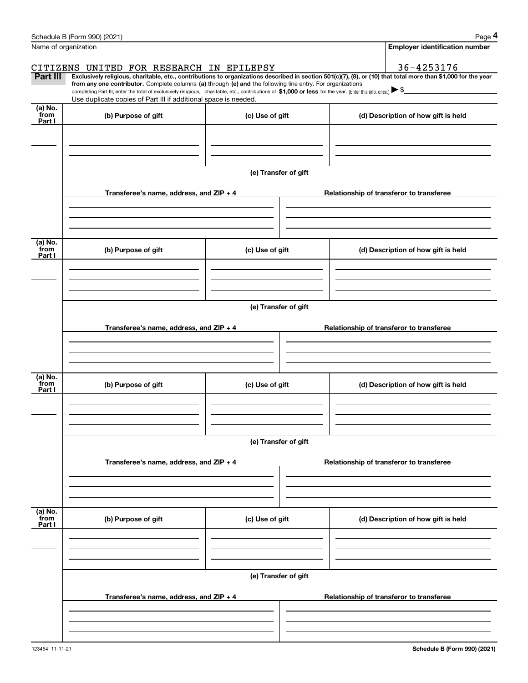|                           | Schedule B (Form 990) (2021)                                                                                                                                                                                                                         |                      |                                                                                                                                                                | Page 4 |  |  |  |  |  |
|---------------------------|------------------------------------------------------------------------------------------------------------------------------------------------------------------------------------------------------------------------------------------------------|----------------------|----------------------------------------------------------------------------------------------------------------------------------------------------------------|--------|--|--|--|--|--|
|                           | Name of organization                                                                                                                                                                                                                                 |                      | <b>Employer identification number</b>                                                                                                                          |        |  |  |  |  |  |
|                           | CITIZENS UNITED FOR RESEARCH IN EPILEPSY                                                                                                                                                                                                             |                      | 36-4253176                                                                                                                                                     |        |  |  |  |  |  |
| Part III                  | from any one contributor. Complete columns (a) through (e) and the following line entry. For organizations                                                                                                                                           |                      | Exclusively religious, charitable, etc., contributions to organizations described in section 501(c)(7), (8), or (10) that total more than \$1,000 for the year |        |  |  |  |  |  |
|                           | completing Part III, enter the total of exclusively religious, charitable, etc., contributions of \$1,000 or less for the year. (Enter this info. once.) $\blacktriangleright$ \$<br>Use duplicate copies of Part III if additional space is needed. |                      |                                                                                                                                                                |        |  |  |  |  |  |
| (a) No.<br>from           |                                                                                                                                                                                                                                                      |                      |                                                                                                                                                                |        |  |  |  |  |  |
| Part I                    | (b) Purpose of gift                                                                                                                                                                                                                                  | (c) Use of gift      | (d) Description of how gift is held                                                                                                                            |        |  |  |  |  |  |
|                           |                                                                                                                                                                                                                                                      |                      |                                                                                                                                                                |        |  |  |  |  |  |
|                           |                                                                                                                                                                                                                                                      |                      |                                                                                                                                                                |        |  |  |  |  |  |
|                           |                                                                                                                                                                                                                                                      |                      |                                                                                                                                                                |        |  |  |  |  |  |
|                           |                                                                                                                                                                                                                                                      | (e) Transfer of gift |                                                                                                                                                                |        |  |  |  |  |  |
|                           | Transferee's name, address, and ZIP + 4                                                                                                                                                                                                              |                      | Relationship of transferor to transferee                                                                                                                       |        |  |  |  |  |  |
|                           |                                                                                                                                                                                                                                                      |                      |                                                                                                                                                                |        |  |  |  |  |  |
|                           |                                                                                                                                                                                                                                                      |                      |                                                                                                                                                                |        |  |  |  |  |  |
| (a) No.                   |                                                                                                                                                                                                                                                      |                      |                                                                                                                                                                |        |  |  |  |  |  |
| from<br>Part I            | (b) Purpose of gift                                                                                                                                                                                                                                  | (c) Use of gift      | (d) Description of how gift is held                                                                                                                            |        |  |  |  |  |  |
|                           |                                                                                                                                                                                                                                                      |                      |                                                                                                                                                                |        |  |  |  |  |  |
|                           |                                                                                                                                                                                                                                                      |                      |                                                                                                                                                                |        |  |  |  |  |  |
|                           |                                                                                                                                                                                                                                                      |                      |                                                                                                                                                                |        |  |  |  |  |  |
|                           | (e) Transfer of gift                                                                                                                                                                                                                                 |                      |                                                                                                                                                                |        |  |  |  |  |  |
|                           | Transferee's name, address, and ZIP + 4                                                                                                                                                                                                              |                      | Relationship of transferor to transferee                                                                                                                       |        |  |  |  |  |  |
|                           |                                                                                                                                                                                                                                                      |                      |                                                                                                                                                                |        |  |  |  |  |  |
|                           |                                                                                                                                                                                                                                                      |                      |                                                                                                                                                                |        |  |  |  |  |  |
|                           |                                                                                                                                                                                                                                                      |                      |                                                                                                                                                                |        |  |  |  |  |  |
| (a) No.<br>from<br>Part I | (b) Purpose of gift                                                                                                                                                                                                                                  | (c) Use of gift      | (d) Description of how gift is held                                                                                                                            |        |  |  |  |  |  |
|                           |                                                                                                                                                                                                                                                      |                      |                                                                                                                                                                |        |  |  |  |  |  |
|                           |                                                                                                                                                                                                                                                      |                      |                                                                                                                                                                |        |  |  |  |  |  |
|                           |                                                                                                                                                                                                                                                      |                      |                                                                                                                                                                |        |  |  |  |  |  |
|                           | (e) Transfer of gift                                                                                                                                                                                                                                 |                      |                                                                                                                                                                |        |  |  |  |  |  |
|                           | Transferee's name, address, and ZIP + 4                                                                                                                                                                                                              |                      | Relationship of transferor to transferee                                                                                                                       |        |  |  |  |  |  |
|                           |                                                                                                                                                                                                                                                      |                      |                                                                                                                                                                |        |  |  |  |  |  |
|                           |                                                                                                                                                                                                                                                      |                      |                                                                                                                                                                |        |  |  |  |  |  |
|                           |                                                                                                                                                                                                                                                      |                      |                                                                                                                                                                |        |  |  |  |  |  |
| (a) No.<br>from           | (b) Purpose of gift                                                                                                                                                                                                                                  | (c) Use of gift      | (d) Description of how gift is held                                                                                                                            |        |  |  |  |  |  |
| Part I                    |                                                                                                                                                                                                                                                      |                      |                                                                                                                                                                |        |  |  |  |  |  |
|                           |                                                                                                                                                                                                                                                      |                      |                                                                                                                                                                |        |  |  |  |  |  |
|                           |                                                                                                                                                                                                                                                      |                      |                                                                                                                                                                |        |  |  |  |  |  |
|                           |                                                                                                                                                                                                                                                      | (e) Transfer of gift |                                                                                                                                                                |        |  |  |  |  |  |
|                           |                                                                                                                                                                                                                                                      |                      |                                                                                                                                                                |        |  |  |  |  |  |
|                           | Transferee's name, address, and ZIP + 4                                                                                                                                                                                                              |                      | Relationship of transferor to transferee                                                                                                                       |        |  |  |  |  |  |
|                           |                                                                                                                                                                                                                                                      |                      |                                                                                                                                                                |        |  |  |  |  |  |
|                           |                                                                                                                                                                                                                                                      |                      |                                                                                                                                                                |        |  |  |  |  |  |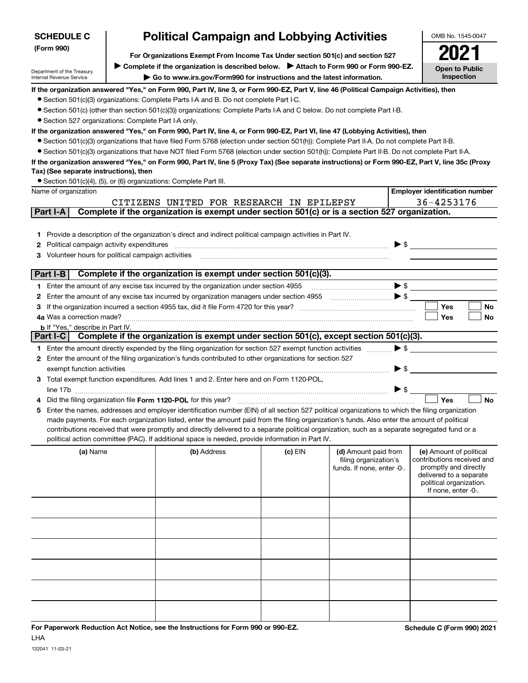| <b>SCHEDULE C</b>                                                                                                                                                                                                           |                       | <b>Political Campaign and Lobbying Activities</b>                                                                                                 |           |                                                     |                          | OMB No. 1545-0047                                   |  |
|-----------------------------------------------------------------------------------------------------------------------------------------------------------------------------------------------------------------------------|-----------------------|---------------------------------------------------------------------------------------------------------------------------------------------------|-----------|-----------------------------------------------------|--------------------------|-----------------------------------------------------|--|
| (Form 990)<br>For Organizations Exempt From Income Tax Under section 501(c) and section 527                                                                                                                                 |                       |                                                                                                                                                   |           |                                                     |                          |                                                     |  |
|                                                                                                                                                                                                                             | <b>Open to Public</b> |                                                                                                                                                   |           |                                                     |                          |                                                     |  |
| ► Complete if the organization is described below. ► Attach to Form 990 or Form 990-EZ.<br>Department of the Treasury<br>Go to www.irs.gov/Form990 for instructions and the latest information.<br>Internal Revenue Service |                       |                                                                                                                                                   |           |                                                     |                          |                                                     |  |
|                                                                                                                                                                                                                             |                       | If the organization answered "Yes," on Form 990, Part IV, line 3, or Form 990-EZ, Part V, line 46 (Political Campaign Activities), then           |           |                                                     |                          |                                                     |  |
|                                                                                                                                                                                                                             |                       | • Section 501(c)(3) organizations: Complete Parts I-A and B. Do not complete Part I-C.                                                            |           |                                                     |                          |                                                     |  |
|                                                                                                                                                                                                                             |                       | • Section 501(c) (other than section 501(c)(3)) organizations: Complete Parts I-A and C below. Do not complete Part I-B.                          |           |                                                     |                          |                                                     |  |
| • Section 527 organizations: Complete Part I-A only.                                                                                                                                                                        |                       |                                                                                                                                                   |           |                                                     |                          |                                                     |  |
|                                                                                                                                                                                                                             |                       | If the organization answered "Yes," on Form 990, Part IV, line 4, or Form 990-EZ, Part VI, line 47 (Lobbying Activities), then                    |           |                                                     |                          |                                                     |  |
|                                                                                                                                                                                                                             |                       | • Section 501(c)(3) organizations that have filed Form 5768 (election under section 501(h)): Complete Part II-A. Do not complete Part II-B.       |           |                                                     |                          |                                                     |  |
|                                                                                                                                                                                                                             |                       | • Section 501(c)(3) organizations that have NOT filed Form 5768 (election under section 501(h)): Complete Part II-B. Do not complete Part II-A.   |           |                                                     |                          |                                                     |  |
| Tax) (See separate instructions), then                                                                                                                                                                                      |                       | If the organization answered "Yes," on Form 990, Part IV, line 5 (Proxy Tax) (See separate instructions) or Form 990-EZ, Part V, line 35c (Proxy  |           |                                                     |                          |                                                     |  |
|                                                                                                                                                                                                                             |                       | • Section 501(c)(4), (5), or (6) organizations: Complete Part III.                                                                                |           |                                                     |                          |                                                     |  |
| Name of organization                                                                                                                                                                                                        |                       |                                                                                                                                                   |           |                                                     |                          | <b>Employer identification number</b>               |  |
|                                                                                                                                                                                                                             |                       | CITIZENS UNITED FOR RESEARCH IN EPILEPSY                                                                                                          |           |                                                     |                          | 36-4253176                                          |  |
| Part I-A                                                                                                                                                                                                                    |                       | Complete if the organization is exempt under section 501(c) or is a section 527 organization.                                                     |           |                                                     |                          |                                                     |  |
|                                                                                                                                                                                                                             |                       |                                                                                                                                                   |           |                                                     |                          |                                                     |  |
|                                                                                                                                                                                                                             |                       | 1 Provide a description of the organization's direct and indirect political campaign activities in Part IV.                                       |           |                                                     |                          |                                                     |  |
| Political campaign activity expenditures<br>2                                                                                                                                                                               |                       |                                                                                                                                                   |           |                                                     |                          | $\blacktriangleright$ \$                            |  |
| Volunteer hours for political campaign activities<br>З                                                                                                                                                                      |                       |                                                                                                                                                   |           |                                                     |                          |                                                     |  |
|                                                                                                                                                                                                                             |                       |                                                                                                                                                   |           |                                                     |                          |                                                     |  |
| Part I-B                                                                                                                                                                                                                    |                       | Complete if the organization is exempt under section 501(c)(3).                                                                                   |           |                                                     |                          |                                                     |  |
|                                                                                                                                                                                                                             |                       | 1 Enter the amount of any excise tax incurred by the organization under section 4955                                                              |           |                                                     |                          |                                                     |  |
| 2                                                                                                                                                                                                                           |                       | Enter the amount of any excise tax incurred by organization managers under section 4955                                                           |           | $\bullet$ $\bullet$ $\bullet$                       |                          |                                                     |  |
| З                                                                                                                                                                                                                           |                       |                                                                                                                                                   |           |                                                     |                          | <b>Yes</b><br><b>No</b>                             |  |
|                                                                                                                                                                                                                             |                       |                                                                                                                                                   |           |                                                     |                          | Yes<br>No                                           |  |
| <b>b</b> If "Yes," describe in Part IV.<br>Part I-C                                                                                                                                                                         |                       | Complete if the organization is exempt under section 501(c), except section 501(c)(3).                                                            |           |                                                     |                          |                                                     |  |
|                                                                                                                                                                                                                             |                       | 1 Enter the amount directly expended by the filing organization for section 527 exempt function activities                                        |           |                                                     | $\blacktriangleright$ \$ |                                                     |  |
|                                                                                                                                                                                                                             |                       | 2 Enter the amount of the filing organization's funds contributed to other organizations for section 527                                          |           |                                                     |                          |                                                     |  |
| exempt function activities                                                                                                                                                                                                  |                       |                                                                                                                                                   |           |                                                     | $\blacktriangleright$ \$ |                                                     |  |
|                                                                                                                                                                                                                             |                       | 3 Total exempt function expenditures. Add lines 1 and 2. Enter here and on Form 1120-POL,                                                         |           |                                                     |                          |                                                     |  |
|                                                                                                                                                                                                                             |                       |                                                                                                                                                   |           |                                                     | $\triangleright$ \$      |                                                     |  |
|                                                                                                                                                                                                                             |                       | Did the filing organization file Form 1120-POL for this year?                                                                                     |           |                                                     |                          | Yes<br><b>No</b>                                    |  |
|                                                                                                                                                                                                                             |                       | 5 Enter the names, addresses and employer identification number (EIN) of all section 527 political organizations to which the filing organization |           |                                                     |                          |                                                     |  |
|                                                                                                                                                                                                                             |                       | made payments. For each organization listed, enter the amount paid from the filing organization's funds. Also enter the amount of political       |           |                                                     |                          |                                                     |  |
|                                                                                                                                                                                                                             |                       | contributions received that were promptly and directly delivered to a separate political organization, such as a separate segregated fund or a    |           |                                                     |                          |                                                     |  |
|                                                                                                                                                                                                                             |                       | political action committee (PAC). If additional space is needed, provide information in Part IV.                                                  |           |                                                     |                          |                                                     |  |
| (a) Name                                                                                                                                                                                                                    |                       | (b) Address                                                                                                                                       | $(c)$ EIN | (d) Amount paid from                                |                          | (e) Amount of political                             |  |
|                                                                                                                                                                                                                             |                       |                                                                                                                                                   |           | filing organization's<br>funds. If none, enter -0-. |                          | contributions received and<br>promptly and directly |  |
|                                                                                                                                                                                                                             |                       |                                                                                                                                                   |           |                                                     |                          | delivered to a separate                             |  |
|                                                                                                                                                                                                                             |                       |                                                                                                                                                   |           |                                                     |                          | political organization.<br>If none, enter -0-.      |  |
|                                                                                                                                                                                                                             |                       |                                                                                                                                                   |           |                                                     |                          |                                                     |  |
|                                                                                                                                                                                                                             |                       |                                                                                                                                                   |           |                                                     |                          |                                                     |  |
|                                                                                                                                                                                                                             |                       |                                                                                                                                                   |           |                                                     |                          |                                                     |  |
|                                                                                                                                                                                                                             |                       |                                                                                                                                                   |           |                                                     |                          |                                                     |  |
|                                                                                                                                                                                                                             |                       |                                                                                                                                                   |           |                                                     |                          |                                                     |  |
|                                                                                                                                                                                                                             |                       |                                                                                                                                                   |           |                                                     |                          |                                                     |  |
|                                                                                                                                                                                                                             |                       |                                                                                                                                                   |           |                                                     |                          |                                                     |  |
|                                                                                                                                                                                                                             |                       |                                                                                                                                                   |           |                                                     |                          |                                                     |  |
|                                                                                                                                                                                                                             |                       |                                                                                                                                                   |           |                                                     |                          |                                                     |  |
|                                                                                                                                                                                                                             |                       |                                                                                                                                                   |           |                                                     |                          |                                                     |  |
|                                                                                                                                                                                                                             |                       |                                                                                                                                                   |           |                                                     |                          |                                                     |  |
|                                                                                                                                                                                                                             |                       |                                                                                                                                                   |           |                                                     |                          |                                                     |  |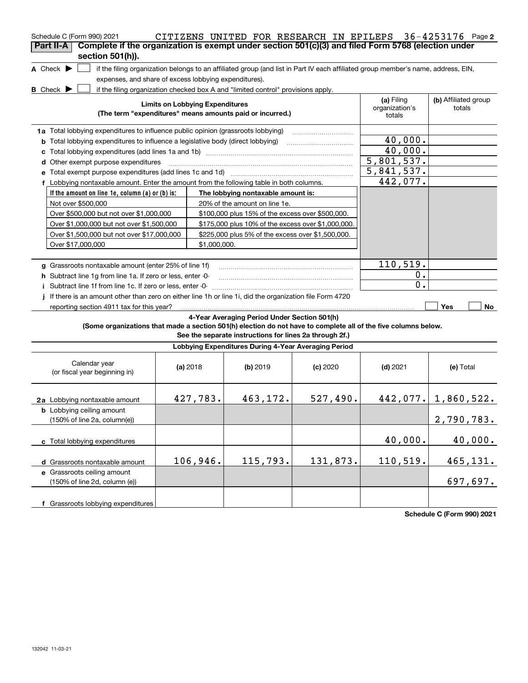| Schedule C (Form 990) 2021                                                                                      |                                        | CITIZENS UNITED FOR RESEARCH IN EPILEPS                                          |            |                                                                                                                                   | $36 - 4253176$ Page 2          |
|-----------------------------------------------------------------------------------------------------------------|----------------------------------------|----------------------------------------------------------------------------------|------------|-----------------------------------------------------------------------------------------------------------------------------------|--------------------------------|
| Complete if the organization is exempt under section 501(c)(3) and filed Form 5768 (election under<br>Part II-A |                                        |                                                                                  |            |                                                                                                                                   |                                |
| section 501(h)).<br>A Check $\blacktriangleright$                                                               |                                        |                                                                                  |            | if the filing organization belongs to an affiliated group (and list in Part IV each affiliated group member's name, address, EIN, |                                |
| expenses, and share of excess lobbying expenditures).                                                           |                                        |                                                                                  |            |                                                                                                                                   |                                |
| <b>B</b> Check $\blacktriangleright$                                                                            |                                        | if the filing organization checked box A and "limited control" provisions apply. |            |                                                                                                                                   |                                |
|                                                                                                                 | <b>Limits on Lobbying Expenditures</b> | (The term "expenditures" means amounts paid or incurred.)                        |            | (a) Filing<br>organization's<br>totals                                                                                            | (b) Affiliated group<br>totals |
| 1a Total lobbying expenditures to influence public opinion (grassroots lobbying)                                |                                        |                                                                                  |            |                                                                                                                                   |                                |
| <b>b</b> Total lobbying expenditures to influence a legislative body (direct lobbying)                          |                                        |                                                                                  |            | 40,000.                                                                                                                           |                                |
|                                                                                                                 |                                        |                                                                                  |            | 40,000.                                                                                                                           |                                |
| d Other exempt purpose expenditures                                                                             |                                        |                                                                                  |            | 5,801,537.                                                                                                                        |                                |
|                                                                                                                 |                                        |                                                                                  |            | 5,841,537.                                                                                                                        |                                |
| f Lobbying nontaxable amount. Enter the amount from the following table in both columns.                        |                                        |                                                                                  |            | 442,077.                                                                                                                          |                                |
| If the amount on line 1e, column (a) or (b) is:                                                                 |                                        | The lobbying nontaxable amount is:                                               |            |                                                                                                                                   |                                |
| Not over \$500,000                                                                                              |                                        | 20% of the amount on line 1e.                                                    |            |                                                                                                                                   |                                |
| Over \$500,000 but not over \$1,000,000                                                                         |                                        | \$100,000 plus 15% of the excess over \$500,000.                                 |            |                                                                                                                                   |                                |
| Over \$1,000,000 but not over \$1,500,000                                                                       |                                        | \$175,000 plus 10% of the excess over \$1,000,000.                               |            |                                                                                                                                   |                                |
| Over \$1,500,000 but not over \$17,000,000                                                                      |                                        | \$225,000 plus 5% of the excess over \$1,500,000.                                |            |                                                                                                                                   |                                |
| Over \$17,000,000                                                                                               | \$1,000,000.                           |                                                                                  |            |                                                                                                                                   |                                |
|                                                                                                                 |                                        |                                                                                  |            |                                                                                                                                   |                                |
| g Grassroots nontaxable amount (enter 25% of line 1f)                                                           |                                        |                                                                                  |            | 110, 519.                                                                                                                         |                                |
| h Subtract line 1g from line 1a. If zero or less, enter -0-                                                     |                                        |                                                                                  |            | 0.                                                                                                                                |                                |
| Subtract line 1f from line 1c. If zero or less, enter -0-                                                       |                                        |                                                                                  |            | $\overline{0}$ .                                                                                                                  |                                |
| If there is an amount other than zero on either line 1h or line 1i, did the organization file Form 4720         |                                        |                                                                                  |            |                                                                                                                                   |                                |
| reporting section 4911 tax for this year?                                                                       |                                        |                                                                                  |            |                                                                                                                                   | Yes<br>No                      |
|                                                                                                                 |                                        | 4-Year Averaging Period Under Section 501(h)                                     |            |                                                                                                                                   |                                |
| (Some organizations that made a section 501(h) election do not have to complete all of the five columns below.  |                                        | See the separate instructions for lines 2a through 2f.)                          |            |                                                                                                                                   |                                |
|                                                                                                                 |                                        | Lobbying Expenditures During 4-Year Averaging Period                             |            |                                                                                                                                   |                                |
| Calendar year<br>(or fiscal year beginning in)                                                                  | (a) 2018                               | $(b)$ 2019                                                                       | $(c)$ 2020 | $(d)$ 2021                                                                                                                        | (e) Total                      |
| 2a Lobbying nontaxable amount                                                                                   | 427,783.                               | 463,172.                                                                         | 527,490.   |                                                                                                                                   | $442,077.$ 1,860,522.          |
| <b>b</b> Lobbying ceiling amount<br>(150% of line 2a, column(e))                                                |                                        |                                                                                  |            |                                                                                                                                   | 2,790,783.                     |
| c Total lobbying expenditures                                                                                   |                                        |                                                                                  |            | 40,000.                                                                                                                           | 40,000.                        |
| d Grassroots nontaxable amount                                                                                  | 106,946.                               | 115,793.                                                                         | 131,873.   | 110, 519.                                                                                                                         | 465, 131.                      |
| e Grassroots ceiling amount                                                                                     |                                        |                                                                                  |            |                                                                                                                                   |                                |
| (150% of line 2d, column (e))                                                                                   |                                        |                                                                                  |            |                                                                                                                                   | 697,697.                       |
| f Grassroots lobbying expenditures                                                                              |                                        |                                                                                  |            |                                                                                                                                   |                                |

**Schedule C (Form 990) 2021**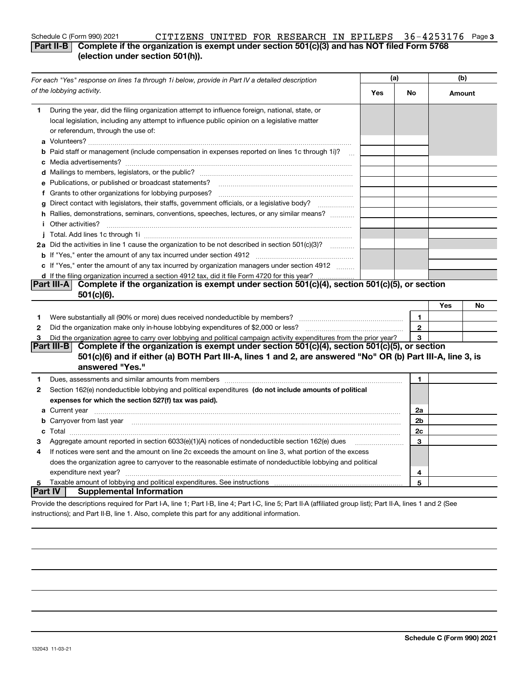### **3** Schedule C (Form 990) 2021 Page CITIZENS UNITED FOR RESEARCH IN EPILEPS 36-4253176**Part II-B** Complete if the organization is exempt under section 501(c)(3) and has NOT filed Form 5768

### **(election under section 501(h)).**

| For each "Yes" response on lines 1a through 1i below, provide in Part IV a detailed description |                                                                                                                                                                                                                                                 | (a) |                | (b)    |    |
|-------------------------------------------------------------------------------------------------|-------------------------------------------------------------------------------------------------------------------------------------------------------------------------------------------------------------------------------------------------|-----|----------------|--------|----|
|                                                                                                 | of the lobbying activity.                                                                                                                                                                                                                       | Yes | No             | Amount |    |
| 1.                                                                                              | During the year, did the filing organization attempt to influence foreign, national, state, or<br>local legislation, including any attempt to influence public opinion on a legislative matter<br>or referendum, through the use of:            |     |                |        |    |
|                                                                                                 | <b>b</b> Paid staff or management (include compensation in expenses reported on lines 1c through 1i)?<br>$\dddotsc$                                                                                                                             |     |                |        |    |
|                                                                                                 |                                                                                                                                                                                                                                                 |     |                |        |    |
|                                                                                                 | e Publications, or published or broadcast statements?                                                                                                                                                                                           |     |                |        |    |
|                                                                                                 | f Grants to other organizations for lobbying purposes?<br>The Crants to other organizations for lobbying purposes?                                                                                                                              |     |                |        |    |
|                                                                                                 | g Direct contact with legislators, their staffs, government officials, or a legislative body?<br>.                                                                                                                                              |     |                |        |    |
|                                                                                                 | h Rallies, demonstrations, seminars, conventions, speeches, lectures, or any similar means?                                                                                                                                                     |     |                |        |    |
|                                                                                                 | <i>i</i> Other activities?                                                                                                                                                                                                                      |     |                |        |    |
|                                                                                                 |                                                                                                                                                                                                                                                 |     |                |        |    |
|                                                                                                 | 2a Did the activities in line 1 cause the organization to be not described in section 501(c)(3)?                                                                                                                                                |     |                |        |    |
|                                                                                                 |                                                                                                                                                                                                                                                 |     |                |        |    |
|                                                                                                 | c If "Yes," enter the amount of any tax incurred by organization managers under section 4912                                                                                                                                                    |     |                |        |    |
|                                                                                                 | d If the filing organization incurred a section 4912 tax, did it file Form 4720 for this year?                                                                                                                                                  |     |                |        |    |
|                                                                                                 | Complete if the organization is exempt under section 501(c)(4), section 501(c)(5), or section<br> Part III-A                                                                                                                                    |     |                |        |    |
|                                                                                                 | $501(c)(6)$ .                                                                                                                                                                                                                                   |     |                |        |    |
|                                                                                                 |                                                                                                                                                                                                                                                 |     |                | Yes    | No |
| 1                                                                                               |                                                                                                                                                                                                                                                 |     | 1              |        |    |
| 2                                                                                               | Did the organization make only in house lobbying expenditures of \$2,000 or less?                                                                                                                                                               |     | $\mathbf{2}$   |        |    |
| 3                                                                                               | Did the organization agree to carry over lobbying and political campaign activity expenditures from the prior year?                                                                                                                             |     | 3              |        |    |
|                                                                                                 | Complete if the organization is exempt under section 501(c)(4), section 501(c)(5), or section<br> Part III-B <br>501(c)(6) and if either (a) BOTH Part III-A, lines 1 and 2, are answered "No" OR (b) Part III-A, line 3, is<br>answered "Yes." |     |                |        |    |
| 1                                                                                               | Dues, assessments and similar amounts from members [111] matter continuum matter and similar amounts and similar amounts from members [11] matter continuum matter and similar amounts from members [11] matter and similar an                  |     | 1              |        |    |
| $\mathbf{2}$                                                                                    | Section 162(e) nondeductible lobbying and political expenditures (do not include amounts of political                                                                                                                                           |     |                |        |    |
|                                                                                                 | expenses for which the section 527(f) tax was paid).                                                                                                                                                                                            |     |                |        |    |
|                                                                                                 |                                                                                                                                                                                                                                                 |     | 2a             |        |    |
|                                                                                                 | <b>b</b> Carryover from last year <i>maching machine content to content to the content of the content of the content of the content of the content of the content of the content of the content of the content of the content of the </i>       |     | 2 <sub>b</sub> |        |    |
|                                                                                                 |                                                                                                                                                                                                                                                 |     | 2c             |        |    |
| з                                                                                               | Aggregate amount reported in section 6033(e)(1)(A) notices of nondeductible section 162(e) dues                                                                                                                                                 |     | 3              |        |    |
| 4                                                                                               | If notices were sent and the amount on line 2c exceeds the amount on line 3, what portion of the excess                                                                                                                                         |     |                |        |    |
|                                                                                                 | does the organization agree to carryover to the reasonable estimate of nondeductible lobbying and political                                                                                                                                     |     |                |        |    |
|                                                                                                 | expenditure next year?                                                                                                                                                                                                                          |     | 4              |        |    |
| 5                                                                                               |                                                                                                                                                                                                                                                 |     | 5              |        |    |
|                                                                                                 | <b>Supplemental Information</b><br>∣Part IV ∣                                                                                                                                                                                                   |     |                |        |    |
|                                                                                                 | Provide the descriptions required for Part I-A, line 1; Part I-B, line 4; Part I-C, line 5; Part II-A (affiliated group list); Part II-A, lines 1 and 2 (See                                                                                    |     |                |        |    |

instructions); and Part II-B, line 1. Also, complete this part for any additional information.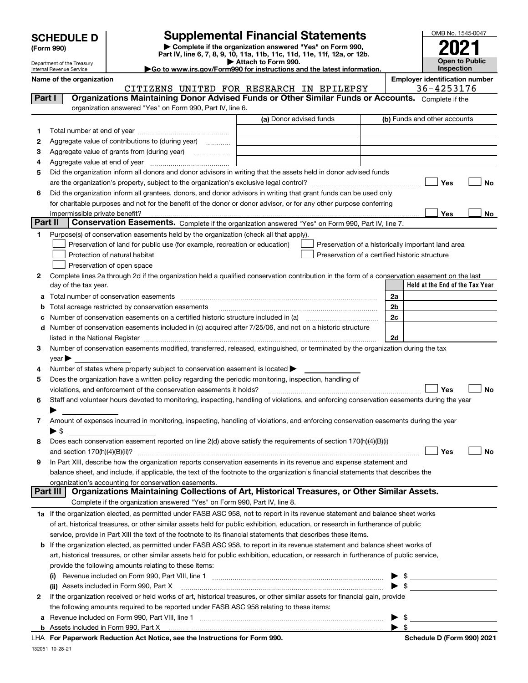| <b>SCHEDULE D</b> |  |
|-------------------|--|
|-------------------|--|

Department of the Treasury Internal Revenue Service

| (Form 990) |  |
|------------|--|
|------------|--|

## **SCHEDULE D Supplemental Financial Statements**

**| Complete if the organization answered "Yes" on Form 990, Part IV, line 6, 7, 8, 9, 10, 11a, 11b, 11c, 11d, 11e, 11f, 12a, or 12b. | Attach to Form 990.** OMB No. 1545-0047 **Open to Public Inspection2021**

**|Go to www.irs.gov/Form990 for instructions and the latest information.**

**Name of the organization Employer identification number**

|         | CITIZENS UNITED FOR RESEARCH IN EPILEPSY                                                                                                                          | 36-4253176                                                                                                                                                                                                                                 |
|---------|-------------------------------------------------------------------------------------------------------------------------------------------------------------------|--------------------------------------------------------------------------------------------------------------------------------------------------------------------------------------------------------------------------------------------|
| Part I  | Organizations Maintaining Donor Advised Funds or Other Similar Funds or Accounts. Complete if the                                                                 |                                                                                                                                                                                                                                            |
|         | organization answered "Yes" on Form 990, Part IV, line 6.                                                                                                         |                                                                                                                                                                                                                                            |
|         | (a) Donor advised funds                                                                                                                                           | (b) Funds and other accounts                                                                                                                                                                                                               |
| 1.      |                                                                                                                                                                   |                                                                                                                                                                                                                                            |
| 2       | Aggregate value of contributions to (during year)                                                                                                                 |                                                                                                                                                                                                                                            |
| з       | Aggregate value of grants from (during year)                                                                                                                      |                                                                                                                                                                                                                                            |
| 4       |                                                                                                                                                                   |                                                                                                                                                                                                                                            |
| 5       | Did the organization inform all donors and donor advisors in writing that the assets held in donor advised funds                                                  |                                                                                                                                                                                                                                            |
|         |                                                                                                                                                                   | Yes<br>No                                                                                                                                                                                                                                  |
|         | Did the organization inform all grantees, donors, and donor advisors in writing that grant funds can be used only                                                 |                                                                                                                                                                                                                                            |
| 6       |                                                                                                                                                                   |                                                                                                                                                                                                                                            |
|         | for charitable purposes and not for the benefit of the donor or donor advisor, or for any other purpose conferring                                                |                                                                                                                                                                                                                                            |
| Part II | impermissible private benefit?<br>Conservation Easements. Complete if the organization answered "Yes" on Form 990, Part IV, line 7.                               | Yes<br>No                                                                                                                                                                                                                                  |
|         |                                                                                                                                                                   |                                                                                                                                                                                                                                            |
| 1       | Purpose(s) of conservation easements held by the organization (check all that apply).                                                                             |                                                                                                                                                                                                                                            |
|         | Preservation of land for public use (for example, recreation or education)                                                                                        | Preservation of a historically important land area                                                                                                                                                                                         |
|         | Protection of natural habitat<br>Preservation of a certified historic structure                                                                                   |                                                                                                                                                                                                                                            |
|         | Preservation of open space                                                                                                                                        |                                                                                                                                                                                                                                            |
| 2       | Complete lines 2a through 2d if the organization held a qualified conservation contribution in the form of a conservation easement on the last                    |                                                                                                                                                                                                                                            |
|         | day of the tax year.                                                                                                                                              | Held at the End of the Tax Year                                                                                                                                                                                                            |
| а       | Total number of conservation easements                                                                                                                            | 2a                                                                                                                                                                                                                                         |
| b       | Total acreage restricted by conservation easements                                                                                                                | 2b                                                                                                                                                                                                                                         |
| c       |                                                                                                                                                                   | 2c                                                                                                                                                                                                                                         |
| d       | Number of conservation easements included in (c) acquired after 7/25/06, and not on a historic structure                                                          |                                                                                                                                                                                                                                            |
|         |                                                                                                                                                                   | 2d                                                                                                                                                                                                                                         |
| З.      | Number of conservation easements modified, transferred, released, extinguished, or terminated by the organization during the tax                                  |                                                                                                                                                                                                                                            |
|         | $year \blacktriangleright$                                                                                                                                        |                                                                                                                                                                                                                                            |
| 4       | Number of states where property subject to conservation easement is located $\blacktriangleright$                                                                 |                                                                                                                                                                                                                                            |
| 5       | Does the organization have a written policy regarding the periodic monitoring, inspection, handling of                                                            |                                                                                                                                                                                                                                            |
|         | violations, and enforcement of the conservation easements it holds?                                                                                               | Yes<br>No                                                                                                                                                                                                                                  |
| 6       | Staff and volunteer hours devoted to monitoring, inspecting, handling of violations, and enforcing conservation easements during the year                         |                                                                                                                                                                                                                                            |
|         |                                                                                                                                                                   |                                                                                                                                                                                                                                            |
| 7       | Amount of expenses incurred in monitoring, inspecting, handling of violations, and enforcing conservation easements during the year                               |                                                                                                                                                                                                                                            |
|         | $\blacktriangleright$ s                                                                                                                                           |                                                                                                                                                                                                                                            |
| 8       | Does each conservation easement reported on line 2(d) above satisfy the requirements of section 170(h)(4)(B)(i)                                                   |                                                                                                                                                                                                                                            |
|         |                                                                                                                                                                   | Yes<br>No                                                                                                                                                                                                                                  |
| 9       | In Part XIII, describe how the organization reports conservation easements in its revenue and expense statement and                                               |                                                                                                                                                                                                                                            |
|         | balance sheet, and include, if applicable, the text of the footnote to the organization's financial statements that describes the                                 |                                                                                                                                                                                                                                            |
|         | organization's accounting for conservation easements.<br>Organizations Maintaining Collections of Art, Historical Treasures, or Other Similar Assets.<br>Part III |                                                                                                                                                                                                                                            |
|         | Complete if the organization answered "Yes" on Form 990, Part IV, line 8.                                                                                         |                                                                                                                                                                                                                                            |
|         |                                                                                                                                                                   |                                                                                                                                                                                                                                            |
|         | 1a If the organization elected, as permitted under FASB ASC 958, not to report in its revenue statement and balance sheet works                                   |                                                                                                                                                                                                                                            |
|         | of art, historical treasures, or other similar assets held for public exhibition, education, or research in furtherance of public                                 |                                                                                                                                                                                                                                            |
|         | service, provide in Part XIII the text of the footnote to its financial statements that describes these items.                                                    |                                                                                                                                                                                                                                            |
| b       | If the organization elected, as permitted under FASB ASC 958, to report in its revenue statement and balance sheet works of                                       |                                                                                                                                                                                                                                            |
|         | art, historical treasures, or other similar assets held for public exhibition, education, or research in furtherance of public service,                           |                                                                                                                                                                                                                                            |
|         | provide the following amounts relating to these items:                                                                                                            |                                                                                                                                                                                                                                            |
|         |                                                                                                                                                                   | \$<br><u>and the contract of the contract of the contract of the contract of the contract of the contract of the contract of the contract of the contract of the contract of the contract of the contract of the contract of the contr</u> |
|         | (ii) Assets included in Form 990, Part X                                                                                                                          | $\sim$                                                                                                                                                                                                                                     |
| 2       | If the organization received or held works of art, historical treasures, or other similar assets for financial gain, provide                                      |                                                                                                                                                                                                                                            |
|         | the following amounts required to be reported under FASB ASC 958 relating to these items:                                                                         |                                                                                                                                                                                                                                            |
| а       | Revenue included on Form 990, Part VIII, line 1                                                                                                                   | \$                                                                                                                                                                                                                                         |
|         | Appate included in Form 000, Ded V.                                                                                                                               |                                                                                                                                                                                                                                            |

**b**Assets included in Form 990, Part X

|  | LHA For Paperwork Reduction Act Notice, see the Instructions for Form 990. |  |  |  |  |  |
|--|----------------------------------------------------------------------------|--|--|--|--|--|
|--|----------------------------------------------------------------------------|--|--|--|--|--|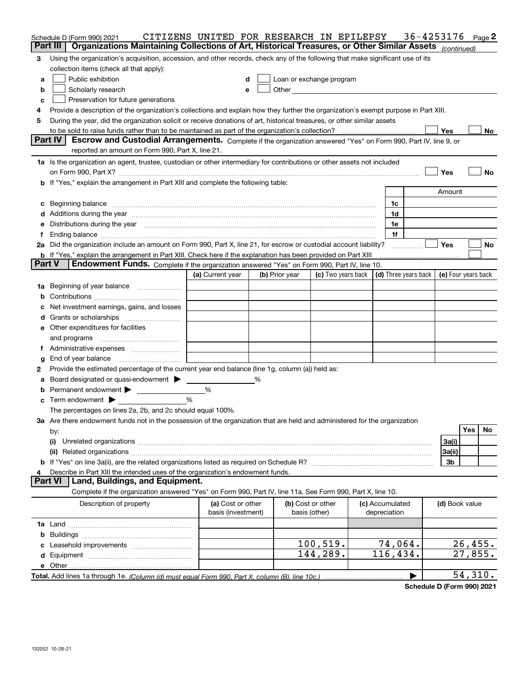|               | Schedule D (Form 990) 2021<br>Part III<br>Organizations Maintaining Collections of Art, Historical Treasures, or Other Similar Assets (continued)                                                                              | CITIZENS UNITED FOR RESEARCH IN EPILEPSY |   |                |                                    |                                 | 36-4253176           |                     |         | Page <sup>2</sup> |
|---------------|--------------------------------------------------------------------------------------------------------------------------------------------------------------------------------------------------------------------------------|------------------------------------------|---|----------------|------------------------------------|---------------------------------|----------------------|---------------------|---------|-------------------|
|               |                                                                                                                                                                                                                                |                                          |   |                |                                    |                                 |                      |                     |         |                   |
| 3             | Using the organization's acquisition, accession, and other records, check any of the following that make significant use of its                                                                                                |                                          |   |                |                                    |                                 |                      |                     |         |                   |
|               | collection items (check all that apply):                                                                                                                                                                                       |                                          |   |                |                                    |                                 |                      |                     |         |                   |
| a             | Public exhibition                                                                                                                                                                                                              |                                          |   |                | Loan or exchange program           |                                 |                      |                     |         |                   |
| b             | Scholarly research                                                                                                                                                                                                             | e                                        |   |                |                                    |                                 |                      |                     |         |                   |
| c             | Preservation for future generations                                                                                                                                                                                            |                                          |   |                |                                    |                                 |                      |                     |         |                   |
| 4             | Provide a description of the organization's collections and explain how they further the organization's exempt purpose in Part XIII.                                                                                           |                                          |   |                |                                    |                                 |                      |                     |         |                   |
| 5             | During the year, did the organization solicit or receive donations of art, historical treasures, or other similar assets                                                                                                       |                                          |   |                |                                    |                                 |                      |                     |         |                   |
|               |                                                                                                                                                                                                                                |                                          |   |                |                                    |                                 |                      | Yes                 |         | No                |
|               | Part IV<br>Escrow and Custodial Arrangements. Complete if the organization answered "Yes" on Form 990, Part IV, line 9, or<br>reported an amount on Form 990, Part X, line 21.                                                 |                                          |   |                |                                    |                                 |                      |                     |         |                   |
|               | 1a Is the organization an agent, trustee, custodian or other intermediary for contributions or other assets not included                                                                                                       |                                          |   |                |                                    |                                 |                      |                     |         |                   |
|               |                                                                                                                                                                                                                                |                                          |   |                |                                    |                                 |                      | Yes                 |         | No                |
|               | b If "Yes," explain the arrangement in Part XIII and complete the following table:                                                                                                                                             |                                          |   |                |                                    |                                 |                      |                     |         |                   |
|               |                                                                                                                                                                                                                                |                                          |   |                |                                    |                                 |                      | Amount              |         |                   |
|               | c Beginning balance measurements and the contract of the contract of the contract of the contract of the contract of the contract of the contract of the contract of the contract of the contract of the contract of the contr |                                          |   |                |                                    | 1c                              |                      |                     |         |                   |
|               | d Additions during the year measurements are all an according to the year measurement of the year measurement of the state of the state of the state of the state of the state of the state of the state of the state of the s |                                          |   |                |                                    | 1d                              |                      |                     |         |                   |
|               | e Distributions during the year manufactured and continuum and contact the year manufactured and contact the year manufactured and contact the year manufactured and contact the year manufactured and contact the year manufa |                                          |   |                |                                    | 1e                              |                      |                     |         |                   |
| f             | Ending balance measurements are all the contract of the contract of the contract of the contract of the contract of the contract of the contract of the contract of the contract of the contract of the contract of the contra |                                          |   |                |                                    | 1f                              |                      |                     |         |                   |
|               | 2a Did the organization include an amount on Form 990, Part X, line 21, for escrow or custodial account liability?                                                                                                             |                                          |   |                |                                    |                                 |                      | <b>Yes</b>          |         | No                |
|               | <b>b</b> If "Yes," explain the arrangement in Part XIII. Check here if the explanation has been provided on Part XIII                                                                                                          |                                          |   |                |                                    |                                 |                      |                     |         |                   |
| <b>Part V</b> | Endowment Funds. Complete if the organization answered "Yes" on Form 990, Part IV, line 10.                                                                                                                                    |                                          |   |                |                                    |                                 |                      |                     |         |                   |
|               |                                                                                                                                                                                                                                | (a) Current year                         |   | (b) Prior year | (c) Two years back                 |                                 | (d) Three years back | (e) Four years back |         |                   |
|               | 1a Beginning of year balance                                                                                                                                                                                                   |                                          |   |                |                                    |                                 |                      |                     |         |                   |
|               |                                                                                                                                                                                                                                |                                          |   |                |                                    |                                 |                      |                     |         |                   |
|               |                                                                                                                                                                                                                                |                                          |   |                |                                    |                                 |                      |                     |         |                   |
|               | c Net investment earnings, gains, and losses                                                                                                                                                                                   |                                          |   |                |                                    |                                 |                      |                     |         |                   |
|               |                                                                                                                                                                                                                                |                                          |   |                |                                    |                                 |                      |                     |         |                   |
|               | e Other expenditures for facilities                                                                                                                                                                                            |                                          |   |                |                                    |                                 |                      |                     |         |                   |
|               | and programs                                                                                                                                                                                                                   |                                          |   |                |                                    |                                 |                      |                     |         |                   |
|               |                                                                                                                                                                                                                                |                                          |   |                |                                    |                                 |                      |                     |         |                   |
| g             | End of year balance                                                                                                                                                                                                            |                                          |   |                |                                    |                                 |                      |                     |         |                   |
| 2             | Provide the estimated percentage of the current year end balance (line 1g, column (a)) held as:                                                                                                                                |                                          |   |                |                                    |                                 |                      |                     |         |                   |
| a             | Board designated or quasi-endowment                                                                                                                                                                                            |                                          | ℅ |                |                                    |                                 |                      |                     |         |                   |
|               | <b>b</b> Permanent endowment                                                                                                                                                                                                   | %                                        |   |                |                                    |                                 |                      |                     |         |                   |
|               | $\mathbf c$ Term endowment $\blacktriangleright$                                                                                                                                                                               | %                                        |   |                |                                    |                                 |                      |                     |         |                   |
|               | The percentages on lines 2a, 2b, and 2c should equal 100%.                                                                                                                                                                     |                                          |   |                |                                    |                                 |                      |                     |         |                   |
|               | 3a Are there endowment funds not in the possession of the organization that are held and administered for the organization                                                                                                     |                                          |   |                |                                    |                                 |                      |                     |         |                   |
|               | by:                                                                                                                                                                                                                            |                                          |   |                |                                    |                                 |                      |                     | Yes     | No                |
|               | (i)                                                                                                                                                                                                                            |                                          |   |                |                                    |                                 |                      | 3a(i)               |         |                   |
|               |                                                                                                                                                                                                                                |                                          |   |                |                                    |                                 |                      | 3a(ii)              |         |                   |
|               |                                                                                                                                                                                                                                |                                          |   |                |                                    |                                 |                      | 3b                  |         |                   |
| 4             | Describe in Part XIII the intended uses of the organization's endowment funds.                                                                                                                                                 |                                          |   |                |                                    |                                 |                      |                     |         |                   |
|               | <b>Part VI</b><br>Land, Buildings, and Equipment.                                                                                                                                                                              |                                          |   |                |                                    |                                 |                      |                     |         |                   |
|               | Complete if the organization answered "Yes" on Form 990, Part IV, line 11a. See Form 990, Part X, line 10.                                                                                                                     |                                          |   |                |                                    |                                 |                      |                     |         |                   |
|               | Description of property                                                                                                                                                                                                        | (a) Cost or other<br>basis (investment)  |   |                | (b) Cost or other<br>basis (other) | (c) Accumulated<br>depreciation |                      | (d) Book value      |         |                   |
|               |                                                                                                                                                                                                                                |                                          |   |                |                                    |                                 |                      |                     |         |                   |
|               |                                                                                                                                                                                                                                |                                          |   |                |                                    |                                 |                      |                     |         |                   |
|               |                                                                                                                                                                                                                                |                                          |   |                | 100, 519.                          | 74,064.                         |                      |                     |         |                   |
|               |                                                                                                                                                                                                                                |                                          |   |                |                                    | 116,434.                        |                      |                     | 26,455. |                   |
|               |                                                                                                                                                                                                                                |                                          |   |                | 144,289.                           |                                 |                      |                     | 27,855. |                   |
|               |                                                                                                                                                                                                                                |                                          |   |                |                                    |                                 |                      |                     |         |                   |
|               |                                                                                                                                                                                                                                |                                          |   |                |                                    |                                 | ▶                    |                     | 54,310. |                   |

**Schedule D (Form 990) 2021**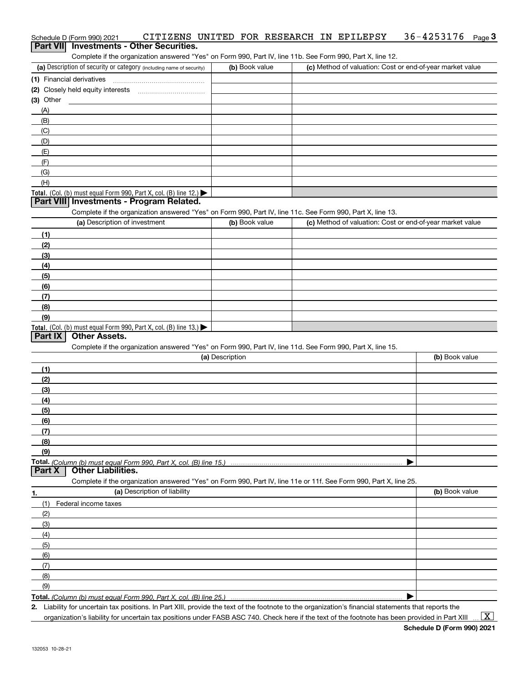| Schedule D (Form 990) 2021                                                                                        |                 | CITIZENS UNITED FOR RESEARCH IN EPILEPSY | 36-4253176<br>$Page$ <sup>3</sup>                         |
|-------------------------------------------------------------------------------------------------------------------|-----------------|------------------------------------------|-----------------------------------------------------------|
| Part VII Investments - Other Securities.                                                                          |                 |                                          |                                                           |
| Complete if the organization answered "Yes" on Form 990, Part IV, line 11b. See Form 990, Part X, line 12.        |                 |                                          |                                                           |
| (a) Description of security or category (including name of security)                                              | (b) Book value  |                                          | (c) Method of valuation: Cost or end-of-year market value |
|                                                                                                                   |                 |                                          |                                                           |
|                                                                                                                   |                 |                                          |                                                           |
| $(3)$ Other                                                                                                       |                 |                                          |                                                           |
| (A)                                                                                                               |                 |                                          |                                                           |
| (B)                                                                                                               |                 |                                          |                                                           |
| (C)                                                                                                               |                 |                                          |                                                           |
| (D)                                                                                                               |                 |                                          |                                                           |
| (E)                                                                                                               |                 |                                          |                                                           |
| (F)                                                                                                               |                 |                                          |                                                           |
| (G)                                                                                                               |                 |                                          |                                                           |
| (H)                                                                                                               |                 |                                          |                                                           |
| Total. (Col. (b) must equal Form 990, Part X, col. (B) line 12.)<br>Part VIII Investments - Program Related.      |                 |                                          |                                                           |
| Complete if the organization answered "Yes" on Form 990, Part IV, line 11c. See Form 990, Part X, line 13.        |                 |                                          |                                                           |
| (a) Description of investment                                                                                     | (b) Book value  |                                          | (c) Method of valuation: Cost or end-of-year market value |
| (1)                                                                                                               |                 |                                          |                                                           |
| (2)                                                                                                               |                 |                                          |                                                           |
| (3)                                                                                                               |                 |                                          |                                                           |
| (4)                                                                                                               |                 |                                          |                                                           |
| (5)                                                                                                               |                 |                                          |                                                           |
| (6)                                                                                                               |                 |                                          |                                                           |
| (7)                                                                                                               |                 |                                          |                                                           |
| (8)                                                                                                               |                 |                                          |                                                           |
| (9)                                                                                                               |                 |                                          |                                                           |
| Total. (Col. (b) must equal Form 990, Part X, col. (B) line 13.)                                                  |                 |                                          |                                                           |
| <b>Other Assets.</b><br>Part IX                                                                                   |                 |                                          |                                                           |
| Complete if the organization answered "Yes" on Form 990, Part IV, line 11d. See Form 990, Part X, line 15.        |                 |                                          |                                                           |
|                                                                                                                   | (a) Description |                                          | (b) Book value                                            |
| (1)                                                                                                               |                 |                                          |                                                           |
| (2)                                                                                                               |                 |                                          |                                                           |
| (3)                                                                                                               |                 |                                          |                                                           |
| (4)                                                                                                               |                 |                                          |                                                           |
| (5)                                                                                                               |                 |                                          |                                                           |
| (6)                                                                                                               |                 |                                          |                                                           |
| (7)                                                                                                               |                 |                                          |                                                           |
| (8)                                                                                                               |                 |                                          |                                                           |
| (9)                                                                                                               |                 |                                          |                                                           |
| Part X<br><b>Other Liabilities.</b>                                                                               |                 |                                          |                                                           |
| Complete if the organization answered "Yes" on Form 990, Part IV, line 11e or 11f. See Form 990, Part X, line 25. |                 |                                          |                                                           |
| (a) Description of liability                                                                                      |                 |                                          | (b) Book value                                            |
| 1.<br>(1)<br>Federal income taxes                                                                                 |                 |                                          |                                                           |
| (2)                                                                                                               |                 |                                          |                                                           |
| (3)                                                                                                               |                 |                                          |                                                           |
| (4)                                                                                                               |                 |                                          |                                                           |
| (5)                                                                                                               |                 |                                          |                                                           |
| (6)                                                                                                               |                 |                                          |                                                           |
| (7)                                                                                                               |                 |                                          |                                                           |
|                                                                                                                   |                 |                                          |                                                           |

**Total.**  *(Column (b) must equal Form 990, Part X, col. (B) line 25.)*

**2.**| Liability for uncertain tax positions. In Part XIII, provide the text of the footnote to the organization's financial statements that reports the

organization's liability for uncertain tax positions under FASB ASC 740. Check here if the text of the footnote has been provided in Part XIII

 $\vert$  X  $\vert$ 

(8)(9)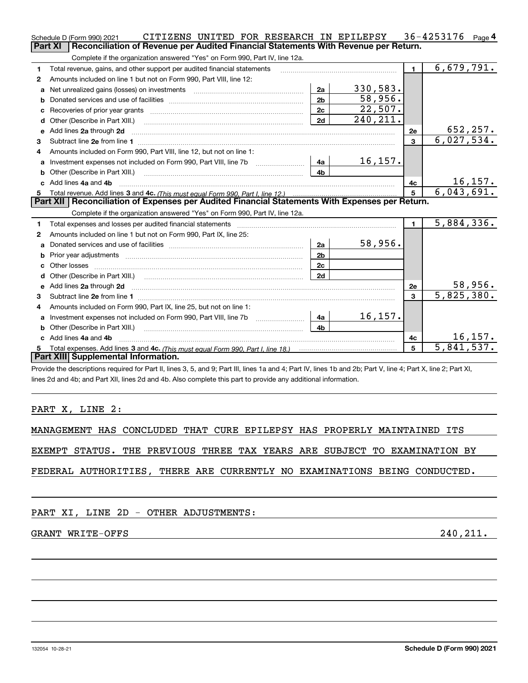|                | CITIZENS UNITED FOR RESEARCH IN EPILEPSY<br>Schedule D (Form 990) 2021                                                                                                                                                              |                |           |                | 36-4253176 $_{Page 4}$       |  |
|----------------|-------------------------------------------------------------------------------------------------------------------------------------------------------------------------------------------------------------------------------------|----------------|-----------|----------------|------------------------------|--|
| <b>Part XI</b> | Reconciliation of Revenue per Audited Financial Statements With Revenue per Return.                                                                                                                                                 |                |           |                |                              |  |
|                | Complete if the organization answered "Yes" on Form 990, Part IV, line 12a.                                                                                                                                                         |                |           |                |                              |  |
| 1              | Total revenue, gains, and other support per audited financial statements                                                                                                                                                            |                |           | $\blacksquare$ | 6,679,791.                   |  |
| $\mathbf{2}$   | Amounts included on line 1 but not on Form 990, Part VIII, line 12:                                                                                                                                                                 |                |           |                |                              |  |
| a              |                                                                                                                                                                                                                                     | 2a             | 330,583.  |                |                              |  |
| b              |                                                                                                                                                                                                                                     | 2 <sub>b</sub> | 58,956.   |                |                              |  |
| с              |                                                                                                                                                                                                                                     | 2c             | 22,507.   |                |                              |  |
|                | Other (Describe in Part XIII.) <b>2006</b> 2006 2010 2010 2010 2010 2011 2012 2013 2014 2015 2016 2017 2018 2019 2016 2016 2017 2018 2019 2016 2017 2018 2019 2016 2017 2018 2019 2018 2019 2016 2017 2018 2019 2018 2019 2018 2019 | 2d             | 240, 211. |                |                              |  |
| e              | Add lines 2a through 2d                                                                                                                                                                                                             |                |           | 2e             | 652,257.                     |  |
| 3.             |                                                                                                                                                                                                                                     |                |           | 3              | 6,027,534.                   |  |
| 4              | Amounts included on Form 990, Part VIII, line 12, but not on line 1:                                                                                                                                                                |                |           |                |                              |  |
| a              | Investment expenses not included on Form 990, Part VIII, line 7b [1000000000000000000000000000000000                                                                                                                                | 4a             | 16, 157.  |                |                              |  |
| b              | Other (Describe in Part XIII.) <b>Construction Contract Construction</b> Chemical Construction Chemical Chemical Chemical Chemical Chemical Chemical Chemical Chemical Chemical Chemical Chemical Chemical Chemical Chemical Chemic | 4b             |           |                |                              |  |
| c.             | Add lines 4a and 4b                                                                                                                                                                                                                 |                |           | 4c             | $\frac{16,157.}{6,043,691.}$ |  |
| 5              |                                                                                                                                                                                                                                     |                |           | 5              |                              |  |
|                | Part XII   Reconciliation of Expenses per Audited Financial Statements With Expenses per Return.                                                                                                                                    |                |           |                |                              |  |
|                | Complete if the organization answered "Yes" on Form 990, Part IV, line 12a.                                                                                                                                                         |                |           |                |                              |  |
| 1              | Total expenses and losses per audited financial statements                                                                                                                                                                          |                |           | $\blacksquare$ | 5,884,336.                   |  |
| 2              | Amounts included on line 1 but not on Form 990, Part IX, line 25:                                                                                                                                                                   |                |           |                |                              |  |
| a              |                                                                                                                                                                                                                                     | 2a             | 58,956.   |                |                              |  |
| b              | Prior year adjustments <b>constructed</b> and construction of the construction of the construction of the construction                                                                                                              | 2 <sub>b</sub> |           |                |                              |  |
|                |                                                                                                                                                                                                                                     | 2c             |           |                |                              |  |
| d              | Other (Describe in Part XIII.) (COLORADIAL CONSERVATION CONTROL)                                                                                                                                                                    | 2d             |           |                |                              |  |
| e              | Add lines 2a through 2d <b>minimum contained a contract and a</b> contract a contract of the contract of the contract of the contract of the contract of the contract of the contract of the contract of the contract of the contra |                |           | 2e             | 58,956.                      |  |
| 3              |                                                                                                                                                                                                                                     |                |           | 3              | $\overline{5,825,380.}$      |  |
| 4              | Amounts included on Form 990, Part IX, line 25, but not on line 1:                                                                                                                                                                  |                |           |                |                              |  |
| a              | Investment expenses not included on Form 990, Part VIII, line 7b [1000000000000000000000000000000000                                                                                                                                | 4a             | 16, 157.  |                |                              |  |
| b              |                                                                                                                                                                                                                                     | 4h.            |           |                |                              |  |
|                | Add lines 4a and 4b                                                                                                                                                                                                                 |                |           | 4c             | 16, 157.                     |  |
| 5.             |                                                                                                                                                                                                                                     |                |           | 5              | 5,841,537.                   |  |
|                | Part XIII Supplemental Information.                                                                                                                                                                                                 |                |           |                |                              |  |
|                | Provide the descriptions required for Part II, lines 3, 5, and 9; Part III, lines 1a and 4; Part IV, lines 1b and 2b; Part V, line 4; Part X, line 2; Part XI,                                                                      |                |           |                |                              |  |

lines 2d and 4b; and Part XII, lines 2d and 4b. Also complete this part to provide any additional information.

### PART X, LINE 2:

MANAGEMENT HAS CONCLUDED THAT CURE EPILEPSY HAS PROPERLY MAINTAINED ITS

EXEMPT STATUS. THE PREVIOUS THREE TAX YEARS ARE SUBJECT TO EXAMINATION BY

FEDERAL AUTHORITIES, THERE ARE CURRENTLY NO EXAMINATIONS BEING CONDUCTED.

### PART XI, LINE 2D - OTHER ADJUSTMENTS:

### GRANT WRITE-OFFS 240, 2011.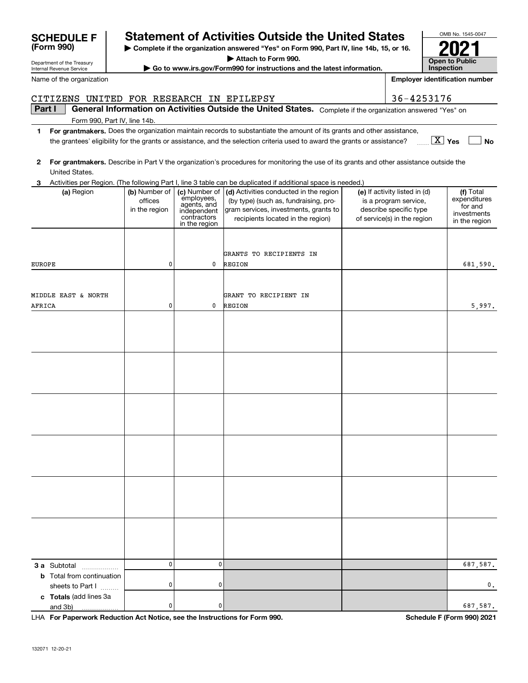| CITIZENS UNITED FOR RESEARCH IN EPILEPSY         |                                           |                                                                                           |                                                                                                                                                               | 36-4253176                                                                                                      |                                                                      |
|--------------------------------------------------|-------------------------------------------|-------------------------------------------------------------------------------------------|---------------------------------------------------------------------------------------------------------------------------------------------------------------|-----------------------------------------------------------------------------------------------------------------|----------------------------------------------------------------------|
| Part I                                           |                                           |                                                                                           | General Information on Activities Outside the United States. Complete if the organization answered "Yes" on                                                   |                                                                                                                 |                                                                      |
| Form 990, Part IV, line 14b.                     |                                           |                                                                                           |                                                                                                                                                               |                                                                                                                 |                                                                      |
| $\mathbf 1$                                      |                                           |                                                                                           | For grantmakers. Does the organization maintain records to substantiate the amount of its grants and other assistance,                                        |                                                                                                                 |                                                                      |
|                                                  |                                           |                                                                                           | the grantees' eligibility for the grants or assistance, and the selection criteria used to award the grants or assistance?                                    | $\boxed{\text{X}}$ Yes                                                                                          | No                                                                   |
| 2                                                |                                           |                                                                                           | For grantmakers. Describe in Part V the organization's procedures for monitoring the use of its grants and other assistance outside the                       |                                                                                                                 |                                                                      |
| United States.                                   |                                           |                                                                                           |                                                                                                                                                               |                                                                                                                 |                                                                      |
| 3.                                               |                                           |                                                                                           | Activities per Region. (The following Part I, line 3 table can be duplicated if additional space is needed.)                                                  |                                                                                                                 |                                                                      |
| (a) Region                                       | (b) Number of<br>offices<br>in the region | (c) Number of<br>employees,<br>agents, and<br>independent<br>contractors<br>in the region | (d) Activities conducted in the region<br>(by type) (such as, fundraising, pro-<br>gram services, investments, grants to<br>recipients located in the region) | (e) If activity listed in (d)<br>is a program service,<br>describe specific type<br>of service(s) in the region | (f) Total<br>expenditures<br>for and<br>investments<br>in the region |
|                                                  |                                           |                                                                                           |                                                                                                                                                               |                                                                                                                 |                                                                      |
|                                                  |                                           |                                                                                           | GRANTS TO RECIPIENTS IN                                                                                                                                       |                                                                                                                 |                                                                      |
| <b>EUROPE</b>                                    | 0                                         | 0                                                                                         | REGION                                                                                                                                                        |                                                                                                                 | 681,590.                                                             |
|                                                  |                                           |                                                                                           |                                                                                                                                                               |                                                                                                                 |                                                                      |
|                                                  |                                           |                                                                                           |                                                                                                                                                               |                                                                                                                 |                                                                      |
| MIDDLE EAST & NORTH                              |                                           |                                                                                           | GRANT TO RECIPIENT IN                                                                                                                                         |                                                                                                                 |                                                                      |
| AFRICA                                           | 0                                         | 0                                                                                         | REGION                                                                                                                                                        |                                                                                                                 | 5,997.                                                               |
|                                                  |                                           |                                                                                           |                                                                                                                                                               |                                                                                                                 |                                                                      |
|                                                  |                                           |                                                                                           |                                                                                                                                                               |                                                                                                                 |                                                                      |
|                                                  |                                           |                                                                                           |                                                                                                                                                               |                                                                                                                 |                                                                      |
|                                                  |                                           |                                                                                           |                                                                                                                                                               |                                                                                                                 |                                                                      |
|                                                  |                                           |                                                                                           |                                                                                                                                                               |                                                                                                                 |                                                                      |
|                                                  |                                           |                                                                                           |                                                                                                                                                               |                                                                                                                 |                                                                      |
|                                                  |                                           |                                                                                           |                                                                                                                                                               |                                                                                                                 |                                                                      |
|                                                  |                                           |                                                                                           |                                                                                                                                                               |                                                                                                                 |                                                                      |
|                                                  |                                           |                                                                                           |                                                                                                                                                               |                                                                                                                 |                                                                      |
|                                                  |                                           |                                                                                           |                                                                                                                                                               |                                                                                                                 |                                                                      |
|                                                  |                                           |                                                                                           |                                                                                                                                                               |                                                                                                                 |                                                                      |
|                                                  |                                           |                                                                                           |                                                                                                                                                               |                                                                                                                 |                                                                      |
|                                                  |                                           |                                                                                           |                                                                                                                                                               |                                                                                                                 |                                                                      |
|                                                  |                                           |                                                                                           |                                                                                                                                                               |                                                                                                                 |                                                                      |
|                                                  |                                           |                                                                                           |                                                                                                                                                               |                                                                                                                 |                                                                      |
|                                                  |                                           |                                                                                           |                                                                                                                                                               |                                                                                                                 |                                                                      |
|                                                  |                                           |                                                                                           |                                                                                                                                                               |                                                                                                                 |                                                                      |
|                                                  |                                           |                                                                                           |                                                                                                                                                               |                                                                                                                 |                                                                      |
|                                                  |                                           |                                                                                           |                                                                                                                                                               |                                                                                                                 |                                                                      |
|                                                  |                                           |                                                                                           |                                                                                                                                                               |                                                                                                                 |                                                                      |
|                                                  | 0                                         | $\pmb{0}$                                                                                 |                                                                                                                                                               |                                                                                                                 | 687,587.                                                             |
| 3 a Subtotal<br><b>b</b> Total from continuation |                                           |                                                                                           |                                                                                                                                                               |                                                                                                                 |                                                                      |
| sheets to Part I                                 | 0                                         | 0                                                                                         |                                                                                                                                                               |                                                                                                                 | 0.                                                                   |
| c Totals (add lines 3a                           |                                           |                                                                                           |                                                                                                                                                               |                                                                                                                 |                                                                      |
| and 3b)                                          | 0                                         | 0                                                                                         |                                                                                                                                                               |                                                                                                                 | 687,587.                                                             |

**| Complete if the organization answered "Yes" on Form 990, Part IV, line 14b, 15, or 16. | Attach to Form 990. | Go to www.irs.gov/Form990 for instructions and the latest information.**

**Statement of Activities Outside the United States** 

**For Paperwork Reduction Act Notice, see the Instructions for Form 990. Schedule F (Form 990) 2021** and 3b) LHA

OMB No. 1545-0047

**2021**

**Open to Public InspectionEmployer identification number**

Department of the Treasury Internal Revenue Service

**(Form 990)**

Name of the organization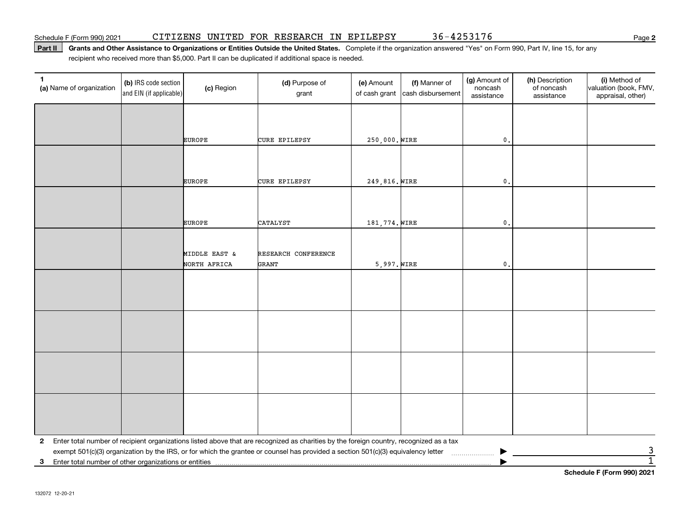**Part II** Grants and Other Assistance to Organizations or Entities Outside the United States. Complete if the organization answered "Yes" on Form 990, Part IV, line 15, for any<br>recisiont who received more than \$5,000. Part recipient who received more than \$5,000. Part II can be duplicated if additional space is needed.

| $\mathbf{1}$<br>(a) Name of organization                   | (b) IRS code section<br>and EIN (if applicable) | (c) Region                    | (d) Purpose of<br>grant                                                                                                                                                                                                                                                      | (e) Amount<br>of cash grant | (f) Manner of<br>cash disbursement | (g) Amount of<br>noncash<br>assistance | (h) Description<br>of noncash<br>assistance | (i) Method of<br>valuation (book, FMV,<br>appraisal, other) |
|------------------------------------------------------------|-------------------------------------------------|-------------------------------|------------------------------------------------------------------------------------------------------------------------------------------------------------------------------------------------------------------------------------------------------------------------------|-----------------------------|------------------------------------|----------------------------------------|---------------------------------------------|-------------------------------------------------------------|
|                                                            |                                                 |                               |                                                                                                                                                                                                                                                                              |                             |                                    |                                        |                                             |                                                             |
|                                                            |                                                 | <b>EUROPE</b>                 | <b>CURE EPILEPSY</b>                                                                                                                                                                                                                                                         | 250,000. WIRE               |                                    | $\mathfrak{o}$ .                       |                                             |                                                             |
|                                                            |                                                 |                               |                                                                                                                                                                                                                                                                              |                             |                                    |                                        |                                             |                                                             |
|                                                            |                                                 | <b>EUROPE</b>                 | <b>CURE EPILEPSY</b>                                                                                                                                                                                                                                                         | 249,816. WIRE               |                                    | $\mathfrak o$ .                        |                                             |                                                             |
|                                                            |                                                 |                               |                                                                                                                                                                                                                                                                              |                             |                                    |                                        |                                             |                                                             |
|                                                            |                                                 | <b>EUROPE</b>                 | <b>CATALYST</b>                                                                                                                                                                                                                                                              | 181,774. WIRE               |                                    | $\mathbf 0$ .                          |                                             |                                                             |
|                                                            |                                                 |                               |                                                                                                                                                                                                                                                                              |                             |                                    |                                        |                                             |                                                             |
|                                                            |                                                 | MIDDLE EAST &<br>NORTH AFRICA | RESEARCH CONFERENCE<br>GRANT                                                                                                                                                                                                                                                 | $5,997.$ WIRE               |                                    | $\mathfrak o$ .                        |                                             |                                                             |
|                                                            |                                                 |                               |                                                                                                                                                                                                                                                                              |                             |                                    |                                        |                                             |                                                             |
|                                                            |                                                 |                               |                                                                                                                                                                                                                                                                              |                             |                                    |                                        |                                             |                                                             |
|                                                            |                                                 |                               |                                                                                                                                                                                                                                                                              |                             |                                    |                                        |                                             |                                                             |
|                                                            |                                                 |                               |                                                                                                                                                                                                                                                                              |                             |                                    |                                        |                                             |                                                             |
|                                                            |                                                 |                               |                                                                                                                                                                                                                                                                              |                             |                                    |                                        |                                             |                                                             |
|                                                            |                                                 |                               |                                                                                                                                                                                                                                                                              |                             |                                    |                                        |                                             |                                                             |
|                                                            |                                                 |                               |                                                                                                                                                                                                                                                                              |                             |                                    |                                        |                                             |                                                             |
|                                                            |                                                 |                               |                                                                                                                                                                                                                                                                              |                             |                                    |                                        |                                             |                                                             |
| $\mathbf{2}$                                               |                                                 |                               | Enter total number of recipient organizations listed above that are recognized as charities by the foreign country, recognized as a tax<br>exempt 501(c)(3) organization by the IRS, or for which the grantee or counsel has provided a section 501(c)(3) equivalency letter |                             |                                    |                                        |                                             | $\overline{3}$                                              |
| Enter total number of other organizations or entities<br>3 |                                                 |                               |                                                                                                                                                                                                                                                                              |                             |                                    |                                        |                                             | $\overline{1}$<br>Pelcedule E (Ferry 000) 0004              |

**Schedule F (Form 990) 2021**

**2**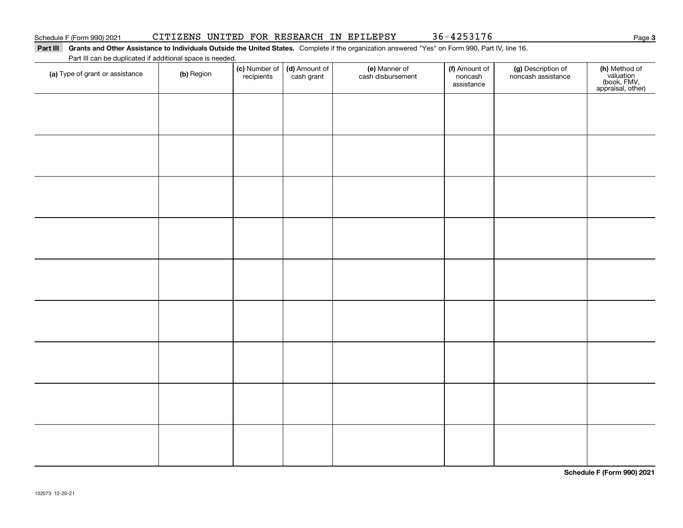**3**

### **Part III Grants and Other Assistance to Individuals Outside the United States.**  Complete if the organization answered "Yes" on Form 990, Part IV, line 16. Part III can be duplicated if additional space is needed.

| Part in car be duplicated if additional space is needed.<br>(a) Type of grant or assistance | (b) Region | (c) Number of<br>recipients | (d) Amount of<br>cash grant | (e) Manner of<br>cash disbursement | (f) Amount of<br>noncash<br>assistance | (g) Description of<br>noncash assistance | (h) Method of<br>valuation<br>(book, FMV,<br>appraisal, other) |
|---------------------------------------------------------------------------------------------|------------|-----------------------------|-----------------------------|------------------------------------|----------------------------------------|------------------------------------------|----------------------------------------------------------------|
|                                                                                             |            |                             |                             |                                    |                                        |                                          |                                                                |
|                                                                                             |            |                             |                             |                                    |                                        |                                          |                                                                |
|                                                                                             |            |                             |                             |                                    |                                        |                                          |                                                                |
|                                                                                             |            |                             |                             |                                    |                                        |                                          |                                                                |
|                                                                                             |            |                             |                             |                                    |                                        |                                          |                                                                |
|                                                                                             |            |                             |                             |                                    |                                        |                                          |                                                                |
|                                                                                             |            |                             |                             |                                    |                                        |                                          |                                                                |
|                                                                                             |            |                             |                             |                                    |                                        |                                          |                                                                |
|                                                                                             |            |                             |                             |                                    |                                        |                                          |                                                                |
|                                                                                             |            |                             |                             |                                    |                                        |                                          |                                                                |

**Schedule F (Form 990) 2021**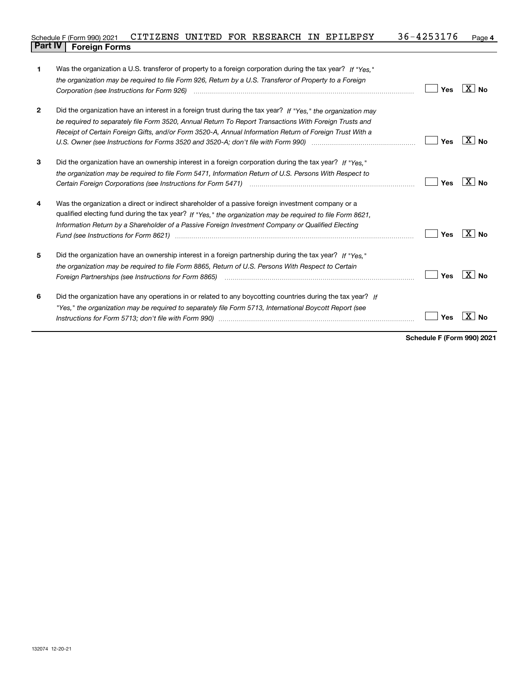### **4** Schedule F (Form 990) 2021 CITIZENS UNITED FOR RESEARCH IN EPILEPSY 36-4253176 Page <br>L**Part IV** L. Eoroig**n Forms Part IV F** (Form 990) 2021

| 1              | Was the organization a U.S. transferor of property to a foreign corporation during the tax year? If "Yes."                                                                                                                    |     |                   |
|----------------|-------------------------------------------------------------------------------------------------------------------------------------------------------------------------------------------------------------------------------|-----|-------------------|
|                | the organization may be required to file Form 926, Return by a U.S. Transferor of Property to a Foreign                                                                                                                       |     |                   |
|                |                                                                                                                                                                                                                               | Yes | $\overline{X}$ No |
| $\overline{2}$ | Did the organization have an interest in a foreign trust during the tax year? If "Yes," the organization may                                                                                                                  |     |                   |
|                | be required to separately file Form 3520, Annual Return To Report Transactions With Foreign Trusts and                                                                                                                        |     |                   |
|                | Receipt of Certain Foreign Gifts, and/or Form 3520-A, Annual Information Return of Foreign Trust With a                                                                                                                       |     |                   |
|                |                                                                                                                                                                                                                               | Yes | ∣X∣No             |
| 3              | Did the organization have an ownership interest in a foreign corporation during the tax year? If "Yes."                                                                                                                       |     |                   |
|                | the organization may be required to file Form 5471, Information Return of U.S. Persons With Respect to                                                                                                                        |     |                   |
|                |                                                                                                                                                                                                                               | Yes | $X \mid N_{0}$    |
| 4              | Was the organization a direct or indirect shareholder of a passive foreign investment company or a                                                                                                                            |     |                   |
|                | qualified electing fund during the tax year? If "Yes," the organization may be required to file Form 8621,                                                                                                                    |     |                   |
|                | Information Return by a Shareholder of a Passive Foreign Investment Company or Qualified Electing                                                                                                                             |     |                   |
|                | Fund (see Instructions for Form 8621) manufactured control to the control of the control of the control of the                                                                                                                | Yes | $X \mid N_0$      |
| 5              | Did the organization have an ownership interest in a foreign partnership during the tax year? If "Yes,"                                                                                                                       |     |                   |
|                | the organization may be required to file Form 8865, Return of U.S. Persons With Respect to Certain                                                                                                                            |     |                   |
|                | Foreign Partnerships (see Instructions for Form 8865) manufactured contain the control of the control of the control of the control of the control of the control of the control of the control of the control of the control | Yes | ⊦X ∣No            |
| 6              | Did the organization have any operations in or related to any boycotting countries during the tax year? If                                                                                                                    |     |                   |
|                | "Yes," the organization may be required to separately file Form 5713, International Boycott Report (see                                                                                                                       |     |                   |
|                |                                                                                                                                                                                                                               | Yes | X<br>No           |
|                |                                                                                                                                                                                                                               |     |                   |

**Schedule F (Form 990) 2021**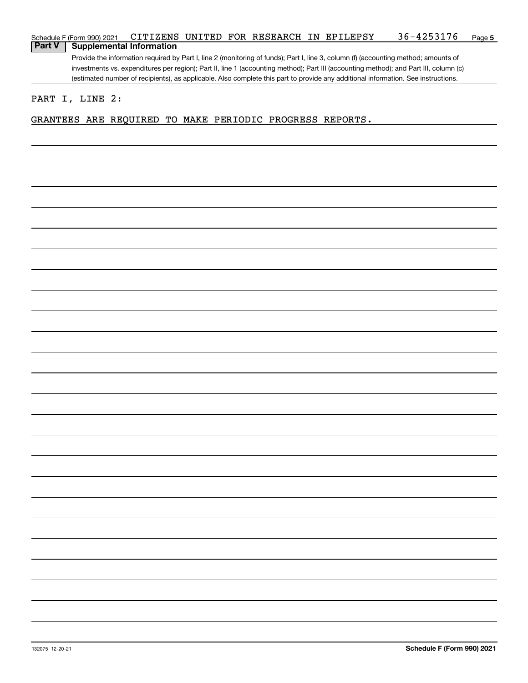| Schedule F (Form 990) 2021 |                 |                                                          |  |  | CITIZENS UNITED FOR RESEARCH IN EPILEPSY | 36-4253176                                                                                                                            | Page 5 |
|----------------------------|-----------------|----------------------------------------------------------|--|--|------------------------------------------|---------------------------------------------------------------------------------------------------------------------------------------|--------|
| <b>Part V</b>              |                 | <b>Supplemental Information</b>                          |  |  |                                          |                                                                                                                                       |        |
|                            |                 |                                                          |  |  |                                          | Provide the information required by Part I, line 2 (monitoring of funds); Part I, line 3, column (f) (accounting method; amounts of   |        |
|                            |                 |                                                          |  |  |                                          | investments vs. expenditures per region); Part II, line 1 (accounting method); Part III (accounting method); and Part III, column (c) |        |
|                            |                 |                                                          |  |  |                                          | (estimated number of recipients), as applicable. Also complete this part to provide any additional information. See instructions.     |        |
|                            |                 |                                                          |  |  |                                          |                                                                                                                                       |        |
|                            | PART I, LINE 2: |                                                          |  |  |                                          |                                                                                                                                       |        |
|                            |                 | GRANTEES ARE REQUIRED TO MAKE PERIODIC PROGRESS REPORTS. |  |  |                                          |                                                                                                                                       |        |
|                            |                 |                                                          |  |  |                                          |                                                                                                                                       |        |
|                            |                 |                                                          |  |  |                                          |                                                                                                                                       |        |
|                            |                 |                                                          |  |  |                                          |                                                                                                                                       |        |
|                            |                 |                                                          |  |  |                                          |                                                                                                                                       |        |
|                            |                 |                                                          |  |  |                                          |                                                                                                                                       |        |
|                            |                 |                                                          |  |  |                                          |                                                                                                                                       |        |
|                            |                 |                                                          |  |  |                                          |                                                                                                                                       |        |
|                            |                 |                                                          |  |  |                                          |                                                                                                                                       |        |
|                            |                 |                                                          |  |  |                                          |                                                                                                                                       |        |
|                            |                 |                                                          |  |  |                                          |                                                                                                                                       |        |
|                            |                 |                                                          |  |  |                                          |                                                                                                                                       |        |
|                            |                 |                                                          |  |  |                                          |                                                                                                                                       |        |
|                            |                 |                                                          |  |  |                                          |                                                                                                                                       |        |
|                            |                 |                                                          |  |  |                                          |                                                                                                                                       |        |
|                            |                 |                                                          |  |  |                                          |                                                                                                                                       |        |
|                            |                 |                                                          |  |  |                                          |                                                                                                                                       |        |
|                            |                 |                                                          |  |  |                                          |                                                                                                                                       |        |
|                            |                 |                                                          |  |  |                                          |                                                                                                                                       |        |
|                            |                 |                                                          |  |  |                                          |                                                                                                                                       |        |
|                            |                 |                                                          |  |  |                                          |                                                                                                                                       |        |
|                            |                 |                                                          |  |  |                                          |                                                                                                                                       |        |
|                            |                 |                                                          |  |  |                                          |                                                                                                                                       |        |
|                            |                 |                                                          |  |  |                                          |                                                                                                                                       |        |
|                            |                 |                                                          |  |  |                                          |                                                                                                                                       |        |
|                            |                 |                                                          |  |  |                                          |                                                                                                                                       |        |
|                            |                 |                                                          |  |  |                                          |                                                                                                                                       |        |
|                            |                 |                                                          |  |  |                                          |                                                                                                                                       |        |
|                            |                 |                                                          |  |  |                                          |                                                                                                                                       |        |
|                            |                 |                                                          |  |  |                                          |                                                                                                                                       |        |
|                            |                 |                                                          |  |  |                                          |                                                                                                                                       |        |
|                            |                 |                                                          |  |  |                                          |                                                                                                                                       |        |
|                            |                 |                                                          |  |  |                                          |                                                                                                                                       |        |
|                            |                 |                                                          |  |  |                                          |                                                                                                                                       |        |
|                            |                 |                                                          |  |  |                                          |                                                                                                                                       |        |
|                            |                 |                                                          |  |  |                                          |                                                                                                                                       |        |
|                            |                 |                                                          |  |  |                                          |                                                                                                                                       |        |
|                            |                 |                                                          |  |  |                                          |                                                                                                                                       |        |
|                            |                 |                                                          |  |  |                                          |                                                                                                                                       |        |
|                            |                 |                                                          |  |  |                                          |                                                                                                                                       |        |
|                            |                 |                                                          |  |  |                                          |                                                                                                                                       |        |
|                            |                 |                                                          |  |  |                                          |                                                                                                                                       |        |
|                            |                 |                                                          |  |  |                                          |                                                                                                                                       |        |
|                            |                 |                                                          |  |  |                                          |                                                                                                                                       |        |
|                            |                 |                                                          |  |  |                                          |                                                                                                                                       |        |
|                            |                 |                                                          |  |  |                                          |                                                                                                                                       |        |
|                            |                 |                                                          |  |  |                                          |                                                                                                                                       |        |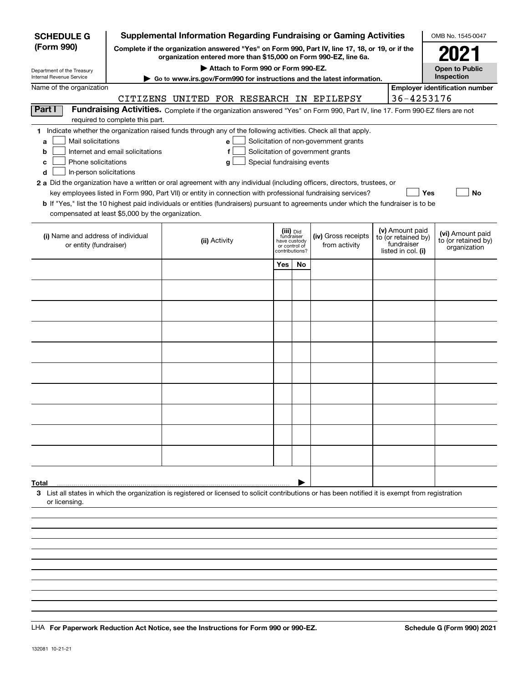| <b>SCHEDULE G</b>                                      |                                  | Supplemental Information Regarding Fundraising or Gaming Activities                                                                                                                                                                                  |                            |                                         |                                                                            |                                        | OMB No. 1545-0047                       |
|--------------------------------------------------------|----------------------------------|------------------------------------------------------------------------------------------------------------------------------------------------------------------------------------------------------------------------------------------------------|----------------------------|-----------------------------------------|----------------------------------------------------------------------------|----------------------------------------|-----------------------------------------|
| (Form 990)                                             |                                  | Complete if the organization answered "Yes" on Form 990, Part IV, line 17, 18, or 19, or if the<br>organization entered more than \$15,000 on Form 990-EZ, line 6a.                                                                                  |                            |                                         |                                                                            |                                        | 2021                                    |
| Department of the Treasury<br>Internal Revenue Service |                                  | Attach to Form 990 or Form 990-EZ.                                                                                                                                                                                                                   |                            |                                         |                                                                            |                                        | <b>Open to Public</b><br>Inspection     |
| Name of the organization                               |                                  | ► Go to www.irs.gov/Form990 for instructions and the latest information.                                                                                                                                                                             |                            |                                         |                                                                            |                                        | <b>Employer identification number</b>   |
|                                                        |                                  | CITIZENS UNITED FOR RESEARCH IN EPILEPSY                                                                                                                                                                                                             |                            |                                         |                                                                            | 36-4253176                             |                                         |
| Part I                                                 |                                  | Fundraising Activities. Complete if the organization answered "Yes" on Form 990, Part IV, line 17. Form 990-EZ filers are not                                                                                                                        |                            |                                         |                                                                            |                                        |                                         |
|                                                        | required to complete this part.  |                                                                                                                                                                                                                                                      |                            |                                         |                                                                            |                                        |                                         |
| Mail solicitations                                     |                                  | 1 Indicate whether the organization raised funds through any of the following activities. Check all that apply.                                                                                                                                      |                            |                                         |                                                                            |                                        |                                         |
| a<br>b                                                 | Internet and email solicitations | е<br>f                                                                                                                                                                                                                                               |                            |                                         | Solicitation of non-government grants<br>Solicitation of government grants |                                        |                                         |
| Phone solicitations<br>с                               |                                  | g                                                                                                                                                                                                                                                    | Special fundraising events |                                         |                                                                            |                                        |                                         |
| In-person solicitations<br>d                           |                                  |                                                                                                                                                                                                                                                      |                            |                                         |                                                                            |                                        |                                         |
|                                                        |                                  | 2 a Did the organization have a written or oral agreement with any individual (including officers, directors, trustees, or                                                                                                                           |                            |                                         |                                                                            |                                        |                                         |
|                                                        |                                  | key employees listed in Form 990, Part VII) or entity in connection with professional fundraising services?<br>b If "Yes," list the 10 highest paid individuals or entities (fundraisers) pursuant to agreements under which the fundraiser is to be |                            |                                         |                                                                            |                                        | <b>No</b><br>Yes                        |
| compensated at least \$5,000 by the organization.      |                                  |                                                                                                                                                                                                                                                      |                            |                                         |                                                                            |                                        |                                         |
|                                                        |                                  |                                                                                                                                                                                                                                                      |                            |                                         |                                                                            |                                        |                                         |
| (i) Name and address of individual                     |                                  | (ii) Activity                                                                                                                                                                                                                                        |                            | (iii) Did<br>fundraiser<br>have custody | (iv) Gross receipts                                                        | (v) Amount paid<br>to (or retained by) | (vi) Amount paid<br>to (or retained by) |
| or entity (fundraiser)                                 |                                  |                                                                                                                                                                                                                                                      |                            | or control of<br>contributions?         | from activity                                                              | fundraiser<br>listed in col. (i)       | organization                            |
|                                                        |                                  |                                                                                                                                                                                                                                                      | Yes                        | <b>No</b>                               |                                                                            |                                        |                                         |
|                                                        |                                  |                                                                                                                                                                                                                                                      |                            |                                         |                                                                            |                                        |                                         |
|                                                        |                                  |                                                                                                                                                                                                                                                      |                            |                                         |                                                                            |                                        |                                         |
|                                                        |                                  |                                                                                                                                                                                                                                                      |                            |                                         |                                                                            |                                        |                                         |
|                                                        |                                  |                                                                                                                                                                                                                                                      |                            |                                         |                                                                            |                                        |                                         |
|                                                        |                                  |                                                                                                                                                                                                                                                      |                            |                                         |                                                                            |                                        |                                         |
|                                                        |                                  |                                                                                                                                                                                                                                                      |                            |                                         |                                                                            |                                        |                                         |
|                                                        |                                  |                                                                                                                                                                                                                                                      |                            |                                         |                                                                            |                                        |                                         |
|                                                        |                                  |                                                                                                                                                                                                                                                      |                            |                                         |                                                                            |                                        |                                         |
|                                                        |                                  |                                                                                                                                                                                                                                                      |                            |                                         |                                                                            |                                        |                                         |
|                                                        |                                  |                                                                                                                                                                                                                                                      |                            |                                         |                                                                            |                                        |                                         |
|                                                        |                                  |                                                                                                                                                                                                                                                      |                            |                                         |                                                                            |                                        |                                         |
|                                                        |                                  |                                                                                                                                                                                                                                                      |                            |                                         |                                                                            |                                        |                                         |
|                                                        |                                  |                                                                                                                                                                                                                                                      |                            |                                         |                                                                            |                                        |                                         |
|                                                        |                                  |                                                                                                                                                                                                                                                      |                            |                                         |                                                                            |                                        |                                         |
|                                                        |                                  |                                                                                                                                                                                                                                                      |                            |                                         |                                                                            |                                        |                                         |
|                                                        |                                  |                                                                                                                                                                                                                                                      |                            |                                         |                                                                            |                                        |                                         |
| Total                                                  |                                  |                                                                                                                                                                                                                                                      |                            |                                         |                                                                            |                                        |                                         |
| or licensing.                                          |                                  | 3 List all states in which the organization is registered or licensed to solicit contributions or has been notified it is exempt from registration                                                                                                   |                            |                                         |                                                                            |                                        |                                         |
|                                                        |                                  |                                                                                                                                                                                                                                                      |                            |                                         |                                                                            |                                        |                                         |
|                                                        |                                  |                                                                                                                                                                                                                                                      |                            |                                         |                                                                            |                                        |                                         |
|                                                        |                                  |                                                                                                                                                                                                                                                      |                            |                                         |                                                                            |                                        |                                         |
|                                                        |                                  |                                                                                                                                                                                                                                                      |                            |                                         |                                                                            |                                        |                                         |
|                                                        |                                  |                                                                                                                                                                                                                                                      |                            |                                         |                                                                            |                                        |                                         |

LHA For Paperwork Reduction Act Notice, see the Instructions for Form 990 or 990-EZ. Schedule G (Form 990) 2021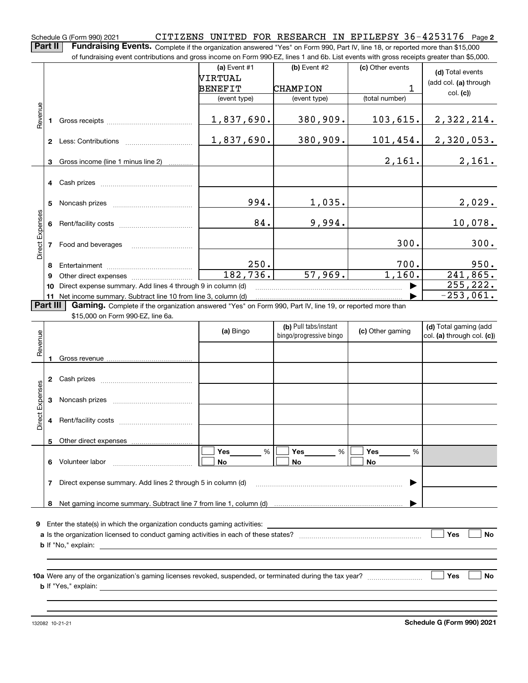**2** Schedule G (Form 990) 2021 Page CITIZENS UNITED FOR RESEARCH IN EPILEPSY 36-4253176

**Part II Fundraising Events.** Complete if the organization answered "Yes" on Form 990, Part IV, line 18, or reported more than \$15,000<br>15.000 of fundraising event contributions and gross income on Form 990-EZ. lines 1 an of fundraising event contributions and gross income on Form 990-EZ, lines 1 and 6b. List events with gross receipts greater than \$5,000.

|                 |              |                                                                                                                                                                                                                                | (a) Event #1              | $(b)$ Event #2        | (c) Other events  | (d) Total events      |
|-----------------|--------------|--------------------------------------------------------------------------------------------------------------------------------------------------------------------------------------------------------------------------------|---------------------------|-----------------------|-------------------|-----------------------|
|                 |              |                                                                                                                                                                                                                                | NIRTUAL                   |                       |                   | (add col. (a) through |
|                 |              |                                                                                                                                                                                                                                | BENEFIT                   | CHAMPION              | 1                 |                       |
|                 |              |                                                                                                                                                                                                                                | (event type)              | (event type)          | (total number)    | col. (c)              |
|                 |              |                                                                                                                                                                                                                                |                           |                       |                   |                       |
| Revenue         |              |                                                                                                                                                                                                                                | 1,837,690.                | 380,909.              | 103,615.          | 2,322,214.            |
|                 |              |                                                                                                                                                                                                                                |                           |                       |                   |                       |
|                 | $\mathbf{2}$ | Less: Contributions                                                                                                                                                                                                            | 1,837,690.                | 380,909.              | 101, 454.         | 2,320,053.            |
|                 |              |                                                                                                                                                                                                                                |                           |                       |                   |                       |
|                 | 3            | Gross income (line 1 minus line 2)                                                                                                                                                                                             |                           |                       | 2,161.            | 2,161.                |
|                 |              |                                                                                                                                                                                                                                |                           |                       |                   |                       |
|                 |              | 4 Cash prizes                                                                                                                                                                                                                  |                           |                       |                   |                       |
|                 |              |                                                                                                                                                                                                                                |                           |                       |                   |                       |
|                 | 5            | Noncash prizes                                                                                                                                                                                                                 | 994.                      | 1,035.                |                   | 2,029.                |
|                 |              |                                                                                                                                                                                                                                |                           |                       |                   |                       |
| Direct Expenses |              |                                                                                                                                                                                                                                | 84.                       | 9,994.                |                   | 10,078.               |
|                 |              |                                                                                                                                                                                                                                |                           |                       |                   |                       |
|                 |              | Food and beverages                                                                                                                                                                                                             |                           |                       | 300.              | 300.                  |
|                 |              |                                                                                                                                                                                                                                | 250.                      |                       | 700.              | 950.                  |
|                 | 8            |                                                                                                                                                                                                                                | 182,736.                  | 57,969.               | 1,160.            | 241,865.              |
|                 | 9            | Other direct expenses of the state of the state of the state of the state of the state of the state of the state of the state of the state of the state of the state of the state of the state of the state of the state of th |                           |                       |                   |                       |
|                 | 10           | Direct expense summary. Add lines 4 through 9 in column (d)                                                                                                                                                                    |                           |                       |                   | 255, 222.             |
|                 |              | 11 Net income summary. Subtract line 10 from line 3, column (d)                                                                                                                                                                |                           |                       |                   | $-253,061.$           |
| <b>Part III</b> |              | Gaming. Complete if the organization answered "Yes" on Form 990, Part IV, line 19, or reported more than                                                                                                                       |                           |                       |                   |                       |
|                 |              | \$15,000 on Form 990-EZ, line 6a.                                                                                                                                                                                              |                           |                       |                   |                       |
|                 |              |                                                                                                                                                                                                                                | $\mathbf{L}$ $\mathbf{L}$ | (b) Pull tabs/instant | $I = \sqrt{2\pi}$ | (d) Total gaming (add |

| Revenue         |    |                                                                                                                                       | (a) Bingo      | (b) Pull tabs/instant<br>bingo/progressive bingo | (c) Other gaming             | (d) Total gaming (add<br>col. (a) through col. (c)) |
|-----------------|----|---------------------------------------------------------------------------------------------------------------------------------------|----------------|--------------------------------------------------|------------------------------|-----------------------------------------------------|
|                 | 1  |                                                                                                                                       |                |                                                  |                              |                                                     |
|                 | 2  |                                                                                                                                       |                |                                                  |                              |                                                     |
| Direct Expenses | 3  |                                                                                                                                       |                |                                                  |                              |                                                     |
|                 | 4  |                                                                                                                                       |                |                                                  |                              |                                                     |
|                 | 5  |                                                                                                                                       |                |                                                  |                              |                                                     |
|                 | 6. |                                                                                                                                       | %<br><b>No</b> | Yes ________ %<br>No                             | Yes $\_\_$<br>%<br><b>No</b> |                                                     |
|                 | 7  | Direct expense summary. Add lines 2 through 5 in column (d) [11] matter contract expense summary. Add lines 2 through 5 in column (d) |                |                                                  | ▶                            |                                                     |
|                 | 8  |                                                                                                                                       |                |                                                  |                              |                                                     |
| 9               |    |                                                                                                                                       |                |                                                  |                              |                                                     |
|                 |    |                                                                                                                                       |                |                                                  |                              | Yes<br><b>No</b>                                    |
|                 |    |                                                                                                                                       |                |                                                  |                              |                                                     |
|                 |    |                                                                                                                                       |                |                                                  |                              | <b>No</b><br>Yes                                    |
|                 |    |                                                                                                                                       |                |                                                  |                              |                                                     |
|                 |    |                                                                                                                                       |                |                                                  |                              |                                                     |

132082 10-21-21

**Schedule G (Form 990) 2021**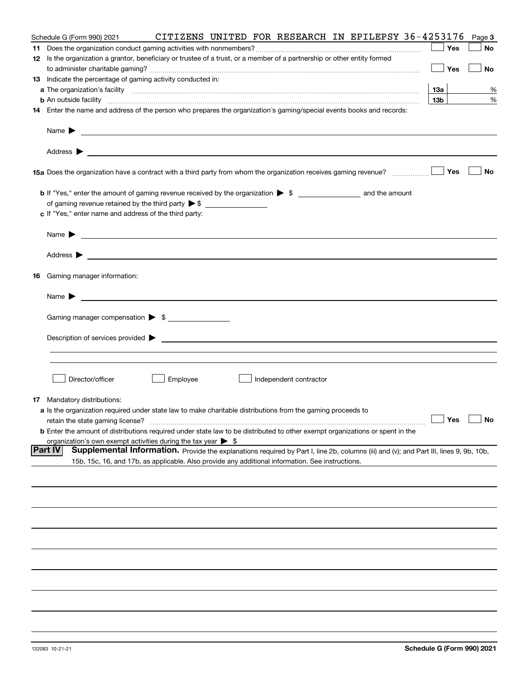| Schedule G (Form 990) 2021                                                                                                                                                                                                                | CITIZENS UNITED FOR RESEARCH IN EPILEPSY 36-4253176 |  |                        |  |                 | Page 3               |
|-------------------------------------------------------------------------------------------------------------------------------------------------------------------------------------------------------------------------------------------|-----------------------------------------------------|--|------------------------|--|-----------------|----------------------|
|                                                                                                                                                                                                                                           |                                                     |  |                        |  | Yes             | No                   |
| 12 Is the organization a grantor, beneficiary or trustee of a trust, or a member of a partnership or other entity formed                                                                                                                  |                                                     |  |                        |  |                 |                      |
|                                                                                                                                                                                                                                           |                                                     |  |                        |  | Yes             | No                   |
| 13 Indicate the percentage of gaming activity conducted in:                                                                                                                                                                               |                                                     |  |                        |  |                 |                      |
|                                                                                                                                                                                                                                           |                                                     |  |                        |  | 13а             | %                    |
| <b>b</b> An outside facility <b>contained an according to the contract of the contract of the contract of the contract of the contract of the contract of the contract of the contract of the contract of the contract of the contrac</b> |                                                     |  |                        |  | 13 <sub>b</sub> | %                    |
| 14 Enter the name and address of the person who prepares the organization's gaming/special events books and records:                                                                                                                      |                                                     |  |                        |  |                 |                      |
|                                                                                                                                                                                                                                           |                                                     |  |                        |  |                 |                      |
|                                                                                                                                                                                                                                           |                                                     |  |                        |  |                 |                      |
|                                                                                                                                                                                                                                           |                                                     |  |                        |  |                 |                      |
|                                                                                                                                                                                                                                           |                                                     |  |                        |  | Yes             | No                   |
|                                                                                                                                                                                                                                           |                                                     |  |                        |  |                 |                      |
|                                                                                                                                                                                                                                           |                                                     |  |                        |  |                 |                      |
| c If "Yes," enter name and address of the third party:                                                                                                                                                                                    |                                                     |  |                        |  |                 |                      |
| Name $\blacktriangleright$ $\bot$                                                                                                                                                                                                         |                                                     |  |                        |  |                 |                      |
|                                                                                                                                                                                                                                           |                                                     |  |                        |  |                 |                      |
|                                                                                                                                                                                                                                           |                                                     |  |                        |  |                 |                      |
| 16 Gaming manager information:                                                                                                                                                                                                            |                                                     |  |                        |  |                 |                      |
| Name $\blacktriangleright$ $\lrcorner$                                                                                                                                                                                                    |                                                     |  |                        |  |                 |                      |
| Gaming manager compensation > \$                                                                                                                                                                                                          |                                                     |  |                        |  |                 |                      |
|                                                                                                                                                                                                                                           |                                                     |  |                        |  |                 |                      |
|                                                                                                                                                                                                                                           |                                                     |  |                        |  |                 |                      |
|                                                                                                                                                                                                                                           |                                                     |  |                        |  |                 |                      |
|                                                                                                                                                                                                                                           |                                                     |  |                        |  |                 |                      |
| Director/officer                                                                                                                                                                                                                          | Employee                                            |  | Independent contractor |  |                 |                      |
| <b>17</b> Mandatory distributions:                                                                                                                                                                                                        |                                                     |  |                        |  |                 |                      |
| a Is the organization required under state law to make charitable distributions from the gaming proceeds to                                                                                                                               |                                                     |  |                        |  |                 |                      |
| retain the state gaming license?                                                                                                                                                                                                          |                                                     |  |                        |  |                 | $\Box$ Yes $\Box$ No |
| <b>b</b> Enter the amount of distributions required under state law to be distributed to other exempt organizations or spent in the                                                                                                       |                                                     |  |                        |  |                 |                      |
| organization's own exempt activities during the tax year $\triangleright$ \$                                                                                                                                                              |                                                     |  |                        |  |                 |                      |
| Part IV<br>Supplemental Information. Provide the explanations required by Part I, line 2b, columns (iii) and (v); and Part III, lines 9, 9b, 10b,                                                                                         |                                                     |  |                        |  |                 |                      |
| 15b, 15c, 16, and 17b, as applicable. Also provide any additional information. See instructions.                                                                                                                                          |                                                     |  |                        |  |                 |                      |
|                                                                                                                                                                                                                                           |                                                     |  |                        |  |                 |                      |
|                                                                                                                                                                                                                                           |                                                     |  |                        |  |                 |                      |
|                                                                                                                                                                                                                                           |                                                     |  |                        |  |                 |                      |
|                                                                                                                                                                                                                                           |                                                     |  |                        |  |                 |                      |
|                                                                                                                                                                                                                                           |                                                     |  |                        |  |                 |                      |
|                                                                                                                                                                                                                                           |                                                     |  |                        |  |                 |                      |
|                                                                                                                                                                                                                                           |                                                     |  |                        |  |                 |                      |
|                                                                                                                                                                                                                                           |                                                     |  |                        |  |                 |                      |
|                                                                                                                                                                                                                                           |                                                     |  |                        |  |                 |                      |
|                                                                                                                                                                                                                                           |                                                     |  |                        |  |                 |                      |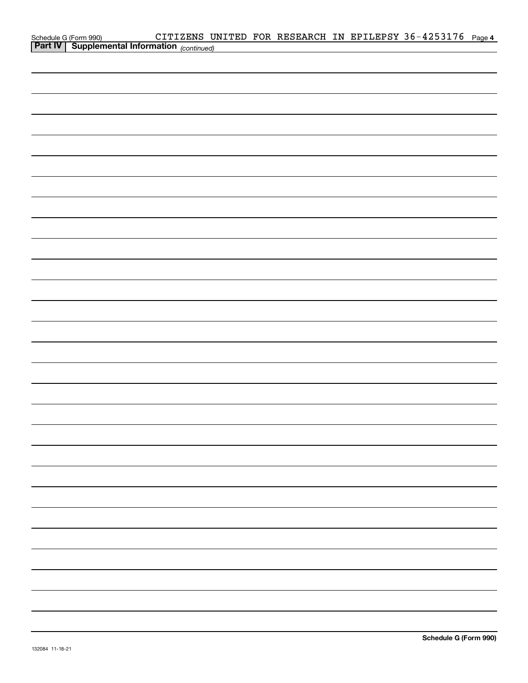| Schedule G (Form 990) CITIZENS UNITED FOR RESEARCH IN EPILEPSY 36-4253176 Page 4<br><b>Part IV</b> Supplemental Information <sub>(continued)</sub> |  |  |  |  |
|----------------------------------------------------------------------------------------------------------------------------------------------------|--|--|--|--|
|                                                                                                                                                    |  |  |  |  |
|                                                                                                                                                    |  |  |  |  |
|                                                                                                                                                    |  |  |  |  |
|                                                                                                                                                    |  |  |  |  |
|                                                                                                                                                    |  |  |  |  |
|                                                                                                                                                    |  |  |  |  |
|                                                                                                                                                    |  |  |  |  |
|                                                                                                                                                    |  |  |  |  |
|                                                                                                                                                    |  |  |  |  |
|                                                                                                                                                    |  |  |  |  |
|                                                                                                                                                    |  |  |  |  |
|                                                                                                                                                    |  |  |  |  |
|                                                                                                                                                    |  |  |  |  |
|                                                                                                                                                    |  |  |  |  |
|                                                                                                                                                    |  |  |  |  |
|                                                                                                                                                    |  |  |  |  |
|                                                                                                                                                    |  |  |  |  |
|                                                                                                                                                    |  |  |  |  |
|                                                                                                                                                    |  |  |  |  |
|                                                                                                                                                    |  |  |  |  |
|                                                                                                                                                    |  |  |  |  |
|                                                                                                                                                    |  |  |  |  |
|                                                                                                                                                    |  |  |  |  |
|                                                                                                                                                    |  |  |  |  |
|                                                                                                                                                    |  |  |  |  |
|                                                                                                                                                    |  |  |  |  |
|                                                                                                                                                    |  |  |  |  |
|                                                                                                                                                    |  |  |  |  |
|                                                                                                                                                    |  |  |  |  |
|                                                                                                                                                    |  |  |  |  |
|                                                                                                                                                    |  |  |  |  |
|                                                                                                                                                    |  |  |  |  |
|                                                                                                                                                    |  |  |  |  |
|                                                                                                                                                    |  |  |  |  |
|                                                                                                                                                    |  |  |  |  |
|                                                                                                                                                    |  |  |  |  |
|                                                                                                                                                    |  |  |  |  |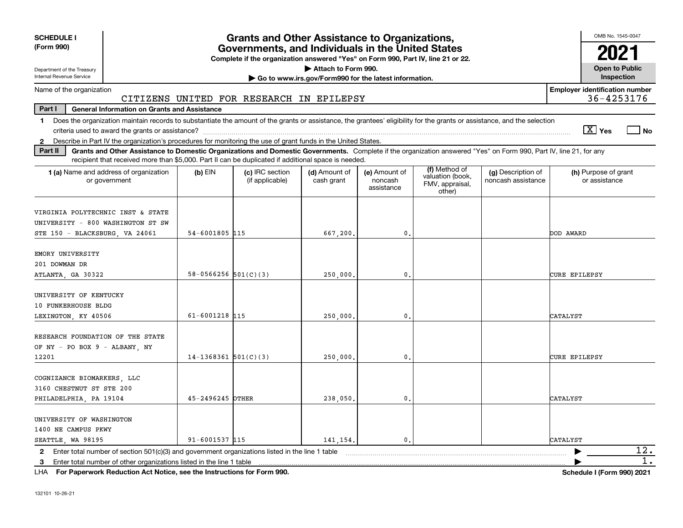| <b>SCHEDULE I</b><br>(Form 990)                                                                                                                                                                                                                                                                                |                        | <b>Grants and Other Assistance to Organizations,</b><br>Governments, and Individuals in the United States<br>Complete if the organization answered "Yes" on Form 990, Part IV, line 21 or 22. |                                                                              |                                        |                                                                |                                          | OMB No. 1545-0047<br>202              |
|----------------------------------------------------------------------------------------------------------------------------------------------------------------------------------------------------------------------------------------------------------------------------------------------------------------|------------------------|-----------------------------------------------------------------------------------------------------------------------------------------------------------------------------------------------|------------------------------------------------------------------------------|----------------------------------------|----------------------------------------------------------------|------------------------------------------|---------------------------------------|
| Department of the Treasury<br>Internal Revenue Service                                                                                                                                                                                                                                                         |                        |                                                                                                                                                                                               | Attach to Form 990.<br>Go to www.irs.gov/Form990 for the latest information. |                                        |                                                                |                                          | <b>Open to Public</b><br>Inspection   |
| Name of the organization                                                                                                                                                                                                                                                                                       |                        |                                                                                                                                                                                               |                                                                              |                                        |                                                                |                                          | <b>Employer identification number</b> |
|                                                                                                                                                                                                                                                                                                                |                        | CITIZENS UNITED FOR RESEARCH IN EPILEPSY                                                                                                                                                      |                                                                              |                                        |                                                                |                                          | 36-4253176                            |
| Part I<br><b>General Information on Grants and Assistance</b>                                                                                                                                                                                                                                                  |                        |                                                                                                                                                                                               |                                                                              |                                        |                                                                |                                          |                                       |
| Does the organization maintain records to substantiate the amount of the grants or assistance, the grantees' eligibility for the grants or assistance, and the selection<br>1.                                                                                                                                 |                        |                                                                                                                                                                                               |                                                                              |                                        |                                                                |                                          | $\boxed{\text{X}}$ Yes<br>l No        |
| Describe in Part IV the organization's procedures for monitoring the use of grant funds in the United States.<br>$\mathbf{2}$<br>Part II<br>Grants and Other Assistance to Domestic Organizations and Domestic Governments. Complete if the organization answered "Yes" on Form 990, Part IV, line 21, for any |                        |                                                                                                                                                                                               |                                                                              |                                        |                                                                |                                          |                                       |
| recipient that received more than \$5,000. Part II can be duplicated if additional space is needed.                                                                                                                                                                                                            |                        |                                                                                                                                                                                               |                                                                              |                                        |                                                                |                                          |                                       |
| 1 (a) Name and address of organization<br>or government                                                                                                                                                                                                                                                        | $(b)$ EIN              | (c) IRC section<br>(if applicable)                                                                                                                                                            | (d) Amount of<br>cash grant                                                  | (e) Amount of<br>noncash<br>assistance | (f) Method of<br>valuation (book,<br>FMV, appraisal,<br>other) | (g) Description of<br>noncash assistance | (h) Purpose of grant<br>or assistance |
| VIRGINIA POLYTECHNIC INST & STATE<br>UNIVERSITY - 800 WASHINGTON ST SW                                                                                                                                                                                                                                         |                        |                                                                                                                                                                                               |                                                                              |                                        |                                                                |                                          |                                       |
| STE 150 - BLACKSBURG, VA 24061                                                                                                                                                                                                                                                                                 | 54-6001805 115         |                                                                                                                                                                                               | 667,200.                                                                     | 0                                      |                                                                |                                          | DOD AWARD                             |
| EMORY UNIVERSITY<br>201 DOWMAN DR<br>ATLANTA, GA 30322                                                                                                                                                                                                                                                         | 58-0566256 $501(C)(3)$ |                                                                                                                                                                                               | 250,000                                                                      | $\mathbf{0}$                           |                                                                |                                          | CURE EPILEPSY                         |
| UNIVERSITY OF KENTUCKY<br>10 FUNKERHOUSE BLDG<br>LEXINGTON, KY 40506                                                                                                                                                                                                                                           | 61-6001218 115         |                                                                                                                                                                                               | 250,000                                                                      | 0                                      |                                                                |                                          | CATALYST                              |
| RESEARCH FOUNDATION OF THE STATE<br>OF NY - PO BOX 9 - ALBANY, NY<br>12201                                                                                                                                                                                                                                     | $14-1368361$ 501(C)(3) |                                                                                                                                                                                               | 250,000                                                                      | $\mathbf{0}$                           |                                                                |                                          | CURE EPILEPSY                         |
| COGNIZANCE BIOMARKERS, LLC<br>3160 CHESTNUT ST STE 200<br>PHILADELPHIA, PA 19104                                                                                                                                                                                                                               | 45-2496245 OTHER       |                                                                                                                                                                                               | 238,050                                                                      | $\mathbf{0}$                           |                                                                |                                          | CATALYST                              |
| UNIVERSITY OF WASHINGTON<br>1400 NE CAMPUS PKWY                                                                                                                                                                                                                                                                |                        |                                                                                                                                                                                               |                                                                              |                                        |                                                                |                                          |                                       |
| SEATTLE, WA 98195                                                                                                                                                                                                                                                                                              | 91-6001537 115         |                                                                                                                                                                                               | 141,154.                                                                     | $\mathbf{0}$                           |                                                                |                                          | CATALYST<br>12.                       |
| 2 Enter total number of section $501(c)(3)$ and government organizations listed in the line 1 table                                                                                                                                                                                                            |                        |                                                                                                                                                                                               |                                                                              |                                        |                                                                |                                          | 1.                                    |
| Enter total number of other organizations listed in the line 1 table<br>3<br>LHA For Paperwork Reduction Act Notice, see the Instructions for Form 990.                                                                                                                                                        |                        |                                                                                                                                                                                               |                                                                              |                                        |                                                                |                                          | <b>Schedule I (Form 990) 2021</b>     |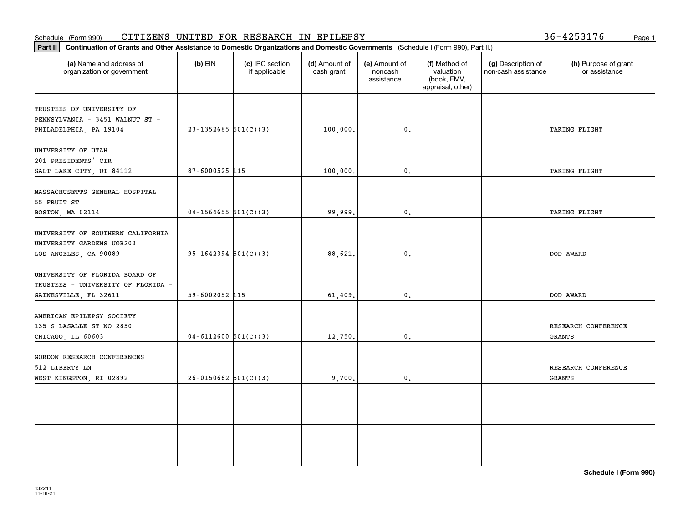### Schedule I (Form 990) CITIZENS UNITED FOR RESEARCH IN EPILEPSY Page 1

36-4253176

| (a) Name and address of<br>organization or government                    | $(b)$ EIN                | (c) IRC section<br>if applicable | (d) Amount of<br>cash grant | (e) Amount of<br>noncash<br>assistance | (f) Method of<br>valuation<br>(book, FMV,<br>appraisal, other) | (g) Description of<br>non-cash assistance | (h) Purpose of grant<br>or assistance |
|--------------------------------------------------------------------------|--------------------------|----------------------------------|-----------------------------|----------------------------------------|----------------------------------------------------------------|-------------------------------------------|---------------------------------------|
| TRUSTEES OF UNIVERSITY OF<br>PENNSYLVANIA - 3451 WALNUT ST -             |                          |                                  |                             |                                        |                                                                |                                           |                                       |
| PHILADELPHIA, PA 19104                                                   | $23 - 1352685$ 501(C)(3) |                                  | 100,000.                    | 0.                                     |                                                                |                                           | TAKING FLIGHT                         |
| UNIVERSITY OF UTAH<br>201 PRESIDENTS' CIR                                |                          |                                  |                             |                                        |                                                                |                                           |                                       |
| SALT LAKE CITY, UT 84112                                                 | $87 - 6000525$ 115       |                                  | 100,000.                    | 0.                                     |                                                                |                                           | TAKING FLIGHT                         |
| MASSACHUSETTS GENERAL HOSPITAL<br>55 FRUIT ST                            |                          |                                  |                             |                                        |                                                                |                                           |                                       |
| BOSTON, MA 02114                                                         | $04-1564655$ 501(C)(3)   |                                  | 99,999.                     | $\mathfrak{o}$ .                       |                                                                |                                           | TAKING FLIGHT                         |
| UNIVERSITY OF SOUTHERN CALIFORNIA<br>UNIVERSITY GARDENS UGB203           |                          |                                  |                             |                                        |                                                                |                                           |                                       |
| LOS ANGELES, CA 90089                                                    | $95-1642394$ $501(C)(3)$ |                                  | 88,621.                     | $\mathbf{0}$ .                         |                                                                |                                           | DOD AWARD                             |
| UNIVERSITY OF FLORIDA BOARD OF<br>TRUSTEES - UNIVERSITY OF FLORIDA -     |                          |                                  |                             | $\mathfrak{o}$ .                       |                                                                |                                           | DOD AWARD                             |
| GAINESVILLE, FL 32611                                                    | 59-6002052 115           |                                  | 61,409.                     |                                        |                                                                |                                           |                                       |
| AMERICAN EPILEPSY SOCIETY<br>135 S LASALLE ST NO 2850                    |                          |                                  |                             |                                        |                                                                |                                           | RESEARCH CONFERENCE                   |
| CHICAGO, IL 60603                                                        | $04 - 6112600$ 501(C)(3) |                                  | 12,750.                     | $\mathfrak{o}$ .                       |                                                                |                                           | GRANTS                                |
| GORDON RESEARCH CONFERENCES<br>512 LIBERTY LN<br>WEST KINGSTON, RI 02892 | $26-0150662$ 501(C)(3)   |                                  | 9,700.                      | $\mathfrak{o}$ .                       |                                                                |                                           | RESEARCH CONFERENCE<br>GRANTS         |
|                                                                          |                          |                                  |                             |                                        |                                                                |                                           |                                       |
|                                                                          |                          |                                  |                             |                                        |                                                                |                                           |                                       |
|                                                                          |                          |                                  |                             |                                        |                                                                |                                           |                                       |
|                                                                          |                          |                                  |                             |                                        |                                                                |                                           |                                       |
|                                                                          |                          |                                  |                             |                                        |                                                                |                                           |                                       |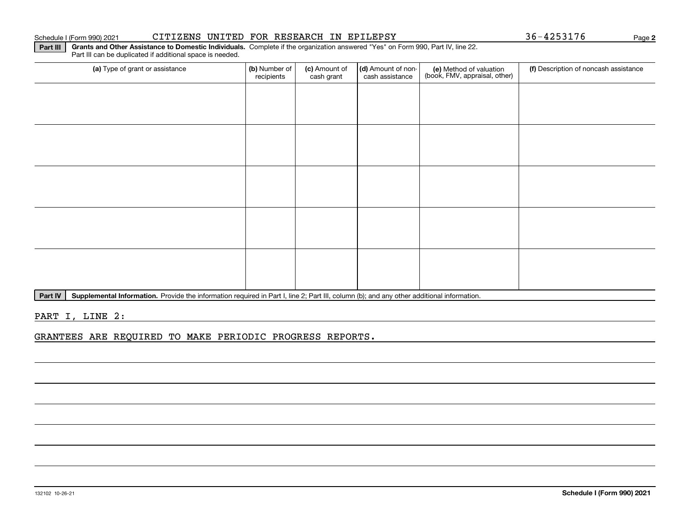### 132102 10-26-21

### Schedule I (Form 990) 2021 Page CITIZENS UNITED FOR RESEARCH IN EPILEPSY 36-4253176

**Part III | Grants and Other Assistance to Domestic Individuals. Complete if the organization answered "Yes" on Form 990, Part IV, line 22.** Part III can be duplicated if additional space is needed.

|                                 | recipients | cash grant | cash assistance | $\mid$ (book, FMV, appraisal, other) |  |
|---------------------------------|------------|------------|-----------------|--------------------------------------|--|
|                                 |            |            |                 |                                      |  |
|                                 |            |            |                 |                                      |  |
|                                 |            |            |                 |                                      |  |
|                                 |            |            |                 |                                      |  |
| the contract of the contract of |            |            |                 |                                      |  |

(a) Type of grant or assistance **Audity Commet Audio Commet Commet Commet Commet Commet Commet Commet Commet Comme** 

(c) Amount of

 $\vert$  (d) Amount of non- $\vert$ 

**Part IV** | Supplemental Information. Provide the information required in Part I, line 2; Part III, column (b); and any other additional information.<br>

PART I, LINE 2:

GRANTEES ARE REQUIRED TO MAKE PERIODIC PROGRESS REPORTS.

**2**

(f) Description of noncash assistance

(e) Method of valuation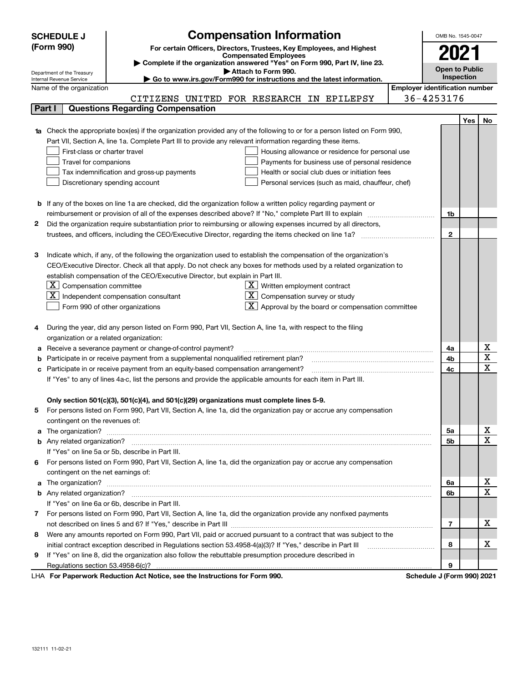|                                                                                                               | <b>SCHEDULE J</b>                                                                                               | <b>Compensation Information</b>                                                                                                                                                                               | OMB No. 1545-0047     |                                       |        |    |  |
|---------------------------------------------------------------------------------------------------------------|-----------------------------------------------------------------------------------------------------------------|---------------------------------------------------------------------------------------------------------------------------------------------------------------------------------------------------------------|-----------------------|---------------------------------------|--------|----|--|
| (Form 990)                                                                                                    |                                                                                                                 | For certain Officers, Directors, Trustees, Key Employees, and Highest                                                                                                                                         |                       |                                       |        |    |  |
|                                                                                                               |                                                                                                                 | <b>Compensated Employees</b><br>Complete if the organization answered "Yes" on Form 990, Part IV, line 23.                                                                                                    |                       | 2021                                  |        |    |  |
|                                                                                                               |                                                                                                                 |                                                                                                                                                                                                               | <b>Open to Public</b> |                                       |        |    |  |
|                                                                                                               | Department of the Treasury<br>Internal Revenue Service                                                          |                                                                                                                                                                                                               | Inspection            |                                       |        |    |  |
|                                                                                                               | Name of the organization                                                                                        |                                                                                                                                                                                                               |                       | <b>Employer identification number</b> |        |    |  |
|                                                                                                               |                                                                                                                 | CITIZENS UNITED FOR RESEARCH IN EPILEPSY                                                                                                                                                                      |                       | 36-4253176                            |        |    |  |
|                                                                                                               | Part I                                                                                                          | <b>Questions Regarding Compensation</b>                                                                                                                                                                       |                       |                                       |        |    |  |
|                                                                                                               |                                                                                                                 |                                                                                                                                                                                                               |                       |                                       | Yes    | No |  |
|                                                                                                               |                                                                                                                 | Check the appropriate box(es) if the organization provided any of the following to or for a person listed on Form 990,                                                                                        |                       |                                       |        |    |  |
|                                                                                                               |                                                                                                                 | Part VII, Section A, line 1a. Complete Part III to provide any relevant information regarding these items.                                                                                                    |                       |                                       |        |    |  |
|                                                                                                               | First-class or charter travel                                                                                   | Housing allowance or residence for personal use                                                                                                                                                               |                       |                                       |        |    |  |
|                                                                                                               | Travel for companions                                                                                           | Payments for business use of personal residence                                                                                                                                                               |                       |                                       |        |    |  |
|                                                                                                               |                                                                                                                 | Tax indemnification and gross-up payments<br>Health or social club dues or initiation fees                                                                                                                    |                       |                                       |        |    |  |
|                                                                                                               |                                                                                                                 | Discretionary spending account<br>Personal services (such as maid, chauffeur, chef)                                                                                                                           |                       |                                       |        |    |  |
|                                                                                                               |                                                                                                                 |                                                                                                                                                                                                               |                       |                                       |        |    |  |
|                                                                                                               |                                                                                                                 | <b>b</b> If any of the boxes on line 1a are checked, did the organization follow a written policy regarding payment or                                                                                        |                       |                                       |        |    |  |
|                                                                                                               |                                                                                                                 | reimbursement or provision of all of the expenses described above? If "No," complete Part III to explain                                                                                                      |                       | 1b                                    |        |    |  |
| 2                                                                                                             |                                                                                                                 | Did the organization require substantiation prior to reimbursing or allowing expenses incurred by all directors,                                                                                              |                       |                                       |        |    |  |
|                                                                                                               |                                                                                                                 |                                                                                                                                                                                                               |                       | $\mathbf{2}$                          |        |    |  |
|                                                                                                               |                                                                                                                 |                                                                                                                                                                                                               |                       |                                       |        |    |  |
| з                                                                                                             |                                                                                                                 | Indicate which, if any, of the following the organization used to establish the compensation of the organization's                                                                                            |                       |                                       |        |    |  |
|                                                                                                               |                                                                                                                 | CEO/Executive Director. Check all that apply. Do not check any boxes for methods used by a related organization to                                                                                            |                       |                                       |        |    |  |
|                                                                                                               |                                                                                                                 | establish compensation of the CEO/Executive Director, but explain in Part III.                                                                                                                                |                       |                                       |        |    |  |
|                                                                                                               | $X$ Compensation committee<br>$\underline{X}$ Written employment contract                                       |                                                                                                                                                                                                               |                       |                                       |        |    |  |
|                                                                                                               | ΧI<br>$\overline{X}$ Compensation survey or study<br>Independent compensation consultant                        |                                                                                                                                                                                                               |                       |                                       |        |    |  |
|                                                                                                               |                                                                                                                 | $\boxed{\textbf{X}}$ Approval by the board or compensation committee<br>Form 990 of other organizations                                                                                                       |                       |                                       |        |    |  |
|                                                                                                               |                                                                                                                 |                                                                                                                                                                                                               |                       |                                       |        |    |  |
| 4                                                                                                             |                                                                                                                 | During the year, did any person listed on Form 990, Part VII, Section A, line 1a, with respect to the filing                                                                                                  |                       |                                       |        |    |  |
|                                                                                                               | organization or a related organization:                                                                         |                                                                                                                                                                                                               |                       |                                       |        |    |  |
| а                                                                                                             |                                                                                                                 | Receive a severance payment or change-of-control payment?<br>Participate in or receive payment from a supplemental nonqualified retirement plan?                                                              |                       | 4a                                    |        | х  |  |
| b                                                                                                             |                                                                                                                 |                                                                                                                                                                                                               | 4b<br>4c              |                                       | X<br>X |    |  |
|                                                                                                               | Participate in or receive payment from an equity-based compensation arrangement?                                |                                                                                                                                                                                                               |                       |                                       |        |    |  |
| If "Yes" to any of lines 4a-c, list the persons and provide the applicable amounts for each item in Part III. |                                                                                                                 |                                                                                                                                                                                                               |                       |                                       |        |    |  |
|                                                                                                               |                                                                                                                 |                                                                                                                                                                                                               |                       |                                       |        |    |  |
|                                                                                                               |                                                                                                                 | Only section 501(c)(3), 501(c)(4), and 501(c)(29) organizations must complete lines 5-9.<br>For persons listed on Form 990, Part VII, Section A, line 1a, did the organization pay or accrue any compensation |                       |                                       |        |    |  |
| 5                                                                                                             | contingent on the revenues of:                                                                                  |                                                                                                                                                                                                               |                       |                                       |        |    |  |
| a                                                                                                             |                                                                                                                 |                                                                                                                                                                                                               |                       | 5a                                    |        | x  |  |
|                                                                                                               |                                                                                                                 |                                                                                                                                                                                                               |                       | 5b                                    |        | Χ  |  |
|                                                                                                               |                                                                                                                 | If "Yes" on line 5a or 5b, describe in Part III.                                                                                                                                                              |                       |                                       |        |    |  |
|                                                                                                               |                                                                                                                 | 6 For persons listed on Form 990, Part VII, Section A, line 1a, did the organization pay or accrue any compensation                                                                                           |                       |                                       |        |    |  |
|                                                                                                               | contingent on the net earnings of:                                                                              |                                                                                                                                                                                                               |                       |                                       |        |    |  |
| a                                                                                                             |                                                                                                                 |                                                                                                                                                                                                               |                       | 6a                                    |        | x  |  |
|                                                                                                               |                                                                                                                 |                                                                                                                                                                                                               |                       | 6b                                    |        | Χ  |  |
|                                                                                                               |                                                                                                                 | If "Yes" on line 6a or 6b, describe in Part III.                                                                                                                                                              |                       |                                       |        |    |  |
|                                                                                                               |                                                                                                                 | 7 For persons listed on Form 990, Part VII, Section A, line 1a, did the organization provide any nonfixed payments                                                                                            |                       |                                       |        |    |  |
|                                                                                                               |                                                                                                                 |                                                                                                                                                                                                               |                       |                                       |        |    |  |
| 8                                                                                                             | Were any amounts reported on Form 990, Part VII, paid or accrued pursuant to a contract that was subject to the |                                                                                                                                                                                                               |                       |                                       |        |    |  |
|                                                                                                               | initial contract exception described in Regulations section 53.4958-4(a)(3)? If "Yes," describe in Part III     |                                                                                                                                                                                                               |                       | 8                                     |        | х  |  |
| 9                                                                                                             |                                                                                                                 | If "Yes" on line 8, did the organization also follow the rebuttable presumption procedure described in                                                                                                        |                       |                                       |        |    |  |
|                                                                                                               |                                                                                                                 |                                                                                                                                                                                                               |                       | 9                                     |        |    |  |
|                                                                                                               |                                                                                                                 | LHA For Paperwork Reduction Act Notice, see the Instructions for Form 990.                                                                                                                                    |                       | Schedule J (Form 990) 2021            |        |    |  |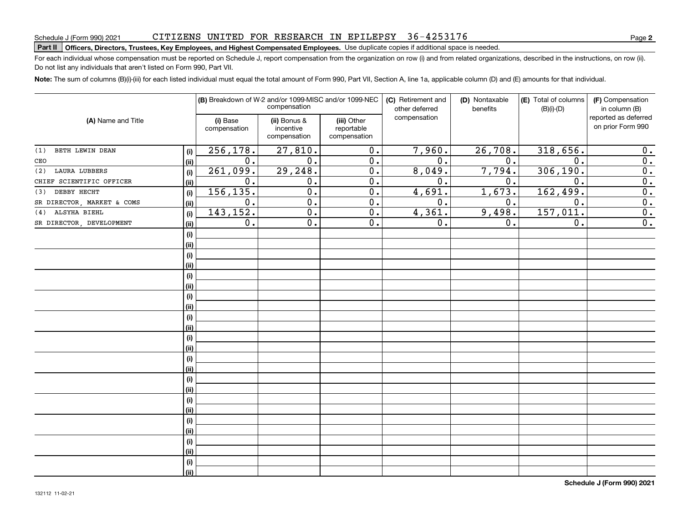### CITIZENS UNITED FOR RESEARCH IN EPILEPSY 36-4253176

# **Part II Officers, Directors, Trustees, Key Employees, and Highest Compensated Employees.**  Schedule J (Form 990) 2021 Page Use duplicate copies if additional space is needed.

For each individual whose compensation must be reported on Schedule J, report compensation from the organization on row (i) and from related organizations, described in the instructions, on row (ii). Do not list any individuals that aren't listed on Form 990, Part VII.

**Note:**  The sum of columns (B)(i)-(iii) for each listed individual must equal the total amount of Form 990, Part VII, Section A, line 1a, applicable column (D) and (E) amounts for that individual.

| (A) Name and Title          |      |                          | (B) Breakdown of W-2 and/or 1099-MISC and/or 1099-NEC<br>compensation |                                           | (C) Retirement and<br>other deferred | (D) Nontaxable<br>benefits | (E) Total of columns<br>$(B)(i)-(D)$ | (F) Compensation<br>in column (B)         |  |
|-----------------------------|------|--------------------------|-----------------------------------------------------------------------|-------------------------------------------|--------------------------------------|----------------------------|--------------------------------------|-------------------------------------------|--|
|                             |      | (i) Base<br>compensation | (ii) Bonus &<br>incentive<br>compensation                             | (iii) Other<br>reportable<br>compensation | compensation                         |                            |                                      | reported as deferred<br>on prior Form 990 |  |
| BETH LEWIN DEAN<br>(1)      | (i)  | 256, 178.                | 27,810.                                                               | $\overline{0}$ .                          | 7,960.                               | 26,708.                    | 318,656.                             | 0.                                        |  |
| CEO                         | (ii) | 0.                       | 0.                                                                    | $\overline{0}$ .                          | $\overline{0}$ .                     | 0.                         | 0.                                   | $\overline{0}$ .                          |  |
| <b>LAURA LUBBERS</b><br>(2) | (i)  | 261,099.                 | 29, 248.                                                              | $\overline{0}$ .                          | 8,049.                               | 7,794.                     | 306, 190.                            | $\overline{0}$ .                          |  |
| CHIEF SCIENTIFIC OFFICER    | (ii) | 0.                       | 0.                                                                    | $\overline{0}$ .                          | $\overline{0}$ .                     | 0.                         | $\mathbf 0$ .                        | $\overline{0}$ .                          |  |
| DEBBY HECHT<br>(3)          | (i)  | 156, 135.                | $\overline{0}$ .                                                      | $\overline{0}$ .                          | 4,691.                               | 1,673.                     | 162,499.                             | $\overline{0}$ .                          |  |
| SR DIRECTOR, MARKET & COMS  | (ii) | $\overline{0}$ .         | $\overline{0}$ .                                                      | $\overline{0}$ .                          | $\overline{0}$ .                     | $\overline{0}$ .           | $\overline{0}$ .                     | $\overline{0}$ .                          |  |
| ALSYHA BIEHL<br>(4)         | (i)  | 143,152.                 | $\overline{0}$ .                                                      | $\overline{0}$ .                          | 4,361.                               | 9,498.                     | 157,011.                             | $\overline{0}$ .                          |  |
| SR DIRECTOR, DEVELOPMENT    | (ii) | $\mathbf 0$ .            | $\overline{0}$ .                                                      | $\overline{0}$ .                          | 0.                                   | 0.                         | 0.                                   | $\overline{\mathbf{0}}$ .                 |  |
|                             | (i)  |                          |                                                                       |                                           |                                      |                            |                                      |                                           |  |
|                             | (ii) |                          |                                                                       |                                           |                                      |                            |                                      |                                           |  |
|                             | (i)  |                          |                                                                       |                                           |                                      |                            |                                      |                                           |  |
|                             | (ii) |                          |                                                                       |                                           |                                      |                            |                                      |                                           |  |
|                             | (i)  |                          |                                                                       |                                           |                                      |                            |                                      |                                           |  |
|                             | (ii) |                          |                                                                       |                                           |                                      |                            |                                      |                                           |  |
|                             | (i)  |                          |                                                                       |                                           |                                      |                            |                                      |                                           |  |
|                             | (ii) |                          |                                                                       |                                           |                                      |                            |                                      |                                           |  |
|                             | (i)  |                          |                                                                       |                                           |                                      |                            |                                      |                                           |  |
|                             | (ii) |                          |                                                                       |                                           |                                      |                            |                                      |                                           |  |
|                             | (i)  |                          |                                                                       |                                           |                                      |                            |                                      |                                           |  |
|                             | (ii) |                          |                                                                       |                                           |                                      |                            |                                      |                                           |  |
|                             | (i)  |                          |                                                                       |                                           |                                      |                            |                                      |                                           |  |
|                             | (ii) |                          |                                                                       |                                           |                                      |                            |                                      |                                           |  |
|                             | (i)  |                          |                                                                       |                                           |                                      |                            |                                      |                                           |  |
|                             | (ii) |                          |                                                                       |                                           |                                      |                            |                                      |                                           |  |
|                             | (i)  |                          |                                                                       |                                           |                                      |                            |                                      |                                           |  |
|                             | (ii) |                          |                                                                       |                                           |                                      |                            |                                      |                                           |  |
|                             | (i)  |                          |                                                                       |                                           |                                      |                            |                                      |                                           |  |
|                             | (ii) |                          |                                                                       |                                           |                                      |                            |                                      |                                           |  |
|                             | (i)  |                          |                                                                       |                                           |                                      |                            |                                      |                                           |  |
|                             | (ii) |                          |                                                                       |                                           |                                      |                            |                                      |                                           |  |
|                             | (i)  |                          |                                                                       |                                           |                                      |                            |                                      |                                           |  |
|                             | (ii) |                          |                                                                       |                                           |                                      |                            |                                      |                                           |  |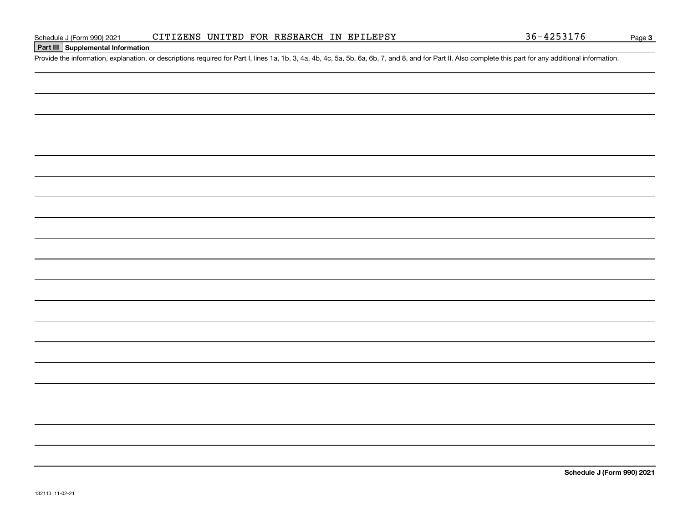### **Part III Supplemental Information**

Schedule J (Form 990) 2021 CITIZENS UNITED FOR RESEARCH IN EPILEPSY 36-4253176<br>Part III Supplemental Information<br>Provide the information, explanation, or descriptions required for Part I, lines 1a, 1b, 3, 4a, 4b, 4c, 5a, 5

**Schedule J (Form 990) 2021**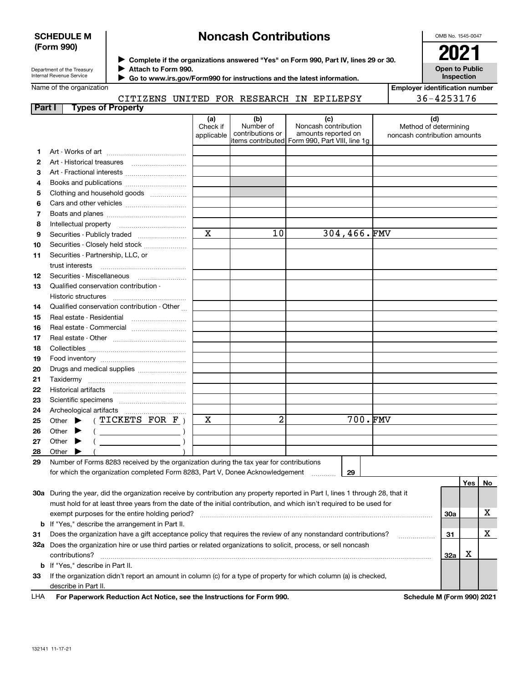### **SCHEDULE M (Form 990)**

# **Noncash Contributions**

OMB No. 1545-0047

| Department of the Treasury |  |
|----------------------------|--|
| Internal Revenue Service   |  |

**Complete if the organizations answered "Yes" on Form 990, Part IV, lines 29 or 30.** <sup>J</sup>**2021 Attach to Form 990.** J

 **Go to www.irs.gov/Form990 for instructions and the latest information.** J

**Open to Public Inspection**

|  | Name of the organization |
|--|--------------------------|
|  |                          |

CITIZENS UNITED FOR RESEARCH IN EPILEPSY

| Employer identification number |  |
|--------------------------------|--|
| 36-4253176                     |  |

| Part I |                                                                                                                |                             | <b>Types of Property</b>                    | .±23110 011132 |                               | 1011 ROUDLE                                                                             |                                                                                                                                |                                                       | ------ |         |    |
|--------|----------------------------------------------------------------------------------------------------------------|-----------------------------|---------------------------------------------|----------------|-------------------------------|-----------------------------------------------------------------------------------------|--------------------------------------------------------------------------------------------------------------------------------|-------------------------------------------------------|--------|---------|----|
|        |                                                                                                                |                             |                                             |                | (a)<br>Check if<br>applicable | (b)<br>Number of<br>contributions or                                                    | (c)<br>Noncash contribution<br>amounts reported on<br>items contributed Form 990, Part VIII, line 1g                           | Method of determining<br>noncash contribution amounts | (d)    |         |    |
| 1.     |                                                                                                                |                             |                                             |                |                               |                                                                                         |                                                                                                                                |                                                       |        |         |    |
| 2      |                                                                                                                |                             |                                             |                |                               |                                                                                         |                                                                                                                                |                                                       |        |         |    |
| 3      |                                                                                                                |                             | Art - Fractional interests                  |                |                               |                                                                                         |                                                                                                                                |                                                       |        |         |    |
| 4      |                                                                                                                |                             |                                             |                |                               |                                                                                         |                                                                                                                                |                                                       |        |         |    |
| 5      |                                                                                                                |                             | Clothing and household goods                |                |                               |                                                                                         |                                                                                                                                |                                                       |        |         |    |
| 6      |                                                                                                                |                             |                                             |                |                               |                                                                                         |                                                                                                                                |                                                       |        |         |    |
| 7      |                                                                                                                |                             |                                             |                |                               |                                                                                         |                                                                                                                                |                                                       |        |         |    |
| 8      |                                                                                                                | Intellectual property       |                                             |                |                               |                                                                                         |                                                                                                                                |                                                       |        |         |    |
| 9      |                                                                                                                |                             | Securities - Publicly traded                |                | $\mathbf x$                   | 10                                                                                      | 304,466.FMV                                                                                                                    |                                                       |        |         |    |
| 10     |                                                                                                                |                             | Securities - Closely held stock             |                |                               |                                                                                         |                                                                                                                                |                                                       |        |         |    |
| 11     |                                                                                                                | trust interests             | Securities - Partnership, LLC, or           |                |                               |                                                                                         |                                                                                                                                |                                                       |        |         |    |
| 12     |                                                                                                                |                             | Securities Miscellaneous                    |                |                               |                                                                                         |                                                                                                                                |                                                       |        |         |    |
| 13     |                                                                                                                | Historic structures         | Qualified conservation contribution -       |                |                               |                                                                                         |                                                                                                                                |                                                       |        |         |    |
| 14     |                                                                                                                |                             | Qualified conservation contribution - Other |                |                               |                                                                                         |                                                                                                                                |                                                       |        |         |    |
| 15     |                                                                                                                |                             | Real estate - Residential                   |                |                               |                                                                                         |                                                                                                                                |                                                       |        |         |    |
| 16     |                                                                                                                |                             | Real estate - Commercial                    |                |                               |                                                                                         |                                                                                                                                |                                                       |        |         |    |
| 17     |                                                                                                                |                             |                                             |                |                               |                                                                                         |                                                                                                                                |                                                       |        |         |    |
| 18     |                                                                                                                |                             |                                             |                |                               |                                                                                         |                                                                                                                                |                                                       |        |         |    |
| 19     |                                                                                                                |                             |                                             |                |                               |                                                                                         |                                                                                                                                |                                                       |        |         |    |
| 20     |                                                                                                                |                             | Drugs and medical supplies                  |                |                               |                                                                                         |                                                                                                                                |                                                       |        |         |    |
| 21     |                                                                                                                |                             |                                             |                |                               |                                                                                         |                                                                                                                                |                                                       |        |         |    |
| 22     |                                                                                                                |                             |                                             |                |                               |                                                                                         |                                                                                                                                |                                                       |        |         |    |
| 23     |                                                                                                                |                             |                                             |                |                               |                                                                                         |                                                                                                                                |                                                       |        |         |    |
| 24     |                                                                                                                |                             |                                             |                |                               |                                                                                         |                                                                                                                                |                                                       |        |         |    |
| 25     |                                                                                                                | Other $\blacktriangleright$ | (TICKETS FOR F)                             |                | х                             | 2                                                                                       | 700.FMV                                                                                                                        |                                                       |        |         |    |
| 26     |                                                                                                                | Other $\blacktriangleright$ |                                             |                |                               |                                                                                         |                                                                                                                                |                                                       |        |         |    |
| 27     |                                                                                                                | Other $\blacktriangleright$ |                                             |                |                               |                                                                                         |                                                                                                                                |                                                       |        |         |    |
| 28     | Other                                                                                                          |                             |                                             |                |                               |                                                                                         |                                                                                                                                |                                                       |        |         |    |
| 29     |                                                                                                                |                             |                                             |                |                               | Number of Forms 8283 received by the organization during the tax year for contributions |                                                                                                                                |                                                       |        |         |    |
|        |                                                                                                                |                             |                                             |                |                               | for which the organization completed Form 8283, Part V, Donee Acknowledgement           | 29                                                                                                                             |                                                       |        |         |    |
|        |                                                                                                                |                             |                                             |                |                               |                                                                                         |                                                                                                                                |                                                       |        | Yes $ $ | No |
|        |                                                                                                                |                             |                                             |                |                               |                                                                                         | 30a During the year, did the organization receive by contribution any property reported in Part I, lines 1 through 28, that it |                                                       |        |         |    |
|        |                                                                                                                |                             |                                             |                |                               |                                                                                         | must hold for at least three years from the date of the initial contribution, and which isn't required to be used for          |                                                       |        |         |    |
|        | exempt purposes for the entire holding period?                                                                 |                             |                                             |                |                               |                                                                                         |                                                                                                                                |                                                       | 30a    |         | X  |
|        | <b>b</b> If "Yes," describe the arrangement in Part II.                                                        |                             |                                             |                |                               |                                                                                         |                                                                                                                                |                                                       |        |         |    |
| 31     | Does the organization have a gift acceptance policy that requires the review of any nonstandard contributions? |                             |                                             |                |                               |                                                                                         |                                                                                                                                | .                                                     | 31     |         | X  |
|        |                                                                                                                |                             |                                             |                |                               |                                                                                         | 32a Does the organization hire or use third parties or related organizations to solicit, process, or sell noncash              |                                                       |        |         |    |
|        |                                                                                                                | contributions?              |                                             |                |                               |                                                                                         |                                                                                                                                |                                                       | 32a    | x       |    |
|        |                                                                                                                |                             | <b>b</b> If "Yes," describe in Part II.     |                |                               |                                                                                         |                                                                                                                                |                                                       |        |         |    |

**33**If the organization didn't report an amount in column (c) for a type of property for which column (a) is checked, describe in Part II.

**For Paperwork Reduction Act Notice, see the Instructions for Form 990. Schedule M (Form 990) 2021** LHA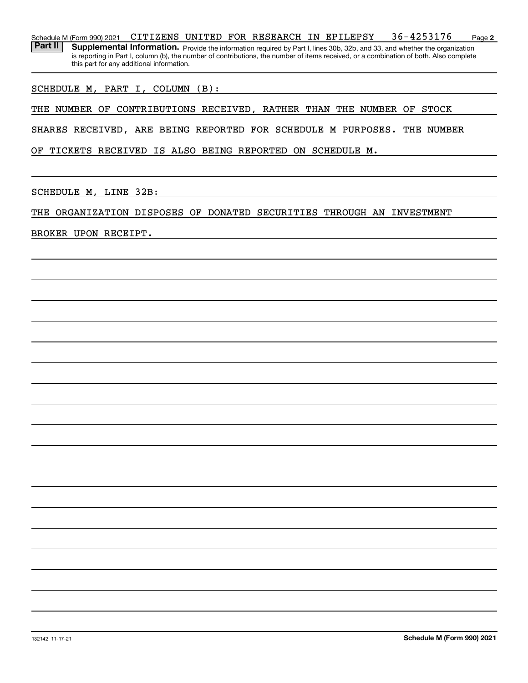**2**Schedule M (Form 990) 2021 Page CITIZENS UNITED FOR RESEARCH IN EPILEPSY 36-4253176Part II | Supplemental Information. Provide the information required by Part I, lines 30b, 32b, and 33, and whether the organization is reporting in Part I, column (b), the number of contributions, the number of items received, or a combination of both. Also complete this part for any additional information.

SCHEDULE M, PART I, COLUMN (B):

THE NUMBER OF CONTRIBUTIONS RECEIVED, RATHER THAN THE NUMBER OF STOCK

SHARES RECEIVED, ARE BEING REPORTED FOR SCHEDULE M PURPOSES. THE NUMBER

OF TICKETS RECEIVED IS ALSO BEING REPORTED ON SCHEDULE M.

SCHEDULE M, LINE 32B:

THE ORGANIZATION DISPOSES OF DONATED SECURITIES THROUGH AN INVESTMENT

BROKER UPON RECEIPT.